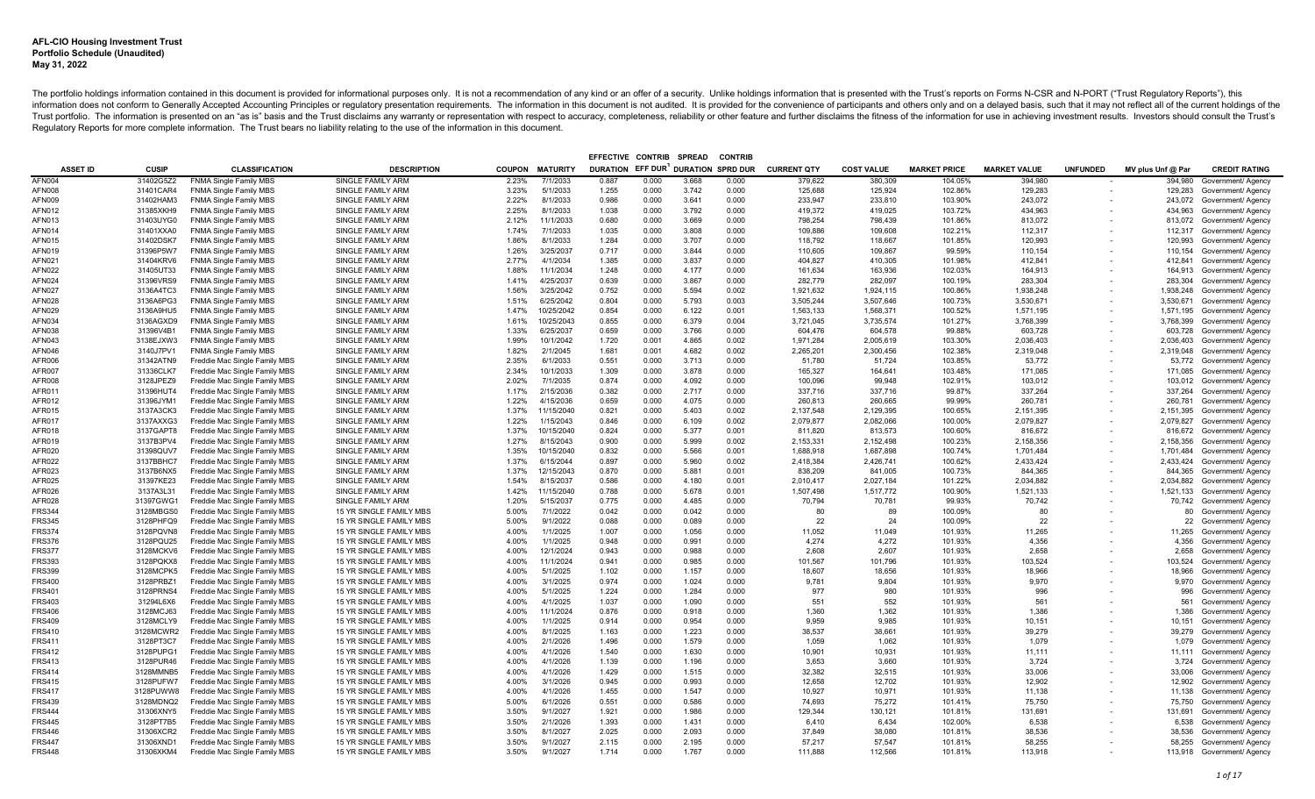|                 |              |                               |                          |       |                        | EFFECTIVE CONTRIB                  |       | <b>SPREAD</b> | <b>CONTRIE</b> |                    |                   |                     |                     |                 |                   |                              |
|-----------------|--------------|-------------------------------|--------------------------|-------|------------------------|------------------------------------|-------|---------------|----------------|--------------------|-------------------|---------------------|---------------------|-----------------|-------------------|------------------------------|
| <b>ASSET ID</b> | <b>CUSIP</b> | <b>CLASSIFICATION</b>         | <b>DESCRIPTION</b>       |       | <b>COUPON MATURITY</b> | DURATION EFF DUR DURATION SPRD DUR |       |               |                | <b>CURRENT QTY</b> | <b>COST VALUE</b> | <b>MARKET PRICE</b> | <b>MARKET VALUE</b> | <b>UNFUNDED</b> | MV plus Unf @ Par | <b>CREDIT RATING</b>         |
| AFN004          | 31402G5Z2    | <b>FNMA Single Family MBS</b> | SINGLE FAMILY ARM        | 2.23% | 7/1/2033               | 0.887                              | 0.000 | 3.668         | 0.000          | 379.622            | 380.309           | 104.05%             | 394.980             |                 | 394,980           | Government/ Agency           |
| <b>AFN008</b>   | 31401CAR4    | <b>FNMA Single Family MBS</b> | <b>SINGLE FAMILY ARM</b> | 3.23% | 5/1/2033               | 1.255                              | 0.000 | 3.742         | 0.000          | 125,688            | 125,924           | 102.86%             | 129,283             |                 |                   | 129,283 Government/ Agency   |
| <b>AFN009</b>   | 31402HAM3    | <b>FNMA Single Family MBS</b> | <b>SINGLE FAMILY ARM</b> | 2.22% | 8/1/2033               | 0.986                              | 0.000 | 3.641         | 0.000          | 233,947            | 233,810           | 103.90%             | 243,072             |                 |                   | 243,072 Government/ Agency   |
| <b>AFN012</b>   | 31385XKH9    | <b>FNMA Single Family MBS</b> | <b>SINGLE FAMILY ARM</b> | 2.25% | 8/1/2033               | 1.038                              | 0.000 | 3.792         | 0.000          | 419.372            | 419.025           | 103.72%             | 434.963             |                 | 434.963           | Government/ Agency           |
| AFN013          | 31403UYG0    | <b>FNMA Single Family MBS</b> | SINGLE FAMILY ARM        | 2.12% | 11/1/2033              | 0.680                              | 0.000 | 3.669         | 0.000          | 798,254            | 798,439           | 101.86%             | 813,072             |                 |                   | 813,072 Government/ Agency   |
| AFN014          | 31401XXA0    | <b>FNMA Single Family MBS</b> | <b>SINGLE FAMILY ARM</b> | 1.74% | 7/1/2033               | 1.035                              | 0.000 | 3.808         | 0.000          | 109.886            | 109.608           | 102.21%             | 112.317             |                 |                   | 112.317 Government/ Agency   |
| <b>AFN015</b>   | 31402DSK7    | <b>FNMA Single Family MBS</b> | <b>SINGLE FAMILY ARM</b> | 1.86% | 8/1/2033               | 1.284                              | 0.000 | 3.707         | 0.000          | 118,792            | 118.667           | 101.85%             | 120,993             |                 | 120,993           | Government/ Agency           |
| AFN019          | 31396P5W7    | <b>FNMA Single Family MBS</b> | SINGLE FAMILY ARM        | 1.26% | 3/25/2037              | 0.717                              | 0.000 | 3.844         | 0.000          | 110,605            | 109,867           | 99.59%              | 110,154             |                 | 110,154           | Government/ Agency           |
| AFN021          | 31404KRV6    | <b>FNMA Single Family MBS</b> | <b>SINGLE FAMILY ARM</b> | 2.77% | 4/1/2034               | 1.385                              | 0.000 | 3.837         | 0.000          | 404.827            | 410.305           | 101.98%             | 412.841             |                 | 412.841           | Government/ Agency           |
| AFN022          | 31405UT33    | <b>FNMA Single Family MBS</b> | SINGLE FAMILY ARM        | 1.88% | 11/1/2034              | 1.248                              | 0.000 | 4.177         | 0.000          | 161,634            | 163,936           | 102.03%             | 164,913             |                 |                   | 164,913 Government/ Agency   |
| <b>AFN024</b>   | 31396VRS9    | <b>FNMA Single Family MBS</b> | SINGLE FAMILY ARM        | 1.41% | 4/25/2037              | 0.639                              | 0.000 | 3.867         | 0.000          | 282,779            | 282,097           | 100.19%             | 283,304             |                 | 283,304           | Government/ Agency           |
| <b>AFN027</b>   | 3136A4TC3    | <b>FNMA Single Family MBS</b> | <b>SINGLE FAMILY ARM</b> | 1.56% | 3/25/2042              | 0.752                              | 0.000 | 5.594         | 0.002          | 1,921,632          | 1.924.115         | 100.86%             | 1.938.248           |                 | 1,938,248         | Government/ Agency           |
| <b>AFN028</b>   | 3136A6PG3    | <b>FNMA Single Family MBS</b> | SINGLE FAMILY ARM        | 1.51% | 6/25/2042              | 0.804                              | 0.000 | 5.793         | 0.003          | 3,505,244          | 3,507,646         | 100.73%             | 3,530,671           |                 | 3,530,671         | Government/ Agency           |
| <b>AFN029</b>   | 3136A9HU5    | <b>FNMA Single Family MBS</b> | <b>SINGLE FAMILY ARM</b> | 1.47% | 10/25/2042             | 0.854                              | 0.000 | 6.122         | 0.001          | 1,563,133          | 1.568.371         | 100.52%             | 1.571.195           |                 | 1,571,195         | Government/ Agency           |
| AFN034          | 3136AGXD9    | <b>FNMA Single Family MBS</b> | SINGLE FAMILY ARM        | 1.61% | 10/25/2043             | 0.855                              | 0.000 | 6.379         | 0.004          | 3,721,045          | 3,735,574         | 101.27%             | 3,768,399           |                 | 3,768,399         | Government/ Agency           |
| <b>AFN038</b>   | 31396V4B1    | <b>FNMA Single Family MBS</b> | SINGLE FAMILY ARM        | 1.33% | 6/25/2037              | 0.659                              | 0.000 | 3.766         | 0.000          | 604,476            | 604,578           | 99.88%              | 603,728             |                 | 603,728           | Government/ Agency           |
| AFN043          | 3138EJXW3    | <b>FNMA Single Family MBS</b> | <b>SINGLE FAMILY ARM</b> | 1.99% | 10/1/2042              | 1.720                              | 0.001 | 4.865         | 0.002          | 1,971,284          | 2,005,619         | 103.30%             | 2,036,403           |                 | 2,036,403         | Government/ Agency           |
| <b>AFN046</b>   | 3140J7PV1    | <b>FNMA Single Family MBS</b> | SINGLE FAMILY ARM        | 1.82% | 2/1/2045               | 1.681                              | 0.001 | 4.682         | 0.002          | 2,265,201          | 2,300,456         | 102.38%             | 2,319,048           |                 |                   | 2,319,048 Government/ Agency |
| AFR006          | 31342ATN9    | Freddie Mac Single Family MBS | <b>SINGLE FAMILY ARM</b> | 2.35% | 6/1/2033               | 0.551                              | 0.000 | 3.713         | 0.000          | 51,780             | 51,724            | 103.85%             | 53,772              |                 |                   | 53,772 Government/ Agency    |
| AFR007          | 31336CLK7    | Freddie Mac Single Family MBS | <b>SINGLE FAMILY ARM</b> | 2.34% | 10/1/2033              | 1.309                              | 0.000 | 3.878         | 0.000          | 165,327            | 164,641           | 103.48%             | 171,085             |                 | 171,085           | Government/ Agency           |
| <b>AFR008</b>   | 3128JPEZ9    | Freddie Mac Single Family MBS | SINGLE FAMILY ARM        | 2.02% | 7/1/2035               | 0.874                              | 0.000 | 4.092         | 0.000          | 100,096            | 99,948            | 102.91%             | 103,012             |                 |                   | 103,012 Government/ Agency   |
| AFR011          | 31396HUT4    | Freddie Mac Single Family MBS | <b>SINGLE FAMILY ARM</b> | 1.17% | 2/15/2036              | 0.382                              | 0.000 | 2.717         | 0.000          | 337,716            | 337,716           | 99.87%              | 337,264             |                 | 337,264           | Government/ Agency           |
| AFR012          | 31396JYM1    | Freddie Mac Single Family MBS | SINGLE FAMILY ARM        | 1.22% | 4/15/2036              | 0.659                              | 0.000 | 4.075         | 0.000          | 260,813            | 260,665           | 99.99%              | 260,781             |                 | 260,781           | Government/ Agency           |
| AFR015          | 3137A3CK3    | Freddie Mac Single Family MBS | SINGLE FAMILY ARM        | 1.37% | 11/15/2040             | 0.821                              | 0.000 | 5.403         | 0.002          | 2,137,548          | 2,129,395         | 100.65%             | 2,151,395           |                 | 2,151,395         | Government/ Agency           |
| AFR017          | 3137AXXG3    | Freddie Mac Single Family MBS | <b>SINGLE FAMILY ARM</b> | 1.22% | 1/15/2043              | 0.846                              | 0.000 | 6.109         | 0.002          | 2,079,877          | 2,082,066         | 100.00%             | 2,079,827           |                 | 2,079,827         | Government/ Agency           |
| AFR018          | 3137GAPT8    | Freddie Mac Single Family MBS | SINGLE FAMILY ARM        | 1.37% | 10/15/2040             | 0.824                              | 0.000 | 5.377         | 0.001          | 811,820            | 813,573           | 100.60%             | 816,672             |                 |                   | 816,672 Government/ Agency   |
| AFR019          | 3137B3PV4    | Freddie Mac Single Family MBS | <b>SINGLE FAMILY ARM</b> | 1.27% | 8/15/2043              | 0.900                              | 0.000 | 5.999         | 0.002          | 2,153,331          | 2.152.498         | 100.23%             | 2,158,356           |                 | 2,158,356         | Government/ Agency           |
| AFR020          | 31398QUV7    | Freddie Mac Single Family MBS | <b>SINGLE FAMILY ARM</b> | 1.35% | 10/15/2040             | 0.832                              | 0.000 | 5.566         | 0.001          | 1,688,918          | 1,687,898         | 100.74%             | 1,701,484           |                 |                   | 1,701,484 Government/ Agency |
| AFR022          | 3137BBHC7    | Freddie Mac Single Family MBS | <b>SINGLE FAMILY ARM</b> | 1.37% | 6/15/2044              | 0.897                              | 0.000 | 5.960         | 0.002          | 2,418,384          | 2,426,741         | 100.62%             | 2,433,424           |                 |                   | 2,433,424 Government/ Agency |
| AFR023          | 3137B6NX5    | Freddie Mac Single Family MBS | <b>SINGLE FAMILY ARM</b> | 1.37% | 12/15/2043             | 0.870                              | 0.000 | 5.881         | 0.001          | 838,209            | 841,005           | 100.73%             | 844,365             |                 |                   | 844,365 Government/ Agency   |
| AFR025          | 31397KE23    | Freddie Mac Single Family MBS | <b>SINGLE FAMILY ARM</b> | 1.54% | 8/15/2037              | 0.586                              | 0.000 | 4.180         | 0.001          | 2,010,417          | 2,027,184         | 101.22%             | 2,034,882           |                 | 2,034,882         | Government/ Agency           |
| AFR026          | 3137A3L31    | Freddie Mac Single Family MBS | <b>SINGLE FAMILY ARM</b> | 1.42% | 11/15/2040             | 0.788                              | 0.000 | 5.678         | 0.001          | 1,507,498          | 1,517,772         | 100.90%             | 1,521,133           |                 |                   | 1,521,133 Government/ Agency |
| <b>AFR028</b>   | 31397GWG1    | Freddie Mac Single Family MBS | <b>SINGLE FAMILY ARM</b> | 1.20% | 5/15/2037              | 0.775                              | 0.000 | 4.485         | 0.000          | 70,794             | 70,781            | 99.93%              | 70,742              |                 |                   | 70,742 Government/ Agency    |
| <b>FRS344</b>   | 3128MBGS0    | Freddie Mac Single Family MBS | 15 YR SINGLE FAMILY MBS  | 5.00% | 7/1/2022               | 0.042                              | 0.000 | 0.042         | 0.000          | 80                 | 89                | 100.09%             | 80                  |                 | 80                | Government/ Agency           |
| <b>FRS345</b>   | 3128PHFQ9    | Freddie Mac Single Family MBS | 15 YR SINGLE FAMILY MBS  | 5.00% | 9/1/2022               | 0.088                              | 0.000 | 0.089         | 0.000          | 22                 | 24                | 100.09%             | 22                  |                 | 22                | Government/ Agency           |
| FRS374          | 3128PQVN8    | Freddie Mac Single Family MBS | 15 YR SINGLE FAMILY MBS  | 4.00% | 1/1/2025               | 1.007                              | 0.000 | 1.056         | 0.000          | 11,052             | 11.049            | 101.93%             | 11,265              |                 | 11,265            | Government/ Agency           |
| <b>FRS376</b>   | 3128PQU25    | Freddie Mac Single Family MBS | 15 YR SINGLE FAMILY MBS  | 4.00% | 1/1/2025               | 0.948                              | 0.000 | 0.991         | 0.000          | 4.274              | 4.272             | 101.93%             | 4.356               |                 | 4.356             | Government/ Agency           |
| <b>FRS377</b>   | 3128MCKV6    | Freddie Mac Single Family MBS | 15 YR SINGLE FAMILY MBS  | 4.00% | 12/1/2024              | 0.943                              | 0.000 | 0.988         | 0.000          | 2,608              | 2,607             | 101.93%             | 2,658               |                 | 2,658             | Government/ Agency           |
| <b>FRS393</b>   | 3128PQKX8    | Freddie Mac Single Family MBS | 15 YR SINGLE FAMILY MBS  | 4.00% | 11/1/2024              | 0.941                              | 0.000 | 0.985         | 0.000          | 101,567            | 101,796           | 101.93%             | 103,524             |                 | 103,524           | Government/ Agency           |
| <b>FRS399</b>   | 3128MCPK5    | Freddie Mac Single Family MBS | 15 YR SINGLE FAMILY MBS  | 4.00% | 5/1/2025               | 1.102                              | 0.000 | 1.157         | 0.000          | 18,607             | 18,656            | 101.93%             | 18,966              |                 | 18,966            | Government/ Agency           |
| FRS400          | 3128PRBZ1    | Freddie Mac Single Family MBS | 15 YR SINGLE FAMILY MBS  | 4.00% | 3/1/2025               | 0.974                              | 0.000 | 1.024         | 0.000          | 9,781              | 9,804             | 101.93%             | 9,970               |                 | 9,970             | Government/ Agency           |
| <b>FRS401</b>   | 3128PRNS4    | Freddie Mac Single Family MBS | 15 YR SINGLE FAMILY MBS  | 4.00% | 5/1/2025               | 1.224                              | 0.000 | 1.284         | 0.000          | 977                | 980               | 101.93%             | 996                 |                 | 996               | Government/ Agency           |
| FRS403          | 31294L6X6    | Freddie Mac Single Family MBS | 15 YR SINGLE FAMILY MBS  | 4.00% | 4/1/2025               | 1.037                              | 0.000 | 1.090         | 0.000          | 551                | 552               | 101.93%             | 561                 |                 | 561               | Government/ Agency           |
| <b>FRS406</b>   | 3128MCJ63    | Freddie Mac Single Family MBS | 15 YR SINGLE FAMILY MBS  | 4.00% | 11/1/2024              | 0.876                              | 0.000 | 0.918         | 0.000          | 1,360              | 1,362             | 101.93%             | 1,386               |                 | 1,386             | Government/ Agency           |
| FRS409          | 3128MCLY9    | Freddie Mac Single Family MBS | 15 YR SINGLE FAMILY MBS  | 4.00% | 1/1/2025               | 0.914                              | 0.000 | 0.954         | 0.000          | 9.959              | 9.985             | 101.93%             | 10.151              |                 | 10.151            | Government/ Agency           |
| <b>FRS410</b>   | 3128MCWR2    | Freddie Mac Single Family MBS | 15 YR SINGLE FAMILY MBS  | 4.00% | 8/1/2025               | 1.163                              | 0.000 | 1.223         | 0.000          | 38,537             | 38,661            | 101.93%             | 39,279              |                 | 39,279            | Government/ Agency           |
| <b>FRS411</b>   | 3128PT3C7    | Freddie Mac Single Family MBS | 15 YR SINGLE FAMILY MBS  | 4.00% | 2/1/2026               | 1.496                              | 0.000 | 1.579         | 0.000          | 1,059              | 1,062             | 101.93%             | 1,079               |                 | 1,079             | Government/ Agency           |
| FRS412          | 3128PUPG1    | Freddie Mac Single Family MBS | 15 YR SINGLE FAMILY MBS  | 4.00% | 4/1/2026               | 1.540                              | 0.000 | 1.630         | 0.000          | 10,901             | 10,931            | 101.93%             | 11,111              |                 | 11.111            | Government/ Agency           |
| <b>FRS413</b>   | 3128PUR46    | Freddie Mac Single Family MBS | 15 YR SINGLE FAMILY MBS  | 4.00% | 4/1/2026               | 1.139                              | 0.000 | 1.196         | 0.000          | 3,653              | 3,660             | 101.93%             | 3,724               |                 | 3,724             | Government/ Agency           |
| <b>FRS414</b>   | 3128MMNB5    | Freddie Mac Single Family MBS | 15 YR SINGLE FAMILY MBS  | 4.00% | 4/1/2026               | 1.429                              | 0.000 | 1.515         | 0.000          | 32,382             | 32,515            | 101.93%             | 33,006              |                 | 33,006            | Government/ Agency           |
| FRS415          | 3128PUFW7    | Freddie Mac Single Family MBS | 15 YR SINGLE FAMILY MBS  | 4.00% | 3/1/2026               | 0.945                              | 0.000 | 0.993         | 0.000          | 12,658             | 12,702            | 101.93%             | 12,902              |                 | 12,902            | Government/ Agency           |
| FRS417          | 3128PUWW8    | Freddie Mac Single Family MBS | 15 YR SINGLE FAMILY MBS  | 4.00% | 4/1/2026               | 1.455                              | 0.000 | 1.547         | 0.000          | 10,927             | 10,971            | 101.93%             | 11,138              |                 | 11,138            | Government/ Agency           |
| FRS439          | 3128MDNQ2    | Freddie Mac Single Family MBS | 15 YR SINGLE FAMILY MBS  | 5.00% | 6/1/2026               | 0.551                              | 0.000 | 0.586         | 0.000          | 74.693             | 75,272            | 101.41%             | 75,750              |                 | 75,750            | Government/ Agency           |
| FRS444          | 31306XNY5    | Freddie Mac Single Family MBS | 15 YR SINGLE FAMILY MBS  | 3.50% | 9/1/2027               | 1.921                              | 0.000 | 1.986         | 0.000          | 129,344            | 130,121           | 101.81%             | 131,691             |                 | 131,691           | Government/ Agency           |
| FRS445          | 3128PT7B5    | Freddie Mac Single Family MBS | 15 YR SINGLE FAMILY MBS  | 3.50% | 2/1/2026               | 1.393                              | 0.000 | 1.431         | 0.000          | 6,410              | 6,434             | 102.00%             | 6,538               |                 | 6,538             | Government/ Agency           |
| FRS446          | 31306XCR2    | Freddie Mac Single Family MBS | 15 YR SINGLE FAMILY MBS  | 3.50% | 8/1/2027               | 2.025                              | 0.000 | 2.093         | 0.000          | 37.849             | 38,080            | 101.81%             | 38,536              |                 | 38,536            | Government/ Agency           |
| FRS447          | 31306XND1    | Freddie Mac Single Family MBS | 15 YR SINGLE FAMILY MBS  | 3.50% | 9/1/2027               | 2.115                              | 0.000 | 2.195         | 0.000          | 57,217             | 57.547            | 101.81%             | 58,255              |                 |                   | 58,255 Government/ Agency    |
| FRS448          | 31306XKM4    | Freddie Mac Single Family MBS | 15 YR SINGLE FAMILY MBS  | 3.50% | 9/1/2027               | 1.714                              | 0.000 | 1.767         | 0.000          | 111.888            | 112.566           | 101.81%             | 113.918             |                 |                   | 113.918 Government/ Agency   |
|                 |              |                               |                          |       |                        |                                    |       |               |                |                    |                   |                     |                     |                 |                   |                              |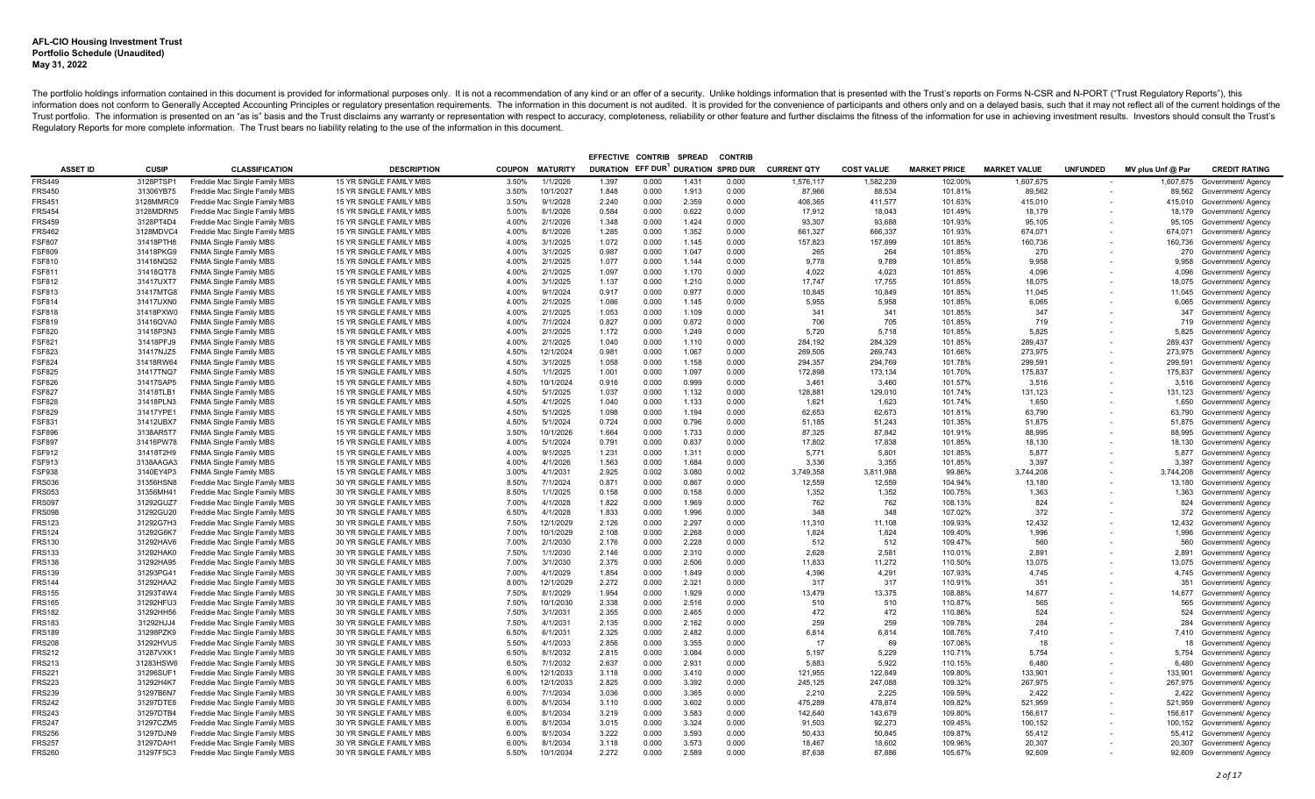|                         |                        |                                                                |                                                    |                |                      | EFFECTIVE CONTRIB                  |                | <b>SPREAD</b>  | <b>CONTRIE</b> |                    |                    |                     |                     |                          |                   |                                          |
|-------------------------|------------------------|----------------------------------------------------------------|----------------------------------------------------|----------------|----------------------|------------------------------------|----------------|----------------|----------------|--------------------|--------------------|---------------------|---------------------|--------------------------|-------------------|------------------------------------------|
| <b>ASSET ID</b>         | <b>CUSIP</b>           | <b>CLASSIFICATION</b>                                          | <b>DESCRIPTION</b>                                 | <b>COUPON</b>  | <b>MATURITY</b>      | DURATION EFF DUR DURATION SPRD DUR |                |                |                | <b>CURRENT QTY</b> | <b>COST VALUE</b>  | <b>MARKET PRICE</b> | <b>MARKET VALUE</b> | <b>UNFUNDED</b>          | MV plus Unf @ Par | <b>CREDIT RATING</b>                     |
| <b>FRS449</b>           | 3128PTSP1              | Freddie Mac Single Family MBS                                  | 15 YR SINGLE FAMILY MBS                            | 3.50%          | 1/1/2026             | 1.397                              | 0.000          | 1.431          | 0.000          | 1,576,117          | 1,582,239          | 102.00%             | 1,607,675           |                          | 1,607,675         | Government/ Agency                       |
| <b>FRS450</b>           | 31306YB75              | Freddie Mac Single Family MBS                                  | 15 YR SINGLE FAMILY MBS                            | 3.50%          | 10/1/2027            | 1.848                              | 0.000          | 1.913          | 0.000          | 87,966             | 88,534             | 101.81%             | 89,562              | $\overline{\phantom{a}}$ |                   | 89,562 Government/ Agency                |
| <b>FRS451</b>           | 3128MMRC9              | Freddie Mac Single Family MBS                                  | 15 YR SINGLE FAMILY MBS                            | 3.50%          | 9/1/2028             | 2.240                              | 0.000          | 2.359          | 0.000          | 408,365            | 411,577            | 101.63%             | 415,010             |                          |                   | 415,010 Government/ Agency               |
| <b>FRS454</b>           | 3128MDRN5              | Freddie Mac Single Family MBS                                  | 15 YR SINGLE FAMILY MBS                            | 5.00%          | 6/1/2026             | 0.584                              | 0.000          | 0.622          | 0.000          | 17,912             | 18,043             | 101.49%             | 18,179              |                          |                   | 18,179 Government/ Agency                |
| FRS459                  | 3128PT4D4              | Freddie Mac Single Family MBS                                  | 15 YR SINGLE FAMILY MBS                            | 4.00%          | 2/1/2026             | 1.348                              | 0.000          | 1.424          | 0.000          | 93,307             | 93,688             | 101.93%             | 95,105              |                          | 95,105            | Government/ Agency                       |
| <b>FRS462</b>           | 3128MDVC4              | Freddie Mac Single Family MBS                                  | 15 YR SINGLE FAMILY MBS                            | 4.00%          | 8/1/2026             | 1.285                              | 0.000          | 1.352          | 0.000          | 661,327            | 666,337            | 101.93%             | 674,071             |                          | 674,071           | Government/ Agency                       |
| <b>FSF807</b>           | 31418PTH8              | <b>FNMA Single Family MBS</b>                                  | 15 YR SINGLE FAMILY MBS                            | 4.00%          | 3/1/2025             | 1.072                              | 0.000          | 1.145          | 0.000          | 157,823            | 157,899            | 101.85%             | 160,736             |                          | 160,736           | Government/ Agency                       |
| FSF809                  | 31418PKG9              | <b>FNMA Single Family MBS</b>                                  | 15 YR SINGLE FAMILY MBS                            | 4.00%          | 3/1/2025             | 0.987                              | 0.000          | 1.047          | 0.000          | 265                | 264                | 101.85%             | 270                 |                          | 270               | Government/ Agency                       |
| FSF810                  | 31418NQS2              | FNMA Single Family MBS                                         | 15 YR SINGLE FAMILY MBS                            | 4.00%          | 2/1/2025             | 1.077                              | 0.000          | 1.144          | 0.000          | 9,778              | 9.789              | 101.85%             | 9,958               |                          | 9,958             | Government/ Agency                       |
| FSF811                  | 31418QT78              | <b>FNMA Single Family MBS</b>                                  | 15 YR SINGLE FAMILY MBS                            | 4.00%          | 2/1/2025             | 1.097                              | 0.000          | 1.170          | 0.000          | 4,022              | 4,023              | 101.85%             | 4,096               |                          | 4,096             | Government/ Agency                       |
| FSF812                  | 31417UXT7              | <b>FNMA Single Family MBS</b>                                  | 15 YR SINGLE FAMILY MBS                            | 4.00%          | 3/1/2025             | 1.137                              | 0.000          | 1.210          | 0.000          | 17.747             | 17.755             | 101.85%             | 18.075              |                          | 18,075            | Government/ Agency                       |
| FSF813                  | 31417MTG8              | <b>FNMA Single Family MBS</b>                                  | 15 YR SINGLE FAMILY MBS                            | 4.00%          | 9/1/2024             | 0.917                              | 0.000          | 0.977          | 0.000          | 10.845             | 10.849             | 101.85%             | 11,045              |                          | 11,045            | Government/ Agency                       |
| FSF814                  | 31417UXN0              | <b>FNMA Single Family MBS</b>                                  | 15 YR SINGLE FAMILY MBS                            | 4.00%          | 2/1/2025             | 1.086                              | 0.000          | 1.145          | 0.000          | 5,955              | 5,958              | 101.85%             | 6,065               |                          | 6,065             | Government/ Agency                       |
| FSF818                  | 31418PXW0              | <b>FNMA Single Family MBS</b>                                  | 15 YR SINGLE FAMILY MBS                            | 4.00%          | 2/1/2025             | 1.053                              | 0.000          | 1.109          | 0.000          | 341                | 341                | 101.85%             | 347                 |                          | 347               | Government/ Agency                       |
| FSF819                  | 31416QVA0              | <b>FNMA Single Family MBS</b>                                  | 15 YR SINGLE FAMILY MBS                            | 4.00%          | 7/1/2024             | 0.827                              | 0.000          | 0.872          | 0.000          | 706                | 705                | 101.85%             | 719                 |                          | 719               | Government/ Agency                       |
| FSF820                  | 31418P3N3              | <b>FNMA Single Family MBS</b>                                  | 15 YR SINGLE FAMILY MBS                            | 4.00%          | 2/1/2025             | 1.172                              | 0.000          | 1.249          | 0.000          | 5,720              | 5,718              | 101.85%             | 5,825               |                          | 5,825             | Government/ Agency                       |
| FSF821                  | 31418PFJ9              | <b>FNMA Single Family MBS</b>                                  | 15 YR SINGLE FAMILY MBS                            | 4.00%          | 2/1/2025             | 1.040                              | 0.000          | 1.110          | 0.000          | 284.192            | 284.329            | 101.85%             | 289.437             |                          | 289,437           | Government/ Agency                       |
| FSF823                  | 31417NJZ5              | <b>FNMA Single Family MBS</b>                                  | 15 YR SINGLE FAMILY MBS                            | 4.50%          | 12/1/2024            | 0.981                              | 0.000          | 1.067          | 0.000          | 269,505            | 269,743            | 101.66%             | 273,975             |                          | 273,975           | Government/ Agency                       |
| FSF824                  | 31418RW64              | <b>FNMA Single Family MBS</b>                                  | 15 YR SINGLE FAMILY MBS                            | 4.50%          | 3/1/2025             | 1.058                              | 0.000          | 1.158          | 0.000          | 294,357            | 294,769            | 101.78%             | 299,591             |                          | 299,591           | Government/ Agency                       |
| FSF825                  | 31417TNQ7              | <b>FNMA Single Family MBS</b>                                  | 15 YR SINGLE FAMILY MBS                            | 4.50%          | 1/1/2025             | 1.001                              | 0.000          | 1.097          | 0.000          | 172,898            | 173,134            | 101.70%             | 175,837             |                          | 175,837           | Government/ Agency                       |
| FSF826                  | 31417SAP5              | <b>FNMA Single Family MBS</b>                                  | 15 YR SINGLE FAMILY MBS                            | 4.50%          | 10/1/2024            | 0.916                              | 0.000          | 0.999          | 0.000          | 3,461              | 3,460              | 101.57%             | 3,516               |                          | 3,516             | Government/ Agency                       |
| FSF827                  | 31418TLB1              | <b>FNMA Single Family MBS</b>                                  | 15 YR SINGLE FAMILY MBS                            | 4.50%          | 5/1/2025             | 1.037                              | 0.000          | 1.132          | 0.000          | 128,881            | 129,010            | 101.74%             | 131,123             |                          | 131,123           | Government/ Agency                       |
| FSF828                  | 31418PLN3              | <b>FNMA Single Family MBS</b>                                  | 15 YR SINGLE FAMILY MBS                            | 4.50%          | 4/1/2025             | 1.040                              | 0.000          | 1.133          | 0.000          | 1,621              | 1,623              | 101.74%             | 1,650               |                          | 1,650             | Government/ Agency                       |
| FSF829                  | 31417YPE1              | <b>FNMA Single Family MBS</b>                                  | 15 YR SINGLE FAMILY MBS                            | 4.50%          | 5/1/2025             | 1.098                              | 0.000          | 1.194          | 0.000          | 62,653             | 62,673             | 101.81%             | 63,790              |                          | 63,790            | Government/ Agency                       |
| FSF831                  | 31412UBX7              | <b>FNMA Single Family MBS</b>                                  | 15 YR SINGLE FAMILY MBS                            | 4.50%          | 5/1/2024             | 0.724                              | 0.000          | 0.796          | 0.000          | 51,185             | 51,243             | 101.35%             | 51,875              |                          | 51,875            | Government/ Agency                       |
| FSF896                  | 3138AR5T7              | <b>FNMA Single Family MBS</b>                                  | 15 YR SINGLE FAMILY MBS                            | 3.50%          | 10/1/2026            | 1.664                              | 0.000          | 1.733          | 0.000          | 87,325             | 87.842             | 101.91%             | 88,995              |                          | 88,995            | Government/ Agency                       |
| <b>FSF897</b><br>FSF912 | 31416PW78              | <b>FNMA Single Family MBS</b>                                  | 15 YR SINGLE FAMILY MBS                            | 4.00%          | 5/1/2024             | 0.791                              | 0.000          | 0.837          | 0.000          | 17,802<br>5,771    | 17,838             | 101.85%<br>101.85%  | 18,130              |                          | 18,130            | Government/ Agency                       |
|                         | 31418T2H9              | <b>FNMA Single Family MBS</b>                                  | 15 YR SINGLE FAMILY MBS                            | 4.00%          | 9/1/2025             | 1.231                              | 0.000          | 1.311          | 0.000          |                    | 5,801              | 101.85%             | 5,877<br>3.397      |                          | 5,877             | Government/ Agency                       |
| FSF913                  | 3138AAGA3              | <b>FNMA Single Family MBS</b>                                  | 15 YR SINGLE FAMILY MBS                            | 4.00%          | 4/1/2026             | 1.563                              | 0.000          | 1.684<br>3.080 | 0.000<br>0.002 | 3,336<br>3,749,358 | 3,355<br>3,811,988 | 99.86%              | 3,744,208           |                          | 3.397             | Government/ Agency                       |
| FSF938                  | 3140EY4P3              | <b>FNMA Single Family MBS</b>                                  | 15 YR SINGLE FAMILY MBS                            | 3.00%          | 4/1/2031             | 2.925<br>0.871                     | 0.002          | 0.867          | 0.000          | 12,559             |                    | 104.94%             |                     |                          | 3,744,208         | Government/ Agency                       |
| FRS036<br>FRS053        | 31356HSN8<br>31356MH41 | Freddie Mac Single Family MBS<br>Freddie Mac Single Family MBS | 30 YR SINGLE FAMILY MBS<br>30 YR SINGLE FAMILY MBS | 8.50%<br>8.50% | 7/1/2024<br>1/1/2025 | 0.158                              | 0.000<br>0.000 | 0.158          | 0.000          | 1,352              | 12,559<br>1,352    | 100.75%             | 13,180<br>1,363     |                          | 13,180<br>1,363   | Government/ Agency<br>Government/ Agency |
| FRS097                  | 31292GUZ7              | Freddie Mac Single Family MBS                                  | 30 YR SINGLE FAMILY MBS                            | 7.00%          | 4/1/2028             | 1.822                              | 0.000          | 1.969          | 0.000          | 762                | 762                | 108.13%             | 824                 |                          | 824               | Government/ Agency                       |
| <b>FRS098</b>           | 31292GU20              | Freddie Mac Single Family MBS                                  | 30 YR SINGLE FAMILY MBS                            | 6.50%          | 4/1/2028             | 1.833                              | 0.000          | 1.996          | 0.000          | 348                | 348                | 107.02%             | 372                 |                          | 372               | Government/ Agency                       |
| FRS123                  | 31292G7H3              | Freddie Mac Single Family MBS                                  | 30 YR SINGLE FAMILY MBS                            | 7.50%          | 12/1/2029            | 2.126                              | 0.000          | 2.297          | 0.000          | 11.310             | 11.108             | 109.93%             | 12,432              |                          | 12,432            | Government/ Agency                       |
| <b>FRS124</b>           | 31292G6K7              | Freddie Mac Single Family MBS                                  | 30 YR SINGLE FAMILY MBS                            | 7.00%          | 10/1/2029            | 2.108                              | 0.000          | 2.268          | 0.000          | 1.824              | 1.824              | 109.40%             | 1,996               |                          | 1,996             | Government/ Agency                       |
| FRS130                  | 31292HAV6              | Freddie Mac Single Family MBS                                  | 30 YR SINGLE FAMILY MBS                            | 7.00%          | 2/1/2030             | 2.176                              | 0.000          | 2.228          | 0.000          | 512                | 512                | 109.47%             | 560                 |                          | 560               | Government/ Agency                       |
| <b>FRS133</b>           | 31292HAK0              | Freddie Mac Single Family MBS                                  | 30 YR SINGLE FAMILY MBS                            | 7.50%          | 1/1/2030             | 2.146                              | 0.000          | 2.310          | 0.000          | 2.628              | 2.581              | 110.01%             | 2.891               |                          | 2,891             | Government/ Agency                       |
| FRS138                  | 31292HA95              | Freddie Mac Single Family MBS                                  | 30 YR SINGLE FAMILY MBS                            | 7.00%          | 3/1/2030             | 2.375                              | 0.000          | 2.506          | 0.000          | 11.833             | 11.272             | 110.50%             | 13,075              |                          | 13.075            | Government/ Agency                       |
| <b>FRS139</b>           | 31293PG41              | Freddie Mac Single Family MBS                                  | 30 YR SINGLE FAMILY MBS                            | 7.00%          | 4/1/2029             | 1.854                              | 0.000          | 1.849          | 0.000          | 4.396              | 4.291              | 107.93%             | 4.745               |                          | 4.745             | Government/ Agency                       |
| <b>FRS144</b>           | 31292HAA2              | Freddie Mac Single Family MBS                                  | 30 YR SINGLE FAMILY MBS                            | 8.00%          | 12/1/2029            | 2.272                              | 0.000          | 2.321          | 0.000          | 317                | 317                | 110.91%             | 351                 |                          | 351               | Government/ Agency                       |
| FRS155                  | 31293T4W4              | Freddie Mac Single Family MBS                                  | 30 YR SINGLE FAMILY MBS                            | 7.50%          | 8/1/2029             | 1.954                              | 0.000          | 1.929          | 0.000          | 13,479             | 13,375             | 108.88%             | 14,677              |                          | 14,677            | Government/ Agency                       |
| <b>FRS165</b>           | 31292HFU3              | Freddie Mac Single Family MBS                                  | 30 YR SINGLE FAMILY MBS                            | 7.50%          | 10/1/2030            | 2.338                              | 0.000          | 2.516          | 0.000          | 510                | 510                | 110.87%             | 565                 |                          | 565               | Government/ Agency                       |
| <b>FRS182</b>           | 31292HH56              | Freddie Mac Single Family MBS                                  | 30 YR SINGLE FAMILY MBS                            | 7.50%          | 3/1/2031             | 2.355                              | 0.000          | 2.465          | 0.000          | 472                | 472                | 110.86%             | 524                 |                          | 524               | Government/ Agency                       |
| <b>FRS183</b>           | 31292HJJ4              | Freddie Mac Single Family MBS                                  | 30 YR SINGLE FAMILY MBS                            | 7.50%          | 4/1/2031             | 2.135                              | 0.000          | 2.162          | 0.000          | 259                | 259                | 109.78%             | 284                 |                          | 284               | Government/ Agency                       |
| <b>FRS189</b>           | 31298PZK9              | Freddie Mac Single Family MBS                                  | 30 YR SINGLE FAMILY MBS                            | 6.50%          | 6/1/2031             | 2.325                              | 0.000          | 2.482          | 0.000          | 6.814              | 6.814              | 108.76%             | 7.410               |                          | 7.410             | Government/ Agency                       |
| <b>FRS208</b>           | 31292HVU5              | Freddie Mac Single Family MBS                                  | 30 YR SINGLE FAMILY MBS                            | 5.50%          | 4/1/2033             | 2.856                              | 0.000          | 3.355          | 0.000          | 17                 | 69                 | 107.06%             | 18                  |                          | 18                | Government/ Agency                       |
| <b>FRS212</b>           | 31287VXK1              | Freddie Mac Single Family MBS                                  | 30 YR SINGLE FAMILY MBS                            | 6.50%          | 8/1/2032             | 2.815                              | 0.000          | 3.084          | 0.000          | 5,197              | 5,229              | 110.71%             | 5,754               |                          | 5,754             | Government/ Agency                       |
| <b>FRS213</b>           | 31283HSW6              | Freddie Mac Single Family MBS                                  | 30 YR SINGLE FAMILY MBS                            | 6.50%          | 7/1/2032             | 2.637                              | 0.000          | 2.931          | 0.000          | 5.883              | 5,922              | 110.15%             | 6.480               |                          | 6.480             | Government/ Agency                       |
| FRS221                  | 31296SUF1              | Freddie Mac Single Family MBS                                  | 30 YR SINGLE FAMILY MBS                            | 6.00%          | 12/1/2033            | 3.118                              | 0.000          | 3.410          | 0.000          | 121,955            | 122,849            | 109.80%             | 133,901             |                          | 133,901           | Government/ Agency                       |
| FRS223                  | 31292H4K7              | Freddie Mac Single Family MBS                                  | 30 YR SINGLE FAMILY MBS                            | 6.00%          | 12/1/2033            | 2.825                              | 0.000          | 3.392          | 0.000          | 245,125            | 247,088            | 109.32%             | 267,975             |                          | 267,975           | Government/ Agency                       |
| FRS239                  | 31297B6N7              | Freddie Mac Single Family MBS                                  | 30 YR SINGLE FAMILY MBS                            | 6.00%          | 7/1/2034             | 3.036                              | 0.000          | 3.365          | 0.000          | 2,210              | 2,225              | 109.59%             | 2,422               |                          | 2,422             | Government/ Agency                       |
| FRS242                  | 31297DTE8              | Freddie Mac Single Family MBS                                  | 30 YR SINGLE FAMILY MBS                            | 6.00%          | 8/1/2034             | 3.110                              | 0.000          | 3.602          | 0.000          | 475,289            | 478,874            | 109.82%             | 521,959             |                          | 521,959           | Government/ Agency                       |
| FRS243                  | 31297DTB4              | Freddie Mac Single Family MBS                                  | 30 YR SINGLE FAMILY MBS                            | 6.00%          | 8/1/2034             | 3.219                              | 0.000          | 3.583          | 0.000          | 142,640            | 143,679            | 109.80%             | 156,617             |                          | 156,617           | Government/ Agency                       |
| FRS247                  | 31297CZM5              | Freddie Mac Single Family MBS                                  | 30 YR SINGLE FAMILY MBS                            | 6.00%          | 8/1/2034             | 3.015                              | 0.000          | 3.324          | 0.000          | 91,503             | 92,273             | 109.45%             | 100,152             |                          | 100,152           | Government/ Agency                       |
| FRS256                  | 31297DJN9              | Freddie Mac Single Family MBS                                  | 30 YR SINGLE FAMILY MBS                            | 6.00%          | 8/1/2034             | 3.222                              | 0.000          | 3.593          | 0.000          | 50.433             | 50.845             | 109.87%             | 55,412              |                          | 55,412            | Government/ Agency                       |
| FRS257                  | 31297DAH1              | Freddie Mac Single Family MBS                                  | 30 YR SINGLE FAMILY MBS                            | 6.00%          | 8/1/2034             | 3.118                              | 0.000          | 3.573          | 0.000          | 18.467             | 18,602             | 109.96%             | 20,307              |                          | 20,307            | Government/ Agency                       |
| <b>FRS260</b>           | 31297F5C3              | Freddie Mac Single Family MBS                                  | 30 YR SINGLE FAMILY MBS                            | 5.50%          | 10/1/2034            | 2.272                              | 0.000          | 2.589          | 0.000          | 87.638             | 87.886             | 105.67%             | 92.609              |                          |                   | 92.609 Government/ Agency                |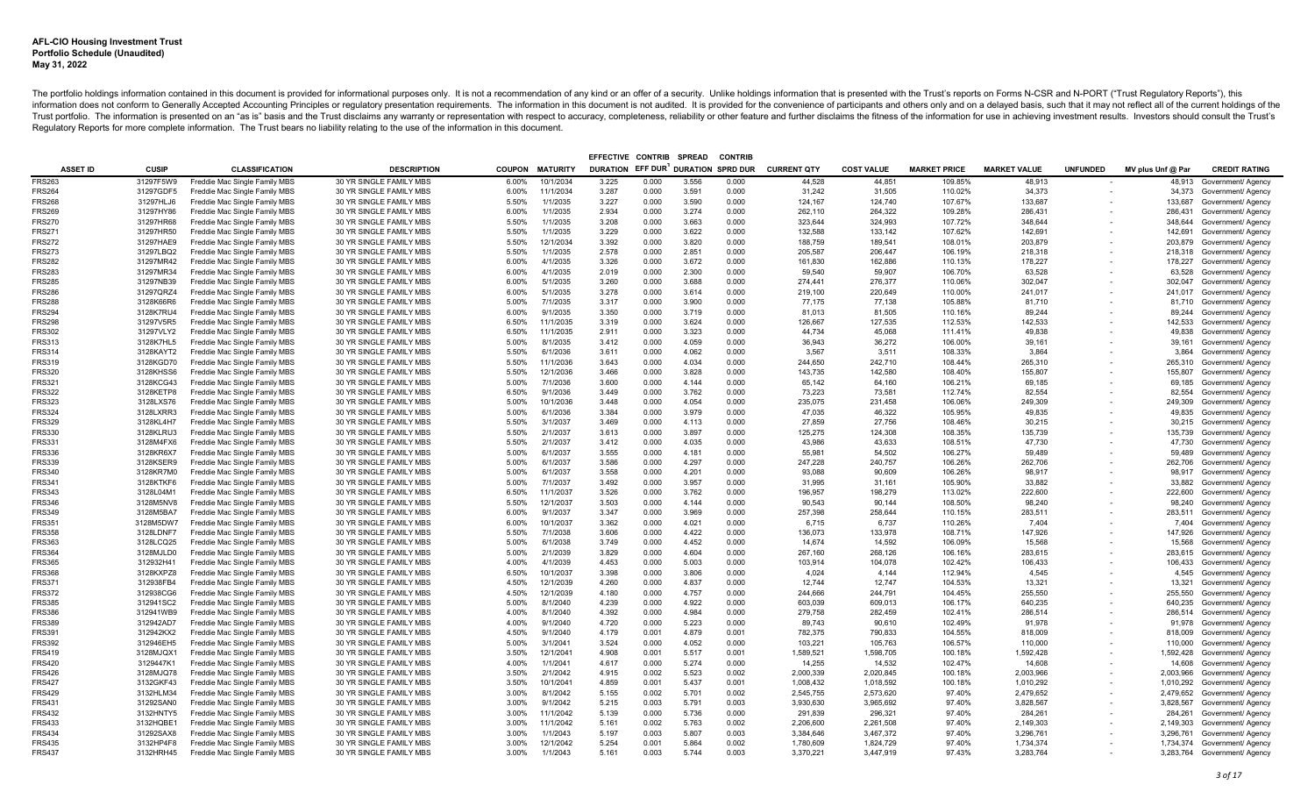|                  |                        |                                                                |                                                    |                |                        | EFFECTIVE CONTRIB                  |                | <b>SPREAD</b>  | <b>CONTRIE</b> |                    |                   |                     |                     |                 |                   |                                          |
|------------------|------------------------|----------------------------------------------------------------|----------------------------------------------------|----------------|------------------------|------------------------------------|----------------|----------------|----------------|--------------------|-------------------|---------------------|---------------------|-----------------|-------------------|------------------------------------------|
| <b>ASSET ID</b>  | <b>CUSIP</b>           | <b>CLASSIFICATION</b>                                          | <b>DESCRIPTION</b>                                 |                | <b>COUPON MATURITY</b> | DURATION EFF DUR DURATION SPRD DUR |                |                |                | <b>CURRENT QTY</b> | <b>COST VALUE</b> | <b>MARKET PRICE</b> | <b>MARKET VALUE</b> | <b>UNFUNDED</b> | MV plus Unf @ Par | <b>CREDIT RATING</b>                     |
| <b>FRS263</b>    | 31297F5W9              | Freddie Mac Single Family MBS                                  | 30 YR SINGLE FAMILY MBS                            | 6.00%          | 10/1/2034              | 3.225                              | 0.000          | 3.556          | 0.000          | 44,528             | 44,851            | 109.85%             | 48,913              |                 |                   | 48,913 Government/ Agency                |
| <b>FRS264</b>    | 31297GDF5              | Freddie Mac Single Family MBS                                  | 30 YR SINGLE FAMILY MBS                            | 6.00%          | 11/1/2034              | 3.287                              | 0.000          | 3.591          | 0.000          | 31,242             | 31,505            | 110.02%             | 34,373              |                 |                   | 34,373 Government/ Agency                |
| <b>FRS268</b>    | 31297HLJ6              | Freddie Mac Single Family MBS                                  | 30 YR SINGLE FAMILY MBS                            | 5.50%          | 1/1/2035               | 3.227                              | 0.000          | 3.590          | 0.000          | 124,167            | 124,740           | 107.67%             | 133,687             |                 | 133,687           | Government/ Agency                       |
| <b>FRS269</b>    | 31297HY86              | Freddie Mac Single Family MBS                                  | 30 YR SINGLE FAMILY MBS                            | 6.00%          | 1/1/2035               | 2.934                              | 0.000          | 3.274          | 0.000          | 262,110            | 264,322           | 109.28%             | 286,431             |                 | 286,431           | Government/ Agency                       |
| FRS270           | 31297HR68              | Freddie Mac Single Family MBS                                  | 30 YR SINGLE FAMILY MBS                            | 5.50%          | 1/1/2035               | 3.208                              | 0.000          | 3.663          | 0.000          | 323,644            | 324,993           | 107.72%             | 348,644             |                 | 348,644           | Government/ Agency                       |
| <b>FRS271</b>    | 31297HR50              | Freddie Mac Single Family MBS                                  | 30 YR SINGLE FAMILY MBS                            | 5.50%          | 1/1/2035               | 3.229                              | 0.000          | 3.622          | 0.000          | 132,588            | 133,142           | 107.62%             | 142,691             |                 | 142,691           | Government/ Agency                       |
| <b>FRS272</b>    | 31297HAE9              | Freddie Mac Single Family MBS                                  | 30 YR SINGLE FAMILY MBS                            | 5.50%          | 12/1/2034              | 3.392                              | 0.000          | 3.820          | 0.000          | 188,759            | 189,541           | 108.01%             | 203,879             |                 | 203,879           | Government/ Agency                       |
| FRS273           | 31297LBQ2              | Freddie Mac Single Family MBS                                  | 30 YR SINGLE FAMILY MBS                            | 5.50%          | 1/1/2035               | 2.578                              | 0.000          | 2.851          | 0.000          | 205,587            | 206,447           | 106.19%             | 218,318             |                 | 218,318           | Government/ Agency                       |
| FRS282           | 31297MR42              | Freddie Mac Single Family MBS                                  | 30 YR SINGLE FAMILY MBS                            | 6.00%          | 4/1/2035               | 3.326                              | 0.000          | 3.672          | 0.000          | 161,830            | 162,886           | 110.13%             | 178,227             |                 | 178,227           | Government/ Agency                       |
| FRS283           | 31297MR34              | Freddie Mac Single Family MBS                                  | 30 YR SINGLE FAMILY MBS                            | 6.00%          | 4/1/2035               | 2.019                              | 0.000          | 2.300          | 0.000          | 59.540             | 59.907            | 106.70%             | 63,528              |                 | 63,528            | Government/ Agency                       |
| FRS285           | 31297NB39              | Freddie Mac Single Family MBS                                  | 30 YR SINGLE FAMILY MBS                            | 6.00%          | 5/1/2035               | 3.260                              | 0.000          | 3.688          | 0.000          | 274,441            | 276,377           | 110.06%             | 302,047             |                 | 302,047           | Government/ Agency                       |
| FRS286           | 31297QRZ4              | Freddie Mac Single Family MBS                                  | 30 YR SINGLE FAMILY MBS                            | 6.00%          | 5/1/2035               | 3.278                              | 0.000          | 3.614          | 0.000          | 219.100            | 220,649           | 110.00%             | 241,017             |                 | 241,017           | Government/ Agency                       |
| FRS288           | 3128K66R6              | Freddie Mac Single Family MBS                                  | 30 YR SINGLE FAMILY MBS                            | 5.00%          | 7/1/2035               | 3.317                              | 0.000          | 3.900          | 0.000          | 77,175             | 77.138            | 105.88%             | 81.710              |                 | 81,710            | Government/ Agency                       |
| FRS294           | 3128K7RU4              | Freddie Mac Single Family MBS                                  | 30 YR SINGLE FAMILY MBS                            | 6.00%          | 9/1/2035               | 3.350                              | 0.000          | 3.719          | 0.000          | 81.013             | 81.505            | 110.16%             | 89,244              |                 | 89,244            | Government/ Agency                       |
| FRS298           | 31297V5R5              | Freddie Mac Single Family MBS                                  | 30 YR SINGLE FAMILY MBS                            | 6.50%          | 11/1/2035              | 3.319                              | 0.000          | 3.624          | 0.000          | 126,667            | 127,535           | 112.53%             | 142,533             |                 | 142,533           | Government/ Agency                       |
| <b>FRS302</b>    | 31297VLY2              | Freddie Mac Single Family MBS                                  | 30 YR SINGLE FAMILY MBS                            | 6.50%          | 11/1/2035              | 2.911                              | 0.000          | 3.323          | 0.000          | 44.734             | 45.068            | 111.41%             | 49.838              |                 | 49.838            | Government/ Agency                       |
| FRS313           | 3128K7HL5              | Freddie Mac Single Family MBS                                  | 30 YR SINGLE FAMILY MBS                            | 5.00%          | 8/1/2035               | 3.412                              | 0.000          | 4.059          | 0.000          | 36.943             | 36,272            | 106.00%             | 39,161              |                 | 39,161            | Government/ Agency                       |
| FRS314           | 3128KAYT2              | Freddie Mac Single Family MBS                                  | 30 YR SINGLE FAMILY MBS                            | 5.50%          | 6/1/2036               | 3.611                              | 0.000          | 4.062          | 0.000          | 3,567              | 3,511             | 108.33%             | 3,864               |                 | 3,864             | Government/ Agency                       |
| <b>FRS319</b>    | 3128KGD70              | Freddie Mac Single Family MBS                                  | 30 YR SINGLE FAMILY MBS                            | 5.50%          | 11/1/2036              | 3.643                              | 0.000          | 4.034          | 0.000          | 244.650            | 242.710           | 108.44%             | 265.310             |                 | 265.310           | Government/ Agency                       |
| FRS320           | 3128KHSS6              | Freddie Mac Single Family MBS                                  | 30 YR SINGLE FAMILY MBS                            | 5.50%          | 12/1/2036              | 3.466                              | 0.000          | 3.828          | 0.000          | 143,735            | 142,580           | 108.40%             | 155,807             |                 | 155,807           | Government/ Agency                       |
| FRS321           | 3128KCG43              | Freddie Mac Single Family MBS                                  | 30 YR SINGLE FAMILY MBS                            | 5.00%          | 7/1/2036               | 3.600                              | 0.000          | 4.144          | 0.000          | 65,142             | 64,160            | 106.21%             | 69,185              |                 | 69,185            | Government/ Agency                       |
| <b>FRS322</b>    | 3128KETP8              | Freddie Mac Single Family MBS                                  | 30 YR SINGLE FAMILY MBS                            | 6.50%          | 9/1/2036               | 3.449                              | 0.000          | 3.762          | 0.000          | 73,223             | 73.581            | 112.74%             | 82.554              |                 | 82,554            | Government/ Agency                       |
| FRS323           | 3128LXS76              | Freddie Mac Single Family MBS                                  | 30 YR SINGLE FAMILY MBS                            | 5.00%          | 10/1/2036              | 3.448                              | 0.000          | 4.054          | 0.000          | 235,075            | 231,458           | 106.06%             | 249,309             |                 | 249,309           | Government/ Agency                       |
| <b>FRS324</b>    | 3128LXRR3              | Freddie Mac Single Family MBS                                  | 30 YR SINGLE FAMILY MBS                            | 5.00%          | 6/1/2036               | 3.384                              | 0.000          | 3.979          | 0.000          | 47.035             | 46.322            | 105.95%             | 49.835              |                 | 49,835            | Government/ Agency                       |
| FRS329           | 3128KL4H7              | Freddie Mac Single Family MBS                                  | 30 YR SINGLE FAMILY MBS                            | 5.50%          | 3/1/2037               | 3.469                              | 0.000          | 4.113          | 0.000          | 27.859             | 27.756            | 108.46%             | 30,215              |                 | 30,215            | Government/ Agency                       |
| FRS330           | 3128KLRU3              | Freddie Mac Single Family MBS                                  | 30 YR SINGLE FAMILY MBS                            | 5.50%          | 2/1/2037               | 3.613                              | 0.000          | 3.897          | 0.000          | 125,275            | 124,308           | 108.35%             | 135,739             |                 | 135,739           | Government/ Agency                       |
| FRS331           | 3128M4FX6              | Freddie Mac Single Family MBS                                  | 30 YR SINGLE FAMILY MBS                            | 5.50%          | 2/1/2037               | 3.412                              | 0.000          | 4.035          | 0.000          | 43.986             | 43.633            | 108.51%             | 47.730              |                 | 47,730            | Government/ Agency                       |
| <b>FRS336</b>    | 3128KR6X7              | Freddie Mac Single Family MBS                                  | 30 YR SINGLE FAMILY MBS                            | 5.00%          | 6/1/2037               | 3.555                              | 0.000          | 4.181          | 0.000          | 55,981             | 54,502            | 106.27%             | 59,489              |                 | 59,489            | Government/ Agency                       |
| FRS339           | 3128KSER9              | Freddie Mac Single Family MBS                                  | 30 YR SINGLE FAMILY MBS                            | 5.00%          | 6/1/2037               | 3.586                              | 0.000          | 4.297          | 0.000          | 247,228            | 240,757           | 106.26%             | 262,706             |                 | 262,706           | Government/ Agency                       |
| FRS340           | 3128KR7M0              | Freddie Mac Single Family MBS                                  | 30 YR SINGLE FAMILY MBS                            | 5.00%          | 6/1/2037               | 3.558                              | 0.000          | 4.201          | 0.000          | 93,088             | 90.609            | 106.26%             | 98.917              |                 | 98.917            | Government/ Agency                       |
| FRS341<br>FRS343 | 3128KTKF6<br>3128L04M1 | Freddie Mac Single Family MBS                                  | 30 YR SINGLE FAMILY MBS<br>30 YR SINGLE FAMILY MBS | 5.00%          | 7/1/2037<br>11/1/2037  | 3.492<br>3.526                     | 0.000<br>0.000 | 3.957<br>3.762 | 0.000<br>0.000 | 31,995<br>196,957  | 31,161            | 105.90%<br>113.02%  | 33,882<br>222,600   |                 | 33,882<br>222,600 | Government/ Agency                       |
| FRS346           | 3128M5NV8              | Freddie Mac Single Family MBS<br>Freddie Mac Single Family MBS | 30 YR SINGLE FAMILY MBS                            | 6.50%<br>5.50% | 12/1/2037              | 3.503                              | 0.000          | 4.144          | 0.000          | 90.543             | 198,279<br>90.144 | 108.50%             | 98,240              |                 | 98,240            | Government/ Agency<br>Government/ Agency |
| <b>FRS349</b>    | 3128M5BA7              | Freddie Mac Single Family MBS                                  | 30 YR SINGLE FAMILY MBS                            | 6.00%          | 9/1/2037               | 3.347                              | 0.000          | 3.969          | 0.000          | 257,398            | 258,644           | 110.15%             | 283,511             |                 | 283,511           | Government/ Agency                       |
| FRS351           | 3128M5DW7              | Freddie Mac Single Family MBS                                  | 30 YR SINGLE FAMILY MBS                            | 6.00%          | 10/1/2037              | 3.362                              | 0.000          | 4.021          | 0.000          | 6,715              | 6,737             | 110.26%             | 7,404               |                 | 7,404             | Government/ Agency                       |
| <b>FRS358</b>    | 3128LDNF7              | Freddie Mac Single Family MBS                                  | 30 YR SINGLE FAMILY MBS                            | 5.50%          | 7/1/2038               | 3.606                              | 0.000          | 4.422          | 0.000          | 136,073            | 133,978           | 108.71%             | 147,926             |                 | 147,926           | Government/ Agency                       |
| FRS363           | 3128LCQ25              | Freddie Mac Single Family MBS                                  | 30 YR SINGLE FAMILY MBS                            | 5.00%          | 6/1/2038               | 3.749                              | 0.000          | 4.452          | 0.000          | 14.674             | 14,592            | 106.09%             | 15,568              |                 | 15,568            | Government/ Agency                       |
| <b>FRS364</b>    | 3128MJLD0              | Freddie Mac Single Family MBS                                  | 30 YR SINGLE FAMILY MBS                            | 5.00%          | 2/1/2039               | 3.829                              | 0.000          | 4.604          | 0.000          | 267.160            | 268.126           | 106.16%             | 283.615             |                 | 283,615           | Government/ Agency                       |
| FRS365           | 312932H41              | Freddie Mac Single Family MBS                                  | 30 YR SINGLE FAMILY MBS                            | 4.00%          | 4/1/2039               | 4.453                              | 0.000          | 5.003          | 0.000          | 103.914            | 104.078           | 102.42%             | 106,433             |                 | 106,433           | Government/ Agency                       |
| FRS368           | 3128KXPZ8              | Freddie Mac Single Family MBS                                  | 30 YR SINGLE FAMILY MBS                            | 6.50%          | 10/1/2037              | 3.398                              | 0.000          | 3.806          | 0.000          | 4.024              | 4 1 4 4           | 112.94%             | 4.545               |                 | 4.545             | Government/ Agency                       |
| FRS371           | 312938FB4              | Freddie Mac Single Family MBS                                  | 30 YR SINGLE FAMILY MBS                            | 4.50%          | 12/1/2039              | 4.260                              | 0.000          | 4.837          | 0.000          | 12.744             | 12.747            | 104.53%             | 13.321              |                 | 13.321            | Government/ Agency                       |
| <b>FRS372</b>    | 312938CG6              | Freddie Mac Single Family MBS                                  | 30 YR SINGLE FAMILY MBS                            | 4.50%          | 12/1/2039              | 4.180                              | 0.000          | 4.757          | 0.000          | 244.666            | 244.791           | 104.45%             | 255.550             |                 | 255,550           | Government/ Agency                       |
| FRS385           | 312941SC2              | Freddie Mac Single Family MBS                                  | 30 YR SINGLE FAMILY MBS                            | 5.00%          | 8/1/2040               | 4.239                              | 0.000          | 4.922          | 0.000          | 603,039            | 609,013           | 106.17%             | 640,235             |                 | 640,235           | Government/ Agency                       |
| <b>FRS386</b>    | 312941WB9              | Freddie Mac Single Family MBS                                  | 30 YR SINGLE FAMILY MBS                            | 4.00%          | 8/1/2040               | 4.392                              | 0.000          | 4.984          | 0.000          | 279.758            | 282.459           | 102.41%             | 286.514             |                 | 286.514           | Government/ Agency                       |
| FRS389           | 312942AD7              | Freddie Mac Single Family MBS                                  | 30 YR SINGLE FAMILY MBS                            | 4.00%          | 9/1/2040               | 4.720                              | 0.000          | 5.223          | 0.000          | 89,743             | 90.610            | 102.49%             | 91,978              |                 | 91,978            | Government/ Agency                       |
| FRS391           | 312942KX2              | Freddie Mac Single Family MBS                                  | 30 YR SINGLE FAMILY MBS                            | 4.50%          | 9/1/2040               | 4.179                              | 0.001          | 4.879          | 0.001          | 782,375            | 790,833           | 104.55%             | 818,009             |                 | 818,009           | Government/ Agency                       |
| <b>FRS392</b>    | 312946EH5              | Freddie Mac Single Family MBS                                  | 30 YR SINGLE FAMILY MBS                            | 5.00%          | 3/1/2041               | 3.524                              | 0.000          | 4.052          | 0.000          | 103.221            | 105,763           | 106.57%             | 110,000             |                 | 110,000           | Government/ Agency                       |
| FRS419           | 3128MJQX1              | Freddie Mac Single Family MBS                                  | 30 YR SINGLE FAMILY MBS                            | 3.50%          | 12/1/2041              | 4.908                              | 0.001          | 5.517          | 0.001          | 1,589,521          | 1,598,705         | 100.18%             | 1,592,428           |                 | 1,592,428         | Government/ Agency                       |
| <b>FRS420</b>    | 3129447K1              | Freddie Mac Single Family MBS                                  | 30 YR SINGLE FAMILY MBS                            | 4.00%          | 1/1/2041               | 4.617                              | 0.000          | 5.274          | 0.000          | 14,255             | 14,532            | 102.47%             | 14,608              |                 | 14,608            | Government/ Agency                       |
| <b>FRS426</b>    | 3128MJQ78              | Freddie Mac Single Family MBS                                  | 30 YR SINGLE FAMILY MBS                            | 3.50%          | 2/1/2042               | 4.915                              | 0.002          | 5.523          | 0.002          | 2,000,339          | 2.020.845         | 100.18%             | 2,003,966           |                 | 2,003,966         | Government/ Agency                       |
| FRS427           | 3132GKF43              | Freddie Mac Single Family MBS                                  | 30 YR SINGLE FAMILY MBS                            | 3.50%          | 10/1/2041              | 4.859                              | 0.001          | 5.437          | 0.001          | 1,008,432          | 1,018,592         | 100.18%             | 1,010,292           |                 | 1,010,292         | Government/ Agency                       |
| <b>FRS429</b>    | 3132HLM34              | Freddie Mac Single Family MBS                                  | 30 YR SINGLE FAMILY MBS                            | 3.00%          | 8/1/2042               | 5.155                              | 0.002          | 5.701          | 0.002          | 2,545,755          | 2,573,620         | 97.40%              | 2,479,652           |                 | 2,479,652         | Government/ Agency                       |
| FRS431           | 31292SAN0              | Freddie Mac Single Family MBS                                  | 30 YR SINGLE FAMILY MBS                            | 3.00%          | 9/1/2042               | 5.215                              | 0.003          | 5.791          | 0.003          | 3,930,630          | 3,965,692         | 97.40%              | 3,828,567           |                 | 3,828,567         | Government/ Agency                       |
| FRS432           | 3132HNTY5              | Freddie Mac Single Family MBS                                  | 30 YR SINGLE FAMILY MBS                            | 3.00%          | 11/1/2042              | 5.139                              | 0.000          | 5.736          | 0.000          | 291,839            | 296,321           | 97.40%              | 284,261             |                 | 284,261           | Government/ Agency                       |
| FRS433           | 3132HQBE1              | Freddie Mac Single Family MBS                                  | 30 YR SINGLE FAMILY MBS                            | 3.00%          | 11/1/2042              | 5.161                              | 0.002          | 5.763          | 0.002          | 2,206,600          | 2,261,508         | 97.40%              | 2,149,303           |                 | 2,149,303         | Government/ Agency                       |
| FRS434           | 31292SAX8              | Freddie Mac Single Family MBS                                  | 30 YR SINGLE FAMILY MBS                            | 3.00%          | 1/1/2043               | 5.197                              | 0.003          | 5.807          | 0.003          | 3,384,646          | 3,467,372         | 97.40%              | 3,296,761           |                 | 3,296,761         | Government/ Agency                       |
| FRS435           | 3132HP4F8              | Freddie Mac Single Family MBS                                  | 30 YR SINGLE FAMILY MBS                            | 3.00%          | 12/1/2042              | 5.254                              | 0.001          | 5.864          | 0.002          | 1,780,609          | 1,824,729         | 97.40%              | 1,734,374           |                 |                   | 1,734,374 Government/ Agency             |
| FRS437           | 3132HRH45              | Freddie Mac Single Family MBS                                  | 30 YR SINGLE FAMILY MBS                            | 3.00%          | 1/1/2043               | 5.161                              | 0.003          | 5.744          | 0.003          | 3.370.221          | 3.447.919         | 97.43%              | 3.283.764           |                 |                   | 3,283,764 Government/ Agency             |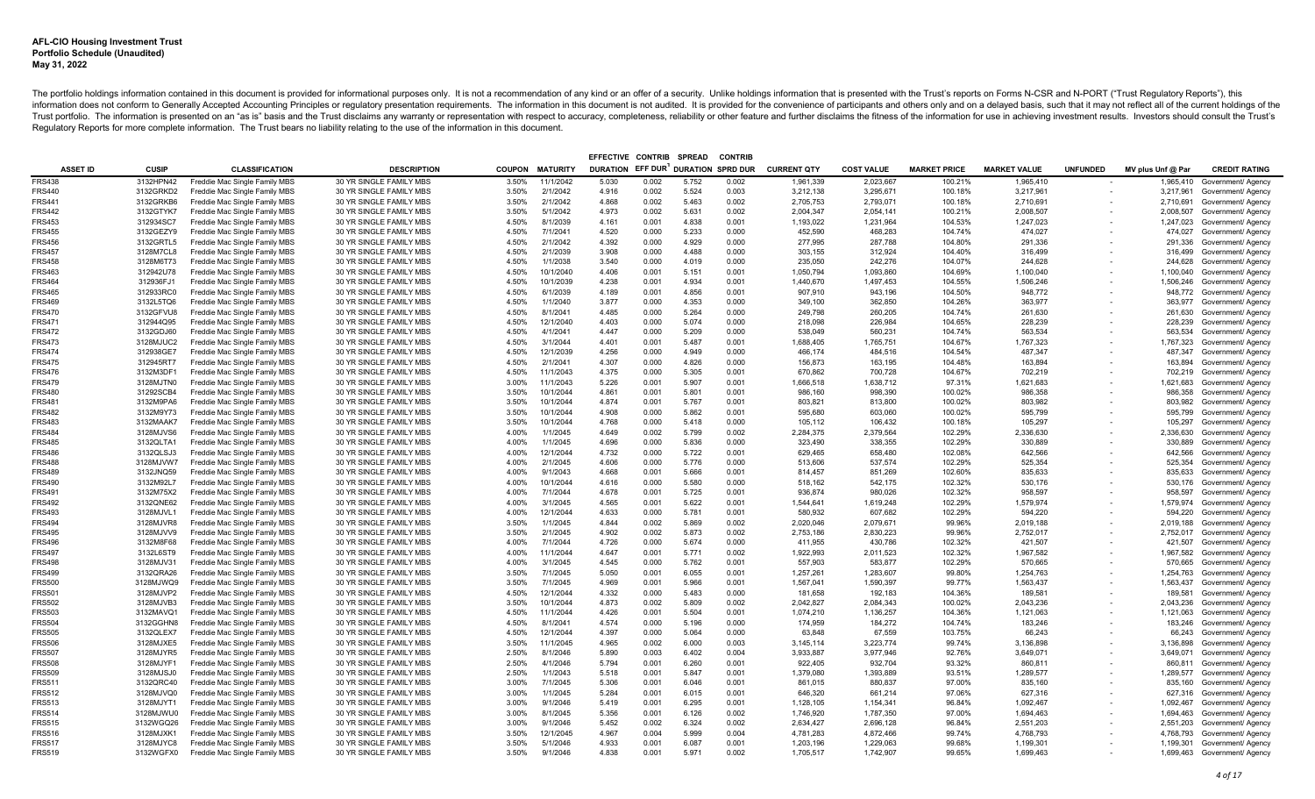|                         |                        |                                                                |                                                    |                |                        | EFFECTIVE CONTRIB                  |                | <b>SPREAD</b>  | <b>CONTRIE</b> |                      |                      |                     |                      |                          |                      |                                          |
|-------------------------|------------------------|----------------------------------------------------------------|----------------------------------------------------|----------------|------------------------|------------------------------------|----------------|----------------|----------------|----------------------|----------------------|---------------------|----------------------|--------------------------|----------------------|------------------------------------------|
| <b>ASSET ID</b>         | <b>CUSIP</b>           | <b>CLASSIFICATION</b>                                          | <b>DESCRIPTION</b>                                 |                | <b>COUPON MATURITY</b> | DURATION EFF DUR DURATION SPRD DUR |                |                |                | <b>CURRENT QTY</b>   | <b>COST VALUE</b>    | <b>MARKET PRICE</b> | <b>MARKET VALUE</b>  | <b>UNFUNDED</b>          | MV plus Unf @ Par    | <b>CREDIT RATING</b>                     |
| <b>FRS438</b>           | 3132HPN42              | Freddie Mac Single Family MBS                                  | 30 YR SINGLE FAMILY MBS                            | 3.50%          | 11/1/2042              | 5.030                              | 0.002          | 5.752          | 0.002          | 1,961,339            | 2,023,667            | 100.21%             | 1,965,410            |                          | 1,965,410            | Government/ Agency                       |
| <b>FRS440</b>           | 3132GRKD2              | Freddie Mac Single Family MBS                                  | 30 YR SINGLE FAMILY MBS                            | 3.50%          | 2/1/2042               | 4.916                              | 0.002          | 5.524          | 0.003          | 3,212,138            | 3,295,671            | 100.18%             | 3,217,961            | $\overline{\phantom{a}}$ |                      | 3,217,961 Government/ Agency             |
| <b>FRS441</b>           | 3132GRKB6              | Freddie Mac Single Family MBS                                  | 30 YR SINGLE FAMILY MBS                            | 3.50%          | 2/1/2042               | 4.868                              | 0.002          | 5.463          | 0.002          | 2,705,753            | 2,793,071            | 100.18%             | 2,710,691            |                          |                      | 2,710,691 Government/ Agency             |
| <b>FRS442</b>           | 3132GTYK7              | Freddie Mac Single Family MBS                                  | 30 YR SINGLE FAMILY MBS                            | 3.50%          | 5/1/2042               | 4.973                              | 0.002          | 5.631          | 0.002          | 2,004,347            | 2,054,141            | 100.21%             | 2,008,507            |                          | 2,008,507            | Government/ Agency                       |
| FRS453                  | 312934SC7              | Freddie Mac Single Family MBS                                  | 30 YR SINGLE FAMILY MBS                            | 4.50%          | 8/1/2039               | 4.161                              | 0.001          | 4.838          | 0.001          | 1,193,022            | 1,231,964            | 104.53%             | 1,247,023            |                          | 1,247,023            | Government/ Agency                       |
| FRS455                  | 3132GEZY9              | Freddie Mac Single Family MBS                                  | 30 YR SINGLE FAMILY MBS                            | 4.50%          | 7/1/2041               | 4.520                              | 0.000          | 5.233          | 0.000          | 452,590              | 468,283              | 104.74%             | 474,027              |                          | 474,027              | Government/ Agency                       |
| <b>FRS456</b>           | 3132GRTL5              | Freddie Mac Single Family MBS                                  | 30 YR SINGLE FAMILY MBS                            | 4.50%          | 2/1/2042               | 4.392                              | 0.000          | 4.929          | 0.000          | 277,995              | 287,788              | 104.80%             | 291,336              |                          | 291,336              | Government/ Agency                       |
| FRS457                  | 3128M7CL8              | Freddie Mac Single Family MBS                                  | 30 YR SINGLE FAMILY MBS                            | 4.50%          | 2/1/2039               | 3.908                              | 0.000          | 4.488          | 0.000          | 303,155              | 312,924              | 104.40%             | 316,499              |                          | 316,499              | Government/ Agency                       |
| FRS458                  | 3128M6T73              | Freddie Mac Single Family MBS                                  | 30 YR SINGLE FAMILY MBS                            | 4.50%          | 1/1/2038               | 3.540                              | 0.000          | 4.019          | 0.000          | 235,050              | 242,276              | 104.07%             | 244,628              |                          | 244,628              | Government/ Agency                       |
| FRS463                  | 312942U78              | Freddie Mac Single Family MBS                                  | 30 YR SINGLE FAMILY MBS                            | 4.50%          | 10/1/2040              | 4.406                              | 0.001          | 5.151          | 0.001          | 1,050,794            | 1.093.860            | 104.69%             | 1,100,040            |                          | 1,100,040            | Government/ Agency                       |
| FRS464                  | 312936FJ1              | Freddie Mac Single Family MBS                                  | 30 YR SINGLE FAMILY MBS                            | 4.50%          | 10/1/2039              | 4.238                              | 0.001          | 4.934          | 0.001          | 1,440,670            | 1,497,453            | 104.55%             | 1,506,246            |                          | 1,506,246            | Government/ Agency                       |
| FRS465                  | 312933RC0              | Freddie Mac Single Family MBS                                  | 30 YR SINGLE FAMILY MBS                            | 4.50%          | 6/1/2039               | 4.189                              | 0.001          | 4.856          | 0.001          | 907,910              | 943,196              | 104.50%             | 948,772              |                          | 948,772              | Government/ Agency                       |
| FRS469                  | 3132L5TQ6              | Freddie Mac Single Family MBS                                  | 30 YR SINGLE FAMILY MBS                            | 4.50%          | 1/1/2040               | 3.877                              | 0.000          | 4.353          | 0.000          | 349.100              | 362.850              | 104.26%             | 363.977              |                          |                      | 363,977 Government/ Agency               |
| FRS470                  | 3132GFVU8              | Freddie Mac Single Family MBS                                  | 30 YR SINGLE FAMILY MBS                            | 4.50%          | 8/1/2041               | 4.485                              | 0.000          | 5.264          | 0.000          | 249.798              | 260,205              | 104.74%             | 261,630              |                          | 261,630              | Government/ Agency                       |
| FRS471                  | 312944Q95              | Freddie Mac Single Family MBS                                  | 30 YR SINGLE FAMILY MBS                            | 4.50%          | 12/1/2040              | 4.403                              | 0.000          | 5.074          | 0.000          | 218,098              | 226,984              | 104.65%             | 228,239              |                          | 228,239              | Government/ Agency                       |
| <b>FRS472</b>           | 3132GDJ60              | Freddie Mac Single Family MBS                                  | 30 YR SINGLE FAMILY MBS                            | 4.50%          | 4/1/2041               | 4.447                              | 0.000          | 5.209          | 0.000          | 538.049              | 560.231              | 104.74%             | 563.534              |                          | 563.534              | Government/ Agency                       |
| FRS473                  | 3128MJUC2              | Freddie Mac Single Family MBS                                  | 30 YR SINGLE FAMILY MBS                            | 4.50%          | 3/1/2044               | 4.401                              | 0.001          | 5.487          | 0.001          | 1,688,405            | 1,765,751            | 104.67%             | 1,767,323            |                          | 1,767,323            | Government/ Agency                       |
| FRS474                  | 312938GE7              | Freddie Mac Single Family MBS                                  | 30 YR SINGLE FAMILY MBS                            | 4.50%          | 12/1/2039              | 4.256                              | 0.000          | 4.949          | 0.000          | 466,174              | 484,516              | 104.54%             | 487,347              |                          | 487,347              | Government/ Agency                       |
| <b>FRS475</b>           | 312945RT7              | Freddie Mac Single Family MBS                                  | 30 YR SINGLE FAMILY MBS                            | 4.50%          | 2/1/2041               | 4.307                              | 0.000          | 4.826          | 0.000          | 156.873              | 163.195              | 104.48%             | 163.894              |                          | 163,894              | Government/ Agency                       |
| FRS476                  | 3132M3DF1              | Freddie Mac Single Family MBS                                  | 30 YR SINGLE FAMILY MBS                            | 4.50%          | 11/1/2043              | 4.375                              | 0.000          | 5.305          | 0.001          | 670,862              | 700,728              | 104.67%             | 702,219              |                          | 702,219              | Government/ Agency                       |
| FRS479                  | 3128MJTN0              | Freddie Mac Single Family MBS                                  | 30 YR SINGLE FAMILY MBS                            | 3.00%          | 11/1/2043              | 5.226                              | 0.001          | 5.907          | 0.001          | 1,666,518            | 1,638,712            | 97.31%              | 1,621,683            |                          | 1,621,683            | Government/ Agency                       |
| FRS480                  | 31292SCB4              | Freddie Mac Single Family MBS                                  | 30 YR SINGLE FAMILY MBS                            | 3.50%          | 10/1/2044              | 4.861                              | 0.001          | 5.801          | 0.001          | 986.160              | 998,390              | 100.02%             | 986.358              |                          | 986,358              | Government/ Agency                       |
| FRS481<br><b>FRS482</b> | 3132M9PA6<br>3132M9Y73 | Freddie Mac Single Family MBS                                  | 30 YR SINGLE FAMILY MBS<br>30 YR SINGLE FAMILY MBS | 3.50%<br>3.50% | 10/1/2044<br>10/1/2044 | 4.874<br>4.908                     | 0.001<br>0.000 | 5.767<br>5.862 | 0.001<br>0.001 | 803,821<br>595.680   | 813,800<br>603.060   | 100.02%<br>100.02%  | 803,982<br>595.799   |                          | 803,982<br>595,799   | Government/ Agency                       |
| FRS483                  | 3132MAAK7              | Freddie Mac Single Family MBS<br>Freddie Mac Single Family MBS | 30 YR SINGLE FAMILY MBS                            | 3.50%          | 10/1/2044              | 4.768                              | 0.000          | 5.418          | 0.000          | 105,112              | 106,432              | 100.18%             | 105,297              |                          | 105,297              | Government/ Agency<br>Government/ Agency |
| FRS484                  | 3128MJVS6              | Freddie Mac Single Family MBS                                  | 30 YR SINGLE FAMILY MBS                            | 4.00%          | 1/1/2045               | 4.649                              | 0.002          | 5.799          | 0.002          | 2,284,375            | 2,379,564            | 102.29%             | 2,336,630            |                          | 2,336,630            | Government/ Agency                       |
| <b>FRS485</b>           | 3132QLTA1              | Freddie Mac Single Family MBS                                  | 30 YR SINGLE FAMILY MBS                            | 4.00%          | 1/1/2045               | 4.696                              | 0.000          | 5.836          | 0.000          | 323,490              | 338.355              | 102.29%             | 330.889              |                          | 330,889              | Government/ Agency                       |
| FRS486                  | 3132QLSJ3              | Freddie Mac Single Family MBS                                  | 30 YR SINGLE FAMILY MBS                            | 4.00%          | 12/1/2044              | 4.732                              | 0.000          | 5.722          | 0.001          | 629,465              | 658,480              | 102.08%             | 642,566              |                          | 642,566              | Government/ Agency                       |
| <b>FRS488</b>           | 3128MJVW7              | Freddie Mac Single Family MBS                                  | 30 YR SINGLE FAMILY MBS                            | 4.00%          | 2/1/2045               | 4.606                              | 0.000          | 5.776          | 0.000          | 513,606              | 537,574              | 102.29%             | 525,354              |                          | 525,354              | Government/ Agency                       |
| FRS489                  | 3132JNQ59              | Freddie Mac Single Family MBS                                  | 30 YR SINGLE FAMILY MBS                            | 4.00%          | 9/1/2043               | 4.668                              | 0.001          | 5.666          | 0.001          | 814.457              | 851,269              | 102.60%             | 835.633              |                          | 835,633              | Government/ Agency                       |
| FRS490                  | 3132M92L7              | Freddie Mac Single Family MBS                                  | 30 YR SINGLE FAMILY MBS                            | 4.00%          | 10/1/2044              | 4.616                              | 0.000          | 5.580          | 0.000          | 518,162              | 542,175              | 102.32%             | 530,176              |                          | 530,176              | Government/ Agency                       |
| FRS491                  | 3132M75X2              | Freddie Mac Single Family MBS                                  | 30 YR SINGLE FAMILY MBS                            | 4.00%          | 7/1/2044               | 4.678                              | 0.001          | 5.725          | 0.001          | 936,874              | 980,026              | 102.32%             | 958,597              |                          | 958,597              | Government/ Agency                       |
| FRS492                  | 3132QNE62              | Freddie Mac Single Family MBS                                  | 30 YR SINGLE FAMILY MBS                            | 4.00%          | 3/1/2045               | 4.565                              | 0.001          | 5.622          | 0.001          | 1,544,641            | 1,619,248            | 102.29%             | 1.579.974            |                          | 1,579,974            | Government/ Agency                       |
| FRS493                  | 3128MJVL1              | Freddie Mac Single Family MBS                                  | 30 YR SINGLE FAMILY MBS                            | 4.00%          | 12/1/2044              | 4.633                              | 0.000          | 5.781          | 0.001          | 580,932              | 607,682              | 102.29%             | 594,220              |                          | 594,220              | Government/ Agency                       |
| FRS494                  | 3128MJVR8              | Freddie Mac Single Family MBS                                  | 30 YR SINGLE FAMILY MBS                            | 3.50%          | 1/1/2045               | 4.844                              | 0.002          | 5.869          | 0.002          | 2,020,046            | 2,079,671            | 99.96%              | 2,019,188            |                          | 2,019,188            | Government/ Agency                       |
| FRS495                  | 3128MJVV9              | Freddie Mac Single Family MBS                                  | 30 YR SINGLE FAMILY MBS                            | 3.50%          | 2/1/2045               | 4.902                              | 0.002          | 5.873          | 0.002          | 2,753,186            | 2,830,223            | 99.96%              | 2,752,017            |                          |                      | 2,752,017 Government/ Agency             |
| FRS496                  | 3132M8F68              | Freddie Mac Single Family MBS                                  | 30 YR SINGLE FAMILY MBS                            | 4.00%          | 7/1/2044               | 4.726                              | 0.000          | 5.674          | 0.000          | 411,955              | 430,786              | 102.32%             | 421,507              |                          | 421,507              | Government/ Agency                       |
| FRS497                  | 3132L6ST9              | Freddie Mac Single Family MBS                                  | 30 YR SINGLE FAMILY MBS                            | 4.00%          | 11/1/2044              | 4.647                              | 0.001          | 5.771          | 0.002          | 1,922,993            | 2,011,523            | 102.32%             | 1.967.582            |                          | 1,967,582            | Government/ Agency                       |
| <b>FRS498</b>           | 3128MJV31              | Freddie Mac Single Family MBS                                  | 30 YR SINGLE FAMILY MBS                            | 4.00%          | 3/1/2045               | 4.545                              | 0.000          | 5.762          | 0.001          | 557.903              | 583.877              | 102.29%             | 570,665              |                          | 570,665              | Government/ Agency                       |
| FRS499                  | 3132QRA26              | Freddie Mac Single Family MBS                                  | 30 YR SINGLE FAMILY MBS                            | 3.50%          | 7/1/2045               | 5.050                              | 0.001          | 6.055          | 0.001          | 1,257,261            | 1.283.607            | 99.80%              | 1,254,763            |                          | 1,254,763            | Government/ Agency                       |
| <b>FRS500</b>           | 3128MJWQ9              | Freddie Mac Single Family MBS                                  | 30 YR SINGLE FAMILY MBS                            | 3.50%          | 7/1/2045               | 4.969                              | 0.001          | 5.966          | 0.001          | 1.567.041            | 1.590.397            | 99.77%              | 1.563.437            |                          | 1,563,437            | Government/ Agency                       |
| FRS501                  | 3128MJVP2              | Freddie Mac Single Family MBS                                  | 30 YR SINGLE FAMILY MBS                            | 4.50%          | 12/1/2044              | 4.332                              | 0.000          | 5.483          | 0.000          | 181,658              | 192.183              | 104.36%             | 189.581              |                          | 189,581              | Government/ Agency                       |
| FRS502                  | 3128MJVB3              | Freddie Mac Single Family MBS                                  | 30 YR SINGLE FAMILY MBS                            | 3.50%          | 10/1/2044              | 4.873                              | 0.002          | 5.809          | 0.002          | 2,042,827            | 2,084,343            | 100.02%             | 2,043,236            |                          | 2,043,236            | Government/ Agency                       |
| <b>FRS503</b>           | 3132MAVQ1              | Freddie Mac Single Family MBS                                  | 30 YR SINGLE FAMILY MBS                            | 4.50%          | 11/1/2044              | 4.426                              | 0.001          | 5.504          | 0.001          | 1,074,210            | 1,136,257            | 104.36%             | 1.121.063            |                          | 1,121,063            | Government/ Agency                       |
| FRS504                  | 3132GGHN8              | Freddie Mac Single Family MBS                                  | 30 YR SINGLE FAMILY MBS                            | 4.50%          | 8/1/2041               | 4.574                              | 0.000          | 5.196          | 0.000          | 174,959              | 184,272              | 104.74%             | 183,246              |                          | 183,246              | Government/ Agency                       |
| FRS505                  | 3132QLEX7              | Freddie Mac Single Family MBS                                  | 30 YR SINGLE FAMILY MBS                            | 4.50%          | 12/1/2044              | 4.397                              | 0.000          | 5.064          | 0.000          | 63,848               | 67,559               | 103.75%             | 66,243               |                          |                      | 66,243 Government/ Agency                |
| <b>FRS506</b>           | 3128MJXE5              | Freddie Mac Single Family MBS                                  | 30 YR SINGLE FAMILY MBS                            | 3.50%          | 11/1/2045              | 4.965                              | 0.002          | 6.000          | 0.003          | 3,145,114            | 3,223,774            | 99.74%              | 3.136.898            |                          | 3,136,898            | Government/ Agency                       |
| FRS507                  | 3128MJYR5              | Freddie Mac Single Family MBS                                  | 30 YR SINGLE FAMILY MBS                            | 2.50%          | 8/1/2046               | 5.890                              | 0.003          | 6.402          | 0.004          | 3,933,887            | 3,977,946            | 92.76%              | 3,649,071            |                          | 3,649,071            | Government/ Agency                       |
| <b>FRS508</b>           | 3128MJYF1              | Freddie Mac Single Family MBS                                  | 30 YR SINGLE FAMILY MBS                            | 2.50%          | 4/1/2046               | 5.794                              | 0.001          | 6.260          | 0.001          | 922,405              | 932,704              | 93.32%              | 860,811              |                          | 860,811              | Government/ Agency                       |
| <b>FRS509</b>           | 3128MJSJ0              | Freddie Mac Single Family MBS                                  | 30 YR SINGLE FAMILY MBS                            | 2.50%          | 1/1/2043<br>7/1/2045   | 5.518                              | 0.001          | 5.847<br>6.046 | 0.001          | 1,379,080            | 1.393.889            | 93.51%              | 1.289.577            |                          |                      | 1,289,577 Government/ Agency             |
| FRS511                  | 3132QRC40              | Freddie Mac Single Family MBS                                  | 30 YR SINGLE FAMILY MBS                            | 3.00%          |                        | 5.306                              | 0.001          |                | 0.001          | 861,015              | 880,837              | 97.00%              | 835,160              |                          | 835,160              | Government/ Agency                       |
| FRS512<br>FRS513        | 3128MJVQ0<br>3128MJYT1 | Freddie Mac Single Family MBS<br>Freddie Mac Single Family MBS | 30 YR SINGLE FAMILY MBS<br>30 YR SINGLE FAMILY MBS | 3.00%<br>3.00% | 1/1/2045<br>9/1/2046   | 5.284<br>5.419                     | 0.001<br>0.001 | 6.015<br>6.295 | 0.001<br>0.001 | 646,320<br>1,128,105 | 661,214<br>1,154,341 | 97.06%<br>96.84%    | 627,316<br>1,092,467 |                          | 627,316<br>1,092,467 | Government/ Agency<br>Government/ Agency |
| FRS514                  | 3128MJWU0              | Freddie Mac Single Family MBS                                  | 30 YR SINGLE FAMILY MBS                            | 3.00%          | 8/1/2045               | 5.356                              | 0.001          | 6.126          | 0.002          | 1,746,920            | 1,787,350            | 97.00%              | 1,694,463            |                          | 1,694,463            | Government/ Agency                       |
| FRS515                  | 3132WGQ26              | Freddie Mac Single Family MBS                                  | 30 YR SINGLE FAMILY MBS                            | 3.00%          | 9/1/2046               | 5.452                              | 0.002          | 6.324          | 0.002          | 2,634,427            | 2,696,128            | 96.84%              | 2,551,203            |                          |                      | 2,551,203 Government/ Agency             |
| FRS516                  | 3128MJXK1              | Freddie Mac Single Family MBS                                  | 30 YR SINGLE FAMILY MBS                            | 3.50%          | 12/1/2045              | 4.967                              | 0.004          | 5.999          | 0.004          | 4,781,283            | 4,872,466            | 99.74%              | 4,768,793            |                          | 4,768,793            | Government/ Agency                       |
| FRS517                  | 3128MJYC8              | Freddie Mac Single Family MBS                                  | 30 YR SINGLE FAMILY MBS                            | 3.50%          | 5/1/2046               | 4.933                              | 0.001          | 6.087          | 0.001          | 1,203,196            | 1,229,063            | 99.68%              | 1,199,301            |                          |                      | 1,199,301 Government/ Agency             |
| FRS519                  | 3132WGFX0              | Freddie Mac Single Family MBS                                  | 30 YR SINGLE FAMILY MBS                            | 3.50%          | 9/1/2046               | 4.838                              | 0.001          | 5.971          | 0.002          | 1.705.517            | 1.742.907            | 99.65%              | 1.699.463            |                          |                      | 1,699,463 Government/ Agency             |
|                         |                        |                                                                |                                                    |                |                        |                                    |                |                |                |                      |                      |                     |                      |                          |                      |                                          |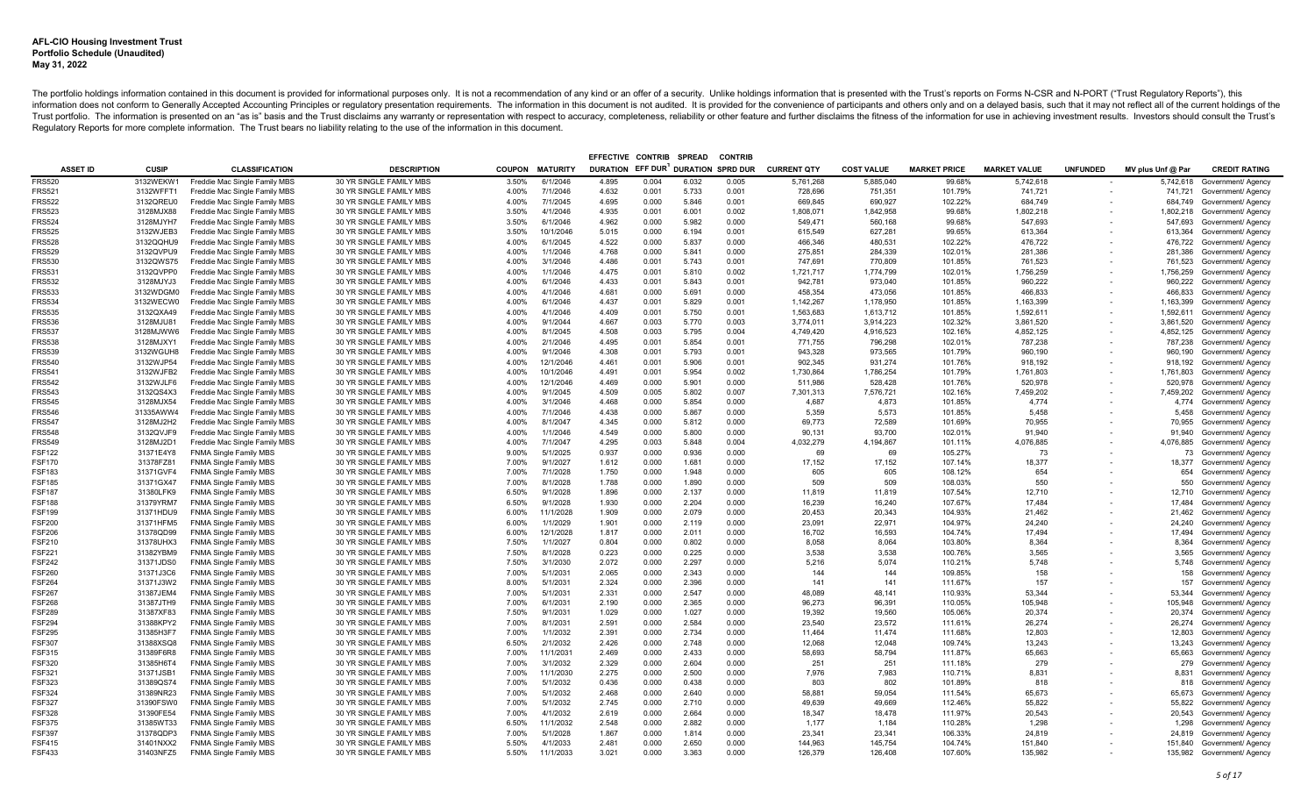|                         |                        |                                                                |                                                    |                |                        | EFFECTIVE CONTRIB                  |                | <b>SPREAD</b>  | <b>CONTRIE</b> |                     |                   |                     |                     |                          |                     |                                                  |
|-------------------------|------------------------|----------------------------------------------------------------|----------------------------------------------------|----------------|------------------------|------------------------------------|----------------|----------------|----------------|---------------------|-------------------|---------------------|---------------------|--------------------------|---------------------|--------------------------------------------------|
| <b>ASSET ID</b>         | <b>CUSIP</b>           | <b>CLASSIFICATION</b>                                          | <b>DESCRIPTION</b>                                 |                | <b>COUPON MATURITY</b> | DURATION EFF DUR DURATION SPRD DUR |                |                |                | <b>CURRENT QTY</b>  | <b>COST VALUE</b> | <b>MARKET PRICE</b> | <b>MARKET VALUE</b> | <b>UNFUNDED</b>          | MV plus Unf @ Par   | <b>CREDIT RATING</b>                             |
| <b>FRS520</b>           | 3132WEKW1              | Freddie Mac Single Family MBS                                  | 30 YR SINGLE FAMILY MBS                            | 3.50%          | 6/1/2046               | 4.895                              | 0.004          | 6.032          | 0.005          | 5,761,268           | 5,885,040         | 99.68%              | 5,742,618           |                          | 5,742,618           | Government/ Agency                               |
| <b>FRS521</b>           | 3132WFFT1              | Freddie Mac Single Family MBS                                  | 30 YR SINGLE FAMILY MBS                            | 4.00%          | 7/1/2046               | 4.632                              | 0.001          | 5.733          | 0.001          | 728,696             | 751,351           | 101.79%             | 741,721             | $\overline{\phantom{a}}$ |                     | 741,721 Government/ Agency                       |
| <b>FRS522</b>           | 3132QREU0              | Freddie Mac Single Family MBS                                  | 30 YR SINGLE FAMILY MBS                            | 4.00%          | 7/1/2045               | 4.695                              | 0.000          | 5.846          | 0.001          | 669,845             | 690,927           | 102.22%             | 684.749             |                          |                     | 684,749 Government/ Agency                       |
| <b>FRS523</b>           | 3128MJX88              | Freddie Mac Single Family MBS                                  | 30 YR SINGLE FAMILY MBS                            | 3.50%          | 4/1/2046               | 4.935                              | 0.001          | 6.001          | 0.002          | 1,808,071           | 1,842,958         | 99.68%              | 1,802,218           |                          |                     | 1,802,218 Government/ Agency                     |
| FRS524                  | 3128MJYH7              | Freddie Mac Single Family MBS                                  | 30 YR SINGLE FAMILY MBS                            | 3.50%          | 6/1/2046               | 4.962                              | 0.000          | 5.982          | 0.000          | 549,471             | 560,168           | 99.68%              | 547,693             |                          | 547,693             | Government/ Agency                               |
| FRS525                  | 3132WJEB3              | Freddie Mac Single Family MBS                                  | 30 YR SINGLE FAMILY MBS                            | 3.50%          | 10/1/2046              | 5.015                              | 0.000          | 6.194          | 0.001          | 615,549             | 627,281           | 99.65%              | 613,364             |                          | 613,364             | Government/ Agency                               |
| <b>FRS528</b>           | 3132QQHU9              | Freddie Mac Single Family MBS                                  | 30 YR SINGLE FAMILY MBS                            | 4.00%          | 6/1/2045               | 4.522                              | 0.000          | 5.837          | 0.000          | 466,346             | 480,531           | 102.22%             | 476,722             |                          | 476,722             | Government/ Agency                               |
| FRS529                  | 3132QVPU9              | Freddie Mac Single Family MBS                                  | 30 YR SINGLE FAMILY MBS                            | 4.00%          | 1/1/2046               | 4.768                              | 0.000          | 5.841          | 0.000          | 275,851             | 284,339           | 102.01%             | 281,386             |                          | 281,386             | Government/ Agency                               |
| FRS530                  | 3132QWS75              | Freddie Mac Single Family MBS                                  | 30 YR SINGLE FAMILY MBS                            | 4.00%          | 3/1/2046               | 4.486                              | 0.001          | 5.743          | 0.001          | 747,691             | 770,809           | 101.85%             | 761,523             |                          | 761,523             | Government/ Agency                               |
| FRS531                  | 3132QVPP0              | Freddie Mac Single Family MBS                                  | 30 YR SINGLE FAMILY MBS                            | 4.00%          | 1/1/2046               | 4.475                              | 0.001          | 5.810          | 0.002          | 1,721,717           | 1.774.799         | 102.01%             | 1,756,259           |                          | 1,756,259           | Government/ Agency                               |
| FRS532                  | 3128MJYJ3              | Freddie Mac Single Family MBS                                  | 30 YR SINGLE FAMILY MBS                            | 4.00%          | 6/1/2046               | 4.433                              | 0.001          | 5.843          | 0.001          | 942,781             | 973,040           | 101.85%             | 960,222             |                          | 960,222             | Government/ Agency                               |
| FRS533                  | 3132WDGM0              | Freddie Mac Single Family MBS                                  | 30 YR SINGLE FAMILY MBS                            | 4.00%          | 4/1/2046               | 4.681                              | 0.000          | 5.691          | 0.000          | 458,354             | 473,056           | 101.85%             | 466,833             |                          | 466,833             | Government/ Agency                               |
| FRS534                  | 3132WECW0              | Freddie Mac Single Family MBS                                  | 30 YR SINGLE FAMILY MBS                            | 4.00%          | 6/1/2046               | 4.437                              | 0.001          | 5.829          | 0.001          | 1,142,267           | 1,178,950         | 101.85%             | 1,163,399           |                          |                     | 1,163,399 Government/ Agency                     |
| FRS535                  | 3132QXA49              | Freddie Mac Single Family MBS                                  | 30 YR SINGLE FAMILY MBS                            | 4.00%          | 4/1/2046               | 4.409                              | 0.001          | 5.750          | 0.001          | 1.563.683           | 1.613.712         | 101.85%             | 1,592,611           |                          | 1,592,611           | Government/ Agency                               |
| FRS536                  | 3128MJU81              | Freddie Mac Single Family MBS                                  | 30 YR SINGLE FAMILY MBS                            | 4.00%          | 9/1/2044               | 4.667                              | 0.003          | 5.770          | 0.003          | 3,774,011           | 3,914,223         | 102.32%             | 3,861,520           |                          | 3,861,520           | Government/ Agency                               |
| FRS537                  | 3128MJWW6              | Freddie Mac Single Family MBS                                  | 30 YR SINGLE FAMILY MBS                            | 4.00%          | 8/1/2045               | 4.508                              | 0.003          | 5.795          | 0.004          | 4.749.420           | 4.916.523         | 102.16%             | 4.852.125           |                          | 4,852,125           | Government/ Agency                               |
| FRS538                  | 3128MJXY1              | Freddie Mac Single Family MBS                                  | 30 YR SINGLE FAMILY MBS                            | 4.00%          | 2/1/2046               | 4.495                              | 0.001          | 5.854          | 0.001          | 771,755             | 796,298           | 102.01%             | 787,238             |                          | 787,238             | Government/ Agency                               |
| FRS539                  | 3132WGUH8              | Freddie Mac Single Family MBS                                  | 30 YR SINGLE FAMILY MBS                            | 4.00%          | 9/1/2046               | 4.308                              | 0.001          | 5.793          | 0.001          | 943,328             | 973,565           | 101.79%             | 960,190             |                          | 960,190             | Government/ Agency                               |
| FRS540                  | 3132WJP54              | Freddie Mac Single Family MBS                                  | 30 YR SINGLE FAMILY MBS                            | 4.00%          | 12/1/2046              | 4.461                              | 0.001          | 5.906          | 0.001          | 902.345             | 931.274           | 101.76%             | 918.192             |                          |                     | 918,192 Government/ Agency                       |
| FRS541                  | 3132WJFB2              | Freddie Mac Single Family MBS                                  | 30 YR SINGLE FAMILY MBS                            | 4.00%          | 10/1/2046              | 4.491                              | 0.001          | 5.954          | 0.002          | 1,730,864           | 1,786,254         | 101.79%             | 1,761,803           |                          | 1,761,803           | Government/ Agency                               |
| FRS542                  | 3132WJLF6              | Freddie Mac Single Family MBS                                  | 30 YR SINGLE FAMILY MBS                            | 4.00%          | 12/1/2046              | 4.469                              | 0.000          | 5.901          | 0.000          | 511,986             | 528,428           | 101.76%             | 520,978             |                          | 520,978             | Government/ Agency                               |
| <b>FRS543</b>           | 3132QS4X3              | Freddie Mac Single Family MBS                                  | 30 YR SINGLE FAMILY MBS                            | 4.00%          | 9/1/2045               | 4.509                              | 0.005          | 5.802          | 0.007          | 7,301,313           | 7,576,721         | 102.16%             | 7,459,202           |                          | 7,459,202           | Government/ Agency                               |
| FRS545                  | 3128MJX54              | Freddie Mac Single Family MBS                                  | 30 YR SINGLE FAMILY MBS                            | 4.00%          | 3/1/2046               | 4.468<br>4.438                     | 0.000          | 5.854<br>5.867 | 0.000          | 4,687<br>5.359      | 4,873             | 101.85%             | 4,774               |                          | 4,774               | Government/ Agency                               |
| FRS546                  | 31335AWW4              | Freddie Mac Single Family MBS                                  | 30 YR SINGLE FAMILY MBS                            | 4.00%          | 7/1/2046               |                                    | 0.000          |                | 0.000          |                     | 5.573             | 101.85%             | 5.458               |                          | 5.458               | Government/ Agency                               |
| FRS547<br><b>FRS548</b> | 3128MJ2H2<br>3132QVJF9 | Freddie Mac Single Family MBS                                  | 30 YR SINGLE FAMILY MBS<br>30 YR SINGLE FAMILY MBS | 4.00%<br>4.00% | 8/1/2047<br>1/1/2046   | 4.345<br>4.549                     | 0.000<br>0.000 | 5.812<br>5.800 | 0.000<br>0.000 | 69.773              | 72,589<br>93,700  | 101.69%<br>102.01%  | 70,955<br>91,940    |                          | 70,955              | Government/ Agency                               |
| FRS549                  | 3128MJ2D1              | Freddie Mac Single Family MBS<br>Freddie Mac Single Family MBS | 30 YR SINGLE FAMILY MBS                            | 4.00%          | 7/1/2047               | 4.295                              | 0.003          | 5.848          | 0.004          | 90,131<br>4,032,279 | 4.194.867         | 101.11%             | 4,076,885           |                          | 91,940<br>4,076,885 | Government/ Agency                               |
| <b>FSF122</b>           | 31371E4Y8              | <b>FNMA Single Family MBS</b>                                  | 30 YR SINGLE FAMILY MBS                            | 9.00%          | 5/1/2025               | 0.937                              | 0.000          | 0.936          | 0.000          | 69                  | 69                | 105.27%             | 73                  |                          | 73                  | Government/ Agency<br>Government/ Agency         |
| FSF170                  | 31378FZ81              | <b>FNMA Single Family MBS</b>                                  | 30 YR SINGLE FAMILY MBS                            | 7.00%          | 9/1/2027               | 1.612                              | 0.000          | 1.681          | 0.000          | 17,152              | 17,152            | 107.14%             | 18,377              |                          | 18,377              | Government/ Agency                               |
| FSF183                  | 31371GVF4              | <b>FNMA Single Family MBS</b>                                  | 30 YR SINGLE FAMILY MBS                            | 7.00%          | 7/1/2028               | 1.750                              | 0.000          | 1.948          | 0.000          | 605                 | 605               | 108.12%             | 654                 |                          | 654                 | Government/ Agency                               |
| FSF185                  | 31371GX47              | <b>FNMA Single Family MBS</b>                                  | 30 YR SINGLE FAMILY MBS                            | 7.00%          | 8/1/2028               | 1.788                              | 0.000          | 1.890          | 0.000          | 509                 | 509               | 108.03%             | 550                 |                          | 550                 | Government/ Agency                               |
| <b>FSF187</b>           | 31380LFK9              | <b>FNMA Single Family MBS</b>                                  | 30 YR SINGLE FAMILY MBS                            | 6.50%          | 9/1/2028               | 1.896                              | 0.000          | 2.137          | 0.000          | 11,819              | 11,819            | 107.54%             | 12,710              |                          | 12,710              | Government/ Agency                               |
| FSF188                  | 31379YRM7              | <b>FNMA Single Family MBS</b>                                  | 30 YR SINGLE FAMILY MBS                            | 6.50%          | 9/1/2028               | 1.930                              | 0.000          | 2.204          | 0.000          | 16,239              | 16,240            | 107.67%             | 17,484              |                          | 17,484              | Government/ Agency                               |
| FSF199                  | 31371HDU9              | <b>FNMA Single Family MBS</b>                                  | 30 YR SINGLE FAMILY MBS                            | 6.00%          | 11/1/2028              | 1.909                              | 0.000          | 2.079          | 0.000          | 20,453              | 20,343            | 104.93%             | 21,462              |                          | 21,462              | Government/ Agency                               |
| FSF200                  | 31371HFM5              | <b>FNMA Single Family MBS</b>                                  | 30 YR SINGLE FAMILY MBS                            | 6.00%          | 1/1/2029               | 1.901                              | 0.000          | 2.119          | 0.000          | 23,091              | 22,971            | 104.97%             | 24,240              |                          | 24,240              | Government/ Agency                               |
| <b>FSF206</b>           | 31378QD99              | <b>FNMA Single Family MBS</b>                                  | 30 YR SINGLE FAMILY MBS                            | 6.00%          | 12/1/2028              | 1.817                              | 0.000          | 2.011          | 0.000          | 16,702              | 16,593            | 104.74%             | 17,494              |                          | 17,494              | Government/ Agency                               |
| FSF210                  | 31378UHX3              | <b>FNMA Single Family MBS</b>                                  | 30 YR SINGLE FAMILY MBS                            | 7.50%          | 1/1/2027               | 0.804                              | 0.000          | 0.802          | 0.000          | 8,058               | 8,064             | 103.80%             | 8,364               |                          | 8,364               | Government/ Agency                               |
| FSF221                  | 31382YBM9              | <b>FNMA Single Family MBS</b>                                  | 30 YR SINGLE FAMILY MBS                            | 7.50%          | 8/1/2028               | 0.223                              | 0.000          | 0.225          | 0.000          | 3.538               | 3.538             | 100.76%             | 3.565               |                          | 3.565               | Government/ Agency                               |
| FSF242                  | 31371JDS0              | <b>FNMA Single Family MBS</b>                                  | 30 YR SINGLE FAMILY MBS                            | 7.50%          | 3/1/2030               | 2.072                              | 0.000          | 2.297          | 0.000          | 5,216               | 5.074             | 110.21%             | 5.748               |                          | 5,748               | Government/ Agency                               |
| <b>FSF260</b>           | 31371J3C6              | <b>FNMA Single Family MBS</b>                                  | 30 YR SINGLE FAMILY MBS                            | 7.00%          | 5/1/2031               | 2.065                              | 0.000          | 2.343          | 0.000          | 144                 | 144               | 109.85%             | 158                 |                          | 158                 | Government/ Agency                               |
| <b>FSF264</b>           | 31371J3W2              | <b>FNMA Single Family MBS</b>                                  | 30 YR SINGLE FAMILY MBS                            | 8.00%          | 5/1/2031               | 2.324                              | 0.000          | 2.396          | 0.000          | 141                 | 141               | 111.67%             | 157                 |                          | 157                 | Government/ Agency                               |
| <b>FSF267</b>           | 31387JEM4              | <b>FNMA Single Family MBS</b>                                  | 30 YR SINGLE FAMILY MBS                            | 7.00%          | 5/1/2031               | 2.331                              | 0.000          | 2.547          | 0.000          | 48.089              | 48.141            | 110.93%             | 53.344              |                          | 53.344              | Government/ Agency                               |
| FSF268                  | 31387JTH9              | <b>FNMA Single Family MBS</b>                                  | 30 YR SINGLE FAMILY MBS                            | 7.00%          | 6/1/2031               | 2.190                              | 0.000          | 2.365          | 0.000          | 96,273              | 96,391            | 110.05%             | 105,948             |                          | 105,948             | Government/ Agency                               |
| <b>FSF289</b>           | 31387XF83              | <b>FNMA Single Family MBS</b>                                  | 30 YR SINGLE FAMILY MBS                            | 7.50%          | 9/1/2031               | 1.029                              | 0.000          | 1.027          | 0.000          | 19.392              | 19.560            | 105.06%             | 20.374              |                          | 20,374              | Government/ Agency                               |
| FSF294                  | 31388KPY2              | <b>FNMA Single Family MBS</b>                                  | 30 YR SINGLE FAMILY MBS                            | 7.00%          | 8/1/2031               | 2.591                              | 0.000          | 2.584          | 0.000          | 23,540              | 23,572            | 111.61%             | 26,274              |                          | 26,274              | Government/ Agency                               |
| FSF295                  | 31385H3F7              | <b>FNMA Single Family MBS</b>                                  | 30 YR SINGLE FAMILY MBS                            | 7.00%          | 1/1/2032               | 2.391                              | 0.000          | 2.734          | 0.000          | 11,464              | 11,474            | 111.68%             | 12,803              |                          | 12,803              | Government/ Agency                               |
| FSF307                  | 31388XSQ8              | <b>FNMA Single Family MBS</b>                                  | 30 YR SINGLE FAMILY MBS                            | 6.50%          | 2/1/2032               | 2.426                              | 0.000          | 2.748          | 0.000          | 12.068              | 12.048            | 109.74%             | 13.243              |                          | 13.243              | Government/ Agency                               |
| FSF315                  | 31389F6R8              | <b>FNMA Single Family MBS</b>                                  | 30 YR SINGLE FAMILY MBS                            | 7.00%          | 11/1/2031              | 2.469                              | 0.000          | 2.433          | 0.000          | 58,693              | 58,794            | 111.87%             | 65,663              |                          | 65,663              | Government/ Agency                               |
| FSF320                  | 31385H6T4              | <b>FNMA Single Family MBS</b>                                  | 30 YR SINGLE FAMILY MBS                            | 7.00%          | 3/1/2032               | 2.329                              | 0.000          | 2.604          | 0.000          | 251                 | 251               | 111.18%             | 279                 |                          | 279                 | Government/ Agency                               |
| FSF321                  | 31371JSB1              | <b>FNMA Single Family MBS</b>                                  | 30 YR SINGLE FAMILY MBS                            | 7.00%          | 11/1/2030              | 2.275                              | 0.000          | 2.500          | 0.000          | 7,976               | 7,983             | 110.71%             | 8.831               |                          | 8.831               | Government/ Agency                               |
| FSF323                  | 31389QS74              | <b>FNMA Single Family MBS</b>                                  | 30 YR SINGLE FAMILY MBS                            | 7.00%          | 5/1/2032               | 0.436                              | 0.000          | 0.438          | 0.000          | 803                 | 802               | 101.89%             | 818                 |                          | 818                 | Government/ Agency                               |
| FSF324                  | 31389NR23              | FNMA Single Family MBS                                         | 30 YR SINGLE FAMILY MBS                            | 7.00%          | 5/1/2032               | 2.468                              | 0.000          | 2.640          | 0.000          | 58,881              | 59,054            | 111.54%             | 65,673              |                          | 65,673              | Government/ Agency                               |
| FSF327                  | 31390FSW0              | <b>FNMA Single Family MBS</b>                                  | 30 YR SINGLE FAMILY MBS                            | 7.00%<br>7.00% | 5/1/2032<br>4/1/2032   | 2.745<br>2.619                     | 0.000<br>0.000 | 2.710<br>2.664 | 0.000<br>0.000 | 49,639<br>18,347    | 49,669<br>18,478  | 112.46%<br>111.97%  | 55,822<br>20,543    |                          | 55,822              | Government/ Agency                               |
| FSF328<br><b>FSF375</b> | 31390FE54<br>31385WT33 | <b>FNMA Single Family MBS</b><br><b>FNMA Single Family MBS</b> | 30 YR SINGLE FAMILY MBS<br>30 YR SINGLE FAMILY MBS | 6.50%          | 11/1/2032              | 2.548                              | 0.000          | 2.882          | 0.000          | 1.177               | 1.184             | 110.28%             | 1,298               |                          | 20,543<br>1.298     | Government/ Agency                               |
| <b>SF397</b>            | 31378QDP3              | <b>FNMA Single Family MBS</b>                                  |                                                    | 7.00%          | 5/1/2028               | 1.867                              | 0.000          | 1.814          | 0.000          | 23,341              | 23,341            | 106.33%             | 24,819              |                          |                     | Government/ Agency                               |
| <b>FSF415</b>           | 31401NXX2              | <b>FNMA Single Family MBS</b>                                  | 30 YR SINGLE FAMILY MBS<br>30 YR SINGLE FAMILY MBS | 5.50%          | 4/1/2033               | 2.481                              | 0.000          | 2.650          | 0.000          | 144.963             | 145,754           | 104.74%             | 151,840             |                          | 24,819              | Government/ Agency<br>151,840 Government/ Agency |
| <b>SF433</b>            | 31403NFZ5              | <b>FNMA Single Family MBS</b>                                  | 30 YR SINGLE FAMILY MBS                            | 5.50%          | 11/1/2033              | 3.021                              | 0.000          | 3.363          | 0.000          | 126.379             | 126.408           | 107.60%             | 135.982             |                          |                     | 135,982 Government/ Agency                       |
|                         |                        |                                                                |                                                    |                |                        |                                    |                |                |                |                     |                   |                     |                     |                          |                     |                                                  |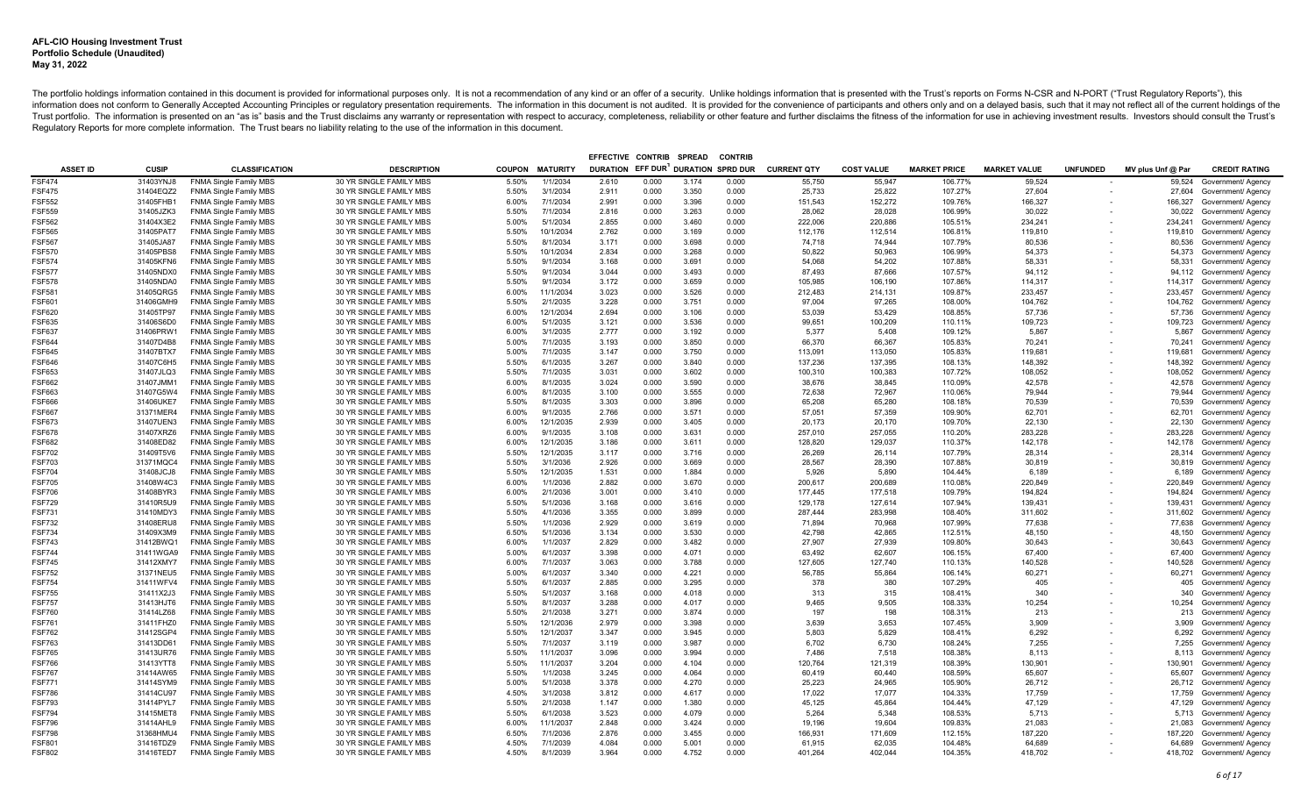|                         |                        |                                                                |                                                    |                |                       | EFFECTIVE CONTRIB                  |                | <b>SPREAD</b>  | <b>CONTRIE</b> |                    |                   |                     |                     |                          |                   |                                          |
|-------------------------|------------------------|----------------------------------------------------------------|----------------------------------------------------|----------------|-----------------------|------------------------------------|----------------|----------------|----------------|--------------------|-------------------|---------------------|---------------------|--------------------------|-------------------|------------------------------------------|
| <b>ASSET ID</b>         | <b>CUSIP</b>           | <b>CLASSIFICATION</b>                                          | <b>DESCRIPTION</b>                                 | <b>COUPON</b>  | <b>MATURITY</b>       | DURATION EFF DUR DURATION SPRD DUR |                |                |                | <b>CURRENT QTY</b> | <b>COST VALUE</b> | <b>MARKET PRICE</b> | <b>MARKET VALUE</b> | <b>UNFUNDED</b>          | MV plus Unf @ Par | <b>CREDIT RATING</b>                     |
| <b>FSF474</b>           | 31403YNJ8              | <b>FNMA Single Family MBS</b>                                  | 30 YR SINGLE FAMILY MBS                            | 5.50%          | 1/1/2034              | 2.610                              | 0.000          | 3.174          | 0.000          | 55,750             | 55,947            | 106.77%             | 59,524              |                          | 59,524            | Government/ Agency                       |
| <b>FSF475</b>           | 31404EQZ2              | <b>FNMA Single Family MBS</b>                                  | 30 YR SINGLE FAMILY MBS                            | 5.50%          | 3/1/2034              | 2.911                              | 0.000          | 3.350          | 0.000          | 25,733             | 25,822            | 107.27%             | 27,604              | $\overline{\phantom{a}}$ |                   | 27,604 Government/ Agency                |
| <b>FSF552</b>           | 31405FHB1              | <b>FNMA Single Family MBS</b>                                  | 30 YR SINGLE FAMILY MBS                            | 6.00%          | 7/1/2034              | 2.991                              | 0.000          | 3.396          | 0.000          | 151,543            | 152,272           | 109.76%             | 166,327             |                          | 166,327           | Government/ Agency                       |
| FSF559                  | 31405JZK3              | <b>FNMA Single Family MBS</b>                                  | 30 YR SINGLE FAMILY MBS                            | 5.50%          | 7/1/2034              | 2.816                              | 0.000          | 3.263          | 0.000          | 28.062             | 28.028            | 106.99%             | 30.022              |                          | 30,022            | Government/ Agency                       |
| FSF562                  | 31404X3E2              | <b>FNMA Single Family MBS</b>                                  | 30 YR SINGLE FAMILY MBS                            | 5.00%          | 5/1/2034              | 2.855                              | 0.000          | 3.460          | 0.000          | 222,006            | 220,886           | 105.51%             | 234,241             |                          | 234,241           | Government/ Agency                       |
| FSF565                  | 31405PAT7              | <b>FNMA Single Family MBS</b>                                  | 30 YR SINGLE FAMILY MBS                            | 5.50%          | 10/1/2034             | 2.762                              | 0.000          | 3.169          | 0.000          | 112,176            | 112,514           | 106.81%             | 119,810             |                          | 119,810           | Government/ Agency                       |
| <b>FSF567</b>           | 31405JA87              | <b>FNMA Single Family MBS</b>                                  | 30 YR SINGLE FAMILY MBS                            | 5.50%          | 8/1/2034              | 3.171                              | 0.000          | 3.698          | 0.000          | 74,718             | 74.944            | 107.79%             | 80,536              |                          | 80,536            | Government/ Agency                       |
| FSF570                  | 31405PBS8              | <b>FNMA Single Family MBS</b>                                  | 30 YR SINGLE FAMILY MBS                            | 5.50%          | 10/1/2034             | 2.834                              | 0.000          | 3.268          | 0.000          | 50,822             | 50,963            | 106.99%             | 54,373              |                          | 54,373            | Government/ Agency                       |
| FSF574                  | 31405KFN6              | <b>FNMA Single Family MBS</b>                                  | 30 YR SINGLE FAMILY MBS                            | 5.50%          | 9/1/2034              | 3.168                              | 0.000          | 3.691          | 0.000          | 54,068             | 54,202            | 107.88%             | 58,331              |                          | 58,331            | Government/ Agency                       |
| FSF577                  | 31405NDX0              | <b>FNMA Single Family MBS</b>                                  | 30 YR SINGLE FAMILY MBS                            | 5.50%          | 9/1/2034              | 3.044                              | 0.000          | 3.493          | 0.000          | 87.493             | 87,666            | 107.57%             | 94,112              |                          | 94,112            | Government/ Agency                       |
| <b>FSF578</b>           | 31405NDA0              | <b>FNMA Single Family MBS</b>                                  | 30 YR SINGLE FAMILY MBS                            | 5.50%          | 9/1/2034              | 3.172                              | 0.000          | 3.659          | 0.000          | 105,985            | 106,190           | 107.86%             | 114,317             |                          | 114,317           | Government/ Agency                       |
| FSF581                  | 31405QRG5              | FNMA Single Family MBS                                         | 30 YR SINGLE FAMILY MBS                            | 6.00%          | 11/1/2034             | 3.023                              | 0.000          | 3.526          | 0.000          | 212.483            | 214.131           | 109.87%             | 233.457             |                          | 233,457           | Government/ Agency                       |
| FSF601                  | 31406GMH9              | <b>FNMA Single Family MBS</b>                                  | 30 YR SINGLE FAMILY MBS                            | 5.50%          | 2/1/2035              | 3.228                              | 0.000          | 3.751          | 0.000          | 97,004             | 97,265            | 108.00%             | 104,762             |                          | 104,762           | Government/ Agency                       |
| FSF620                  | 31405TP97              | <b>FNMA Single Family MBS</b>                                  | 30 YR SINGLE FAMILY MBS                            | 6.00%          | 12/1/2034             | 2.694                              | 0.000          | 3.106          | 0.000          | 53,039             | 53,429            | 108.85%             | 57,736              |                          | 57,736            | Government/ Agency                       |
| FSF635                  | 31406S6D0              | <b>FNMA Single Family MBS</b>                                  | 30 YR SINGLE FAMILY MBS                            | 6.00%          | 5/1/2035              | 3.121                              | 0.000          | 3.536          | 0.000          | 99,651             | 100,209           | 110.11%             | 109,723             |                          | 109,723           | Government/ Agency                       |
| FSF637                  | 31406PRW1              | <b>FNMA Single Family MBS</b>                                  | 30 YR SINGLE FAMILY MBS                            | 6.00%          | 3/1/2035              | 2.777                              | 0.000          | 3.192          | 0.000          | 5.377              | 5.408             | 109.12%             | 5,867               |                          | 5,867             | Government/ Agency                       |
| FSF644                  | 31407D4B8              | <b>FNMA Single Family MBS</b>                                  | 30 YR SINGLE FAMILY MBS                            | 5.00%          | 7/1/2035              | 3.193                              | 0.000          | 3.850          | 0.000          | 66,370             | 66,367            | 105.83%             | 70,241              |                          | 70,241            | Government/ Agency                       |
| FSF645                  | 31407BTX7              | <b>FNMA Single Family MBS</b>                                  | 30 YR SINGLE FAMILY MBS                            | 5.00%          | 7/1/2035              | 3.147                              | 0.000          | 3.750          | 0.000          | 113.091            | 113.050           | 105.83%             | 119.681             |                          | 119,681           | Government/ Agency                       |
| <b>FSF646</b>           | 31407C6H5              | <b>FNMA Single Family MBS</b>                                  | 30 YR SINGLE FAMILY MBS                            | 5.50%          | 6/1/2035              | 3.267                              | 0.000          | 3.840          | 0.000          | 137,236            | 137.395           | 108.13%             | 148,392             |                          | 148,392           | Government/ Agency                       |
| FSF653                  | 31407JLQ3              | <b>FNMA Single Family MBS</b>                                  | 30 YR SINGLE FAMILY MBS                            | 5.50%          | 7/1/2035              | 3.031                              | 0.000          | 3.602          | 0.000          | 100.310            | 100.383           | 107.72%             | 108.052             |                          | 108.052           | Government/ Agency                       |
| FSF662                  | 31407JMM1              | <b>FNMA Single Family MBS</b>                                  | 30 YR SINGLE FAMILY MBS                            | 6.00%          | 8/1/2035              | 3.024                              | 0.000          | 3.590          | 0.000          | 38.676             | 38.845            | 110.09%             | 42.578              |                          | 42.578            | Government/ Agency                       |
| FSF663                  | 31407G5W4              | <b>FNMA Single Family MBS</b>                                  | 30 YR SINGLE FAMILY MBS                            | 6.00%          | 8/1/2035              | 3.100                              | 0.000          | 3.555          | 0.000          | 72,638             | 72,967            | 110.06%             | 79,944              |                          | 79,944            | Government/ Agency                       |
| FSF666                  | 31406UKE7              | <b>FNMA Single Family MBS</b>                                  | 30 YR SINGLE FAMILY MBS                            | 5.50%          | 8/1/2035              | 3.303                              | 0.000          | 3.896          | 0.000          | 65,208             | 65.280            | 108.18%             | 70.539              |                          | 70.539            | Government/ Agency                       |
| FSF667                  | 31371MER4              | <b>FNMA Single Family MBS</b>                                  | 30 YR SINGLE FAMILY MBS                            | 6.00%          | 9/1/2035              | 2.766                              | 0.000          | 3.571          | 0.000          | 57,051             | 57,359            | 109.90%             | 62,701              |                          | 62,701            | Government/ Agency                       |
| FSF673<br><b>FSF678</b> | 31407UEN3<br>31407XRZ6 | <b>FNMA Single Family MBS</b>                                  | 30 YR SINGLE FAMILY MBS<br>30 YR SINGLE FAMILY MBS | 6.00%          | 12/1/2035<br>9/1/2035 | 2.939<br>3.108                     | 0.000<br>0.000 | 3.405<br>3.631 | 0.000<br>0.000 | 20,173<br>257.010  | 20,170<br>257.055 | 109.70%<br>110.20%  | 22,130<br>283,228   |                          | 22,130            | Government/ Agency                       |
| FSF682                  | 31408ED82              | <b>FNMA Single Family MBS</b>                                  |                                                    | 6.00%          | 12/1/2035             |                                    |                | 3.611          |                |                    |                   | 110.37%             | 142,178             |                          | 283,228           | Government/ Agency                       |
| FSF702                  | 31409T5V6              | <b>FNMA Single Family MBS</b><br><b>FNMA Single Family MBS</b> | 30 YR SINGLE FAMILY MBS<br>30 YR SINGLE FAMILY MBS | 6.00%<br>5.50% | 12/1/2035             | 3.186<br>3.117                     | 0.000<br>0.000 | 3.716          | 0.000<br>0.000 | 128,820<br>26,269  | 129,037<br>26,114 | 107.79%             | 28,314              |                          | 142,178<br>28,314 | Government/ Agency<br>Government/ Agency |
| FSF703                  | 31371MQC4              | <b>FNMA Single Family MBS</b>                                  | 30 YR SINGLE FAMILY MBS                            | 5.50%          | 3/1/2036              | 2.926                              | 0.000          | 3.669          | 0.000          | 28,567             | 28,390            | 107.88%             | 30,819              |                          | 30,819            | Government/ Agency                       |
| <b>FSF704</b>           | 31408JCJ8              | <b>FNMA Single Family MBS</b>                                  | 30 YR SINGLE FAMILY MBS                            | 5.50%          | 12/1/2035             | 1.531                              | 0.000          | 1.884          | 0.000          | 5,926              | 5,890             | 104.44%             | 6,189               |                          | 6,189             | Government/ Agency                       |
| <b>SF705</b>            | 31408W4C3              | <b>FNMA Single Family MBS</b>                                  | 30 YR SINGLE FAMILY MBS                            | 6.00%          | 1/1/2036              | 2.882                              | 0.000          | 3.670          | 0.000          | 200,617            | 200.689           | 110.08%             | 220,849             |                          | 220.849           | Government/ Agency                       |
| <b>FSF706</b>           | 31408BYR3              | <b>FNMA Single Family MBS</b>                                  | 30 YR SINGLE FAMILY MBS                            | 6.00%          | 2/1/2036              | 3.001                              | 0.000          | 3.410          | 0.000          | 177,445            | 177,518           | 109.79%             | 194,824             |                          | 194,824           | Government/ Agency                       |
| FSF729                  | 31410R5U9              | <b>FNMA Single Family MBS</b>                                  | 30 YR SINGLE FAMILY MBS                            | 5.50%          | 5/1/2036              | 3.168                              | 0.000          | 3.616          | 0.000          | 129,178            | 127,614           | 107.94%             | 139,431             |                          | 139,431           | Government/ Agency                       |
| FSF731                  | 31410MDY3              | <b>FNMA Single Family MBS</b>                                  | 30 YR SINGLE FAMILY MBS                            | 5.50%          | 4/1/2036              | 3.355                              | 0.000          | 3.899          | 0.000          | 287,444            | 283,998           | 108.40%             | 311,602             |                          | 311,602           | Government/ Agency                       |
| FSF732                  | 31408ERU8              | <b>FNMA Single Family MBS</b>                                  | 30 YR SINGLE FAMILY MBS                            | 5.50%          | 1/1/2036              | 2.929                              | 0.000          | 3.619          | 0.000          | 71,894             | 70,968            | 107.99%             | 77,638              |                          | 77,638            | Government/ Agency                       |
| <b>FSF734</b>           | 31409X3M9              | <b>FNMA Single Family MBS</b>                                  | 30 YR SINGLE FAMILY MBS                            | 6.50%          | 5/1/2036              | 3.134                              | 0.000          | 3.530          | 0.000          | 42,798             | 42,865            | 112.51%             | 48,150              |                          | 48,150            | Government/ Agency                       |
| FSF743                  | 31412BWQ1              | <b>FNMA Single Family MBS</b>                                  | 30 YR SINGLE FAMILY MBS                            | 6.00%          | 1/1/2037              | 2.829                              | 0.000          | 3.482          | 0.000          | 27,907             | 27,939            | 109.80%             | 30,643              |                          | 30.643            | Government/ Agency                       |
| <b>FSF744</b>           | 31411WGA9              | FNMA Single Family MBS                                         | 30 YR SINGLE FAMILY MBS                            | 5.00%          | 6/1/2037              | 3.398                              | 0.000          | 4.071          | 0.000          | 63,492             | 62,607            | 106.15%             | 67,400              |                          | 67,400            | Government/ Agency                       |
| <b>SF745</b>            | 31412XMY7              | <b>FNMA Single Family MBS</b>                                  | 30 YR SINGLE FAMILY MBS                            | 6.00%          | 7/1/2037              | 3.063                              | 0.000          | 3.788          | 0.000          | 127.605            | 127.740           | 110.13%             | 140,528             |                          | 140,528           | Government/ Agency                       |
| FSF752                  | 31371NEU5              | <b>FNMA Single Family MBS</b>                                  | 30 YR SINGLE FAMILY MBS                            | 5.00%          | 6/1/2037              | 3.340                              | 0.000          | 4.221          | 0.000          | 56,785             | 55,864            | 106.14%             | 60,271              |                          | 60,271            | Government/ Agency                       |
| FSF754                  | 31411WFV4              | <b>FNMA Single Family MBS</b>                                  | 30 YR SINGLE FAMILY MBS                            | 5.50%          | 6/1/2037              | 2.885                              | 0.000          | 3.295          | 0.000          | 378                | 380               | 107.29%             | 405                 |                          | 405               | Government/ Agency                       |
| <b>FSF755</b>           | 31411X2J3              | <b>FNMA Single Family MBS</b>                                  | 30 YR SINGLE FAMILY MBS                            | 5.50%          | 5/1/2037              | 3.168                              | 0.000          | 4.018          | 0.000          | 313                | 315               | 108.41%             | 340                 |                          | 340               | Government/ Agency                       |
| <b>FSF757</b>           | 31413HJT6              | FNMA Single Family MBS                                         | 30 YR SINGLE FAMILY MBS                            | 5.50%          | 8/1/2037              | 3.288                              | 0.000          | 4.017          | 0.000          | 9.465              | 9.505             | 108.33%             | 10,254              |                          | 10,254            | Government/ Agency                       |
| FSF760                  | 31414LZ68              | <b>FNMA Single Family MBS</b>                                  | 30 YR SINGLE FAMILY MBS                            | 5.50%          | 2/1/2038              | 3.271                              | 0.000          | 3.874          | 0.000          | 197                | 198               | 108.31%             | 213                 |                          | 213               | Government/ Agency                       |
| <b>FSF761</b>           | 31411FHZ0              | <b>FNMA Single Family MBS</b>                                  | 30 YR SINGLE FAMILY MBS                            | 5.50%          | 12/1/2036             | 2.979                              | 0.000          | 3.398          | 0.000          | 3.639              | 3.653             | 107.45%             | 3.909               |                          | 3.909             | Government/ Agency                       |
| <b>FSF762</b>           | 31412SGP4              | <b>FNMA Single Family MBS</b>                                  | 30 YR SINGLE FAMILY MBS                            | 5.50%          | 12/1/2037             | 3.347                              | 0.000          | 3.945          | 0.000          | 5.803              | 5.829             | 108.41%             | 6.292               |                          | 6,292             | Government/ Agency                       |
| <b>FSF763</b>           | 31413DD61              | FNMA Single Family MBS                                         | 30 YR SINGLE FAMILY MBS                            | 5.50%          | 7/1/2037              | 3.119                              | 0.000          | 3.987          | 0.000          | 6.702              | 6.730             | 108.24%             | 7.255               |                          | 7.255             | Government/ Agency                       |
| FSF765                  | 31413UR76              | <b>FNMA Single Family MBS</b>                                  | 30 YR SINGLE FAMILY MBS                            | 5.50%          | 11/1/2037             | 3.096                              | 0.000          | 3.994          | 0.000          | 7.486              | 7.518             | 108.38%             | 8.113               |                          | 8.113             | Government/ Agency                       |
| FSF766                  | 31413YTT8              | <b>FNMA Single Family MBS</b>                                  | 30 YR SINGLE FAMILY MBS                            | 5.50%          | 11/1/2037             | 3.204                              | 0.000          | 4.104          | 0.000          | 120,764            | 121,319           | 108.39%             | 130,901             |                          | 130,901           | Government/ Agency                       |
| <b>FSF767</b>           | 31414AW65              | <b>FNMA Single Family MBS</b>                                  | 30 YR SINGLE FAMILY MBS                            | 5.50%          | 1/1/2038              | 3.245                              | 0.000          | 4.064          | 0.000          | 60.419             | 60.440            | 108.59%             | 65.607              |                          | 65,607            | Government/ Agency                       |
| <b>FSF771</b>           | 31414SYM9              | <b>FNMA Single Family MBS</b>                                  | 30 YR SINGLE FAMILY MBS                            | 5.00%          | 5/1/2038              | 3.378                              | 0.000          | 4.270          | 0.000          | 25,223             | 24,965            | 105.90%             | 26,712              |                          | 26,712            | Government/ Agency                       |
| FSF786                  | 31414CU97              | <b>FNMA Single Family MBS</b>                                  | 30 YR SINGLE FAMILY MBS                            | 4.50%          | 3/1/2038              | 3.812                              | 0.000          | 4.617          | 0.000          | 17,022             | 17,077            | 104.33%             | 17,759              |                          | 17,759            | Government/ Agency                       |
| <b>FSF793</b>           | 31414PYL7              | <b>FNMA Single Family MBS</b>                                  | 30 YR SINGLE FAMILY MBS                            | 5.50%          | 2/1/2038              | 1.147                              | 0.000          | 1.380          | 0.000          | 45.125             | 45.864            | 104.44%             | 47.129              |                          | 47,129            | Government/ Agency                       |
| FSF794<br>FSF796        | 31415MET8              | <b>FNMA Single Family MBS</b>                                  | 30 YR SINGLE FAMILY MBS                            | 5.50%          | 6/1/2038<br>11/1/2037 | 3.523<br>2.848                     | 0.000<br>0.000 | 4.079<br>3.424 | 0.000<br>0.000 | 5,264              | 5,348<br>19,604   | 108.53%<br>109.83%  | 5,713<br>21,083     |                          |                   | 5,713 Government/ Agency                 |
| FSF798                  | 31414AHL9<br>31368HMU4 | <b>FNMA Single Family MBS</b><br><b>FNMA Single Family MBS</b> | 30 YR SINGLE FAMILY MBS<br>30 YR SINGLE FAMILY MBS | 6.00%<br>6.50% | 7/1/2036              | 2.876                              | 0.000          | 3.455          | 0.000          | 19,196<br>166,931  | 171.609           | 112.15%             | 187.220             |                          | 21,083<br>187,220 | Government/ Agency<br>Government/ Agency |
| FSF801                  | 31416TDZ9              | FNMA Single Family MBS                                         | 30 YR SINGLE FAMILY MBS                            | 4.50%          | 7/1/2039              | 4.084                              | 0.000          | 5.001          | 0.000          | 61,915             | 62,035            | 104.48%             | 64,689              |                          | 64,689            | Government/ Agency                       |
| FSF802                  | 31416TED7              | <b>FNMA Single Family MBS</b>                                  | 30 YR SINGLE FAMILY MBS                            | 4.50%          | 8/1/2039              | 3.964                              | 0.000          | 4.752          | 0.000          | 401.264            | 402.044           | 104.35%             | 418.702             |                          |                   | 418,702 Government/ Agency               |
|                         |                        |                                                                |                                                    |                |                       |                                    |                |                |                |                    |                   |                     |                     |                          |                   |                                          |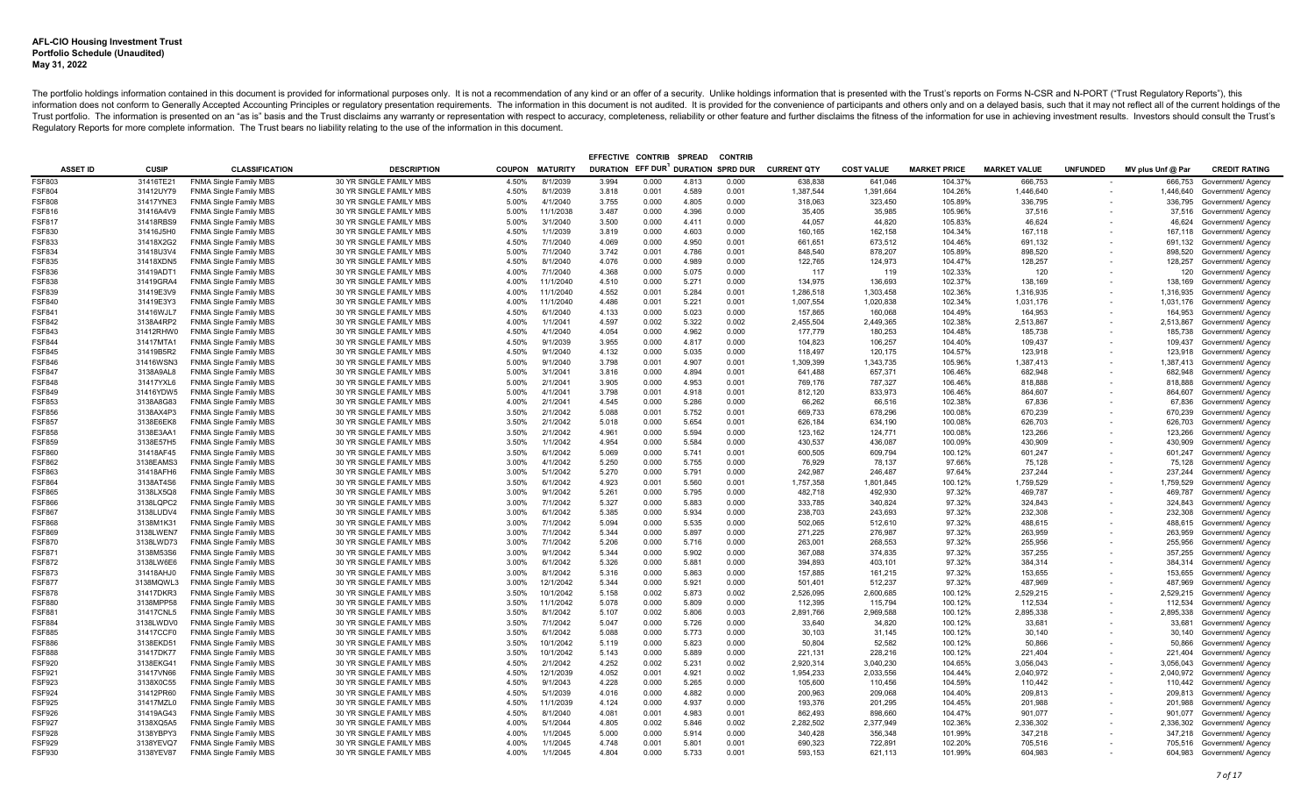|                                |                        |                                                                |                                                    |                |                        | EFFECTIVE CONTRIB                  |                | <b>SPREAD</b>  | <b>CONTRIE</b> |                    |                    |                     |                     |                          |                    |                                          |
|--------------------------------|------------------------|----------------------------------------------------------------|----------------------------------------------------|----------------|------------------------|------------------------------------|----------------|----------------|----------------|--------------------|--------------------|---------------------|---------------------|--------------------------|--------------------|------------------------------------------|
| <b>ASSET ID</b>                | <b>CUSIP</b>           | <b>CLASSIFICATION</b>                                          | <b>DESCRIPTION</b>                                 |                | <b>COUPON MATURITY</b> | DURATION EFF DUR DURATION SPRD DUR |                |                |                | <b>CURRENT QTY</b> | <b>COST VALUE</b>  | <b>MARKET PRICE</b> | <b>MARKET VALUE</b> | <b>UNFUNDED</b>          | MV plus Unf @ Par  | <b>CREDIT RATING</b>                     |
| <b>FSF803</b>                  | 31416TE21              | <b>FNMA Single Family MBS</b>                                  | 30 YR SINGLE FAMILY MBS                            | 4.50%          | 8/1/2039               | 3.994                              | 0.000          | 4.813          | 0.000          | 638,838            | 641,046            | 104.37%             | 666,753             |                          | 666,753            | Government/ Agency                       |
| <b>FSF804</b>                  | 31412UY79              | <b>FNMA Single Family MBS</b>                                  | 30 YR SINGLE FAMILY MBS                            | 4.50%          | 8/1/2039               | 3.818                              | 0.001          | 4.589          | 0.001          | 1,387,544          | 1,391,664          | 104.26%             | 1,446,640           | $\overline{\phantom{a}}$ |                    | 1,446,640 Government/ Agency             |
| <b>FSF808</b>                  | 31417YNE3              | <b>FNMA Single Family MBS</b>                                  | 30 YR SINGLE FAMILY MBS                            | 5.00%          | 4/1/2040               | 3.755                              | 0.000          | 4.805          | 0.000          | 318,063            | 323,450            | 105.89%             | 336,795             |                          |                    | 336,795 Government/ Agency               |
| <b>FSF816</b>                  | 31416A4V9              | <b>FNMA Single Family MBS</b>                                  | 30 YR SINGLE FAMILY MBS                            | 5.00%          | 11/1/2038              | 3.487                              | 0.000          | 4.396          | 0.000          | 35.405             | 35.985             | 105.96%             | 37.516              |                          |                    | 37,516 Government/ Agency                |
| FSF817                         | 31418RBS9              | <b>FNMA Single Family MBS</b>                                  | 30 YR SINGLE FAMILY MBS                            | 5.00%          | 3/1/2040               | 3.500                              | 0.000          | 4.411          | 0.000          | 44,057             | 44,820             | 105.83%             | 46.624              |                          | 46,624             | Government/ Agency                       |
| FSF830                         | 31416J5H0              | <b>FNMA Single Family MBS</b>                                  | 30 YR SINGLE FAMILY MBS                            | 4.50%          | 1/1/2039               | 3.819                              | 0.000          | 4.603          | 0.000          | 160,165            | 162,158            | 104.34%             | 167,118             |                          | 167,118            | Government/ Agency                       |
| FSF833                         | 31418X2G2              | <b>FNMA Single Family MBS</b>                                  | 30 YR SINGLE FAMILY MBS                            | 4.50%          | 7/1/2040               | 4.069                              | 0.000          | 4.950          | 0.001          | 661,651            | 673,512            | 104.46%             | 691,132             |                          | 691,132            | Government/ Agency                       |
| FSF834                         | 31418U3V4              | <b>FNMA Single Family MBS</b>                                  | 30 YR SINGLE FAMILY MBS                            | 5.00%          | 7/1/2040               | 3.742                              | 0.001          | 4.786          | 0.001          | 848,540            | 878,207            | 105.89%             | 898,520             |                          | 898,520            | Government/ Agency                       |
| FSF835                         | 31418XDN5              | <b>FNMA Single Family MBS</b>                                  | 30 YR SINGLE FAMILY MBS                            | 4.50%          | 8/1/2040               | 4.076                              | 0.000          | 4.989          | 0.000          | 122,765            | 124,973            | 104.47%             | 128,257             |                          | 128,257            | Government/ Agency                       |
| FSF836                         | 31419ADT1              | <b>FNMA Single Family MBS</b>                                  | 30 YR SINGLE FAMILY MBS                            | 4.00%          | 7/1/2040               | 4.368                              | 0.000          | 5.075          | 0.000          | 117                | 119                | 102.33%             | 120                 |                          | 120                | Government/ Agency                       |
| <b>FSF838</b>                  | 31419GRA4              | <b>FNMA Single Family MBS</b>                                  | 30 YR SINGLE FAMILY MBS                            | 4.00%          | 11/1/2040              | 4.510                              | 0.000          | 5.271          | 0.000          | 134,975            | 136,693            | 102.37%             | 138,169             |                          | 138,169            | Government/ Agency                       |
| <b>FSF839</b>                  | 31419E3V9              | <b>FNMA Single Family MBS</b>                                  | 30 YR SINGLE FAMILY MBS                            | 4.00%          | 11/1/2040              | 4.552                              | 0.001          | 5.284          | 0.001          | 1,286,518          | 1.303.458          | 102.36%             | 1.316.935           |                          | 1,316,935          | Government/ Agency                       |
| <b>FSF840</b>                  | 31419E3Y3              | <b>FNMA Single Family MBS</b>                                  | 30 YR SINGLE FAMILY MBS                            | 4.00%          | 11/1/2040              | 4.486                              | 0.001          | 5.221          | 0.001          | 1,007,554          | 1,020,838          | 102.34%             | 1,031,176           |                          |                    | 1,031,176 Government/ Agency             |
| FSF841                         | 31416WJL7              | <b>FNMA Single Family MBS</b>                                  | 30 YR SINGLE FAMILY MBS                            | 4.50%          | 6/1/2040               | 4.133                              | 0.000          | 5.023          | 0.000          | 157,865            | 160,068            | 104.49%             | 164,953             |                          | 164,953            | Government/ Agency                       |
| <b>FSF842</b>                  | 3138A4RP2              | <b>FNMA Single Family MBS</b>                                  | 30 YR SINGLE FAMILY MBS                            | 4.00%          | 1/1/2041               | 4.597                              | 0.002          | 5.322          | 0.002          | 2,455,504          | 2,449,365          | 102.38%             | 2,513,867           |                          | 2,513,867          | Government/ Agency                       |
| <b>FSF843</b>                  | 31412RHW0              | <b>FNMA Single Family MBS</b>                                  | 30 YR SINGLE FAMILY MBS                            | 4.50%          | 4/1/2040               | 4.054                              | 0.000          | 4.962          | 0.000          | 177.779            | 180.253            | 104.48%             | 185,738             |                          | 185,738            | Government/ Agency                       |
| FSF844                         | 31417MTA1              | <b>FNMA Single Family MBS</b>                                  | 30 YR SINGLE FAMILY MBS                            | 4.50%          | 9/1/2039               | 3.955                              | 0.000          | 4.817          | 0.000          | 104,823            | 106,257            | 104.40%             | 109,437             |                          | 109,437            | Government/ Agency                       |
| <b>FSF845</b>                  | 31419B5R2              | <b>FNMA Single Family MBS</b>                                  | 30 YR SINGLE FAMILY MBS                            | 4.50%          | 9/1/2040               | 4.132                              | 0.000          | 5.035          | 0.000          | 118.497            | 120.175            | 104.57%             | 123.918             |                          | 123,918            | Government/ Agency                       |
| <b>FSF846</b>                  | 31416WSN3              | <b>FNMA Single Family MBS</b>                                  | 30 YR SINGLE FAMILY MBS                            | 5.00%          | 9/1/2040               | 3.798                              | 0.001          | 4.907          | 0.001          | 1,309,399          | 1.343.735          | 105.96%             | 1.387.413           |                          |                    | 1,387,413 Government/ Agency             |
| <b>FSF847</b>                  | 3138A9AL8              | <b>FNMA Single Family MBS</b>                                  | 30 YR SINGLE FAMILY MBS                            | 5.00%          | 3/1/2041               | 3.816                              | 0.000          | 4.894          | 0.001          | 641.488            | 657.371            | 106.46%             | 682.948             |                          | 682.948            | Government/ Agency                       |
| FSF848                         | 31417YXL6              | <b>FNMA Single Family MBS</b>                                  | 30 YR SINGLE FAMILY MBS                            | 5.00%          | 2/1/2041               | 3.905                              | 0.000          | 4.953          | 0.001          | 769.176            | 787.327            | 106.46%             | 818,888             |                          | 818,888            | Government/ Agency                       |
| FSF849                         | 31416YDW5              | <b>FNMA Single Family MBS</b>                                  | 30 YR SINGLE FAMILY MBS                            | 5.00%          | 4/1/2041               | 3.798                              | 0.001          | 4.918          | 0.001          | 812,120            | 833,973            | 106.46%             | 864,607             |                          | 864,607            | Government/ Agency                       |
| FSF853                         | 3138A8G83              | <b>FNMA Single Family MBS</b>                                  | 30 YR SINGLE FAMILY MBS                            | 4.00%          | 2/1/2041               | 4.545                              | 0.000          | 5.286          | 0.000          | 66,262             | 66.516             | 102.38%             | 67.836              |                          | 67.836             | Government/ Agency                       |
| FSF856                         | 3138AX4P3              | <b>FNMA Single Family MBS</b>                                  | 30 YR SINGLE FAMILY MBS                            | 3.50%          | 2/1/2042               | 5.088                              | 0.001          | 5.752          | 0.001          | 669,733            | 678,296            | 100.08%             | 670,239             |                          | 670,239            | Government/ Agency                       |
| FSF857                         | 3138E6EK8              | <b>FNMA Single Family MBS</b>                                  | 30 YR SINGLE FAMILY MBS                            | 3.50%          | 2/1/2042               | 5.018                              | 0.000          | 5.654          | 0.001          | 626,184            | 634,190            | 100.08%             | 626,703             |                          | 626,703            | Government/ Agency                       |
| <b>FSF858</b>                  | 3138E3AA1              | <b>FNMA Single Family MBS</b>                                  | 30 YR SINGLE FAMILY MBS                            | 3.50%          | 2/1/2042               | 4.961                              | 0.000          | 5.594          | 0.000          | 123.162            | 124.771            | 100.08%             | 123,266             |                          | 123,266            | Government/ Agency                       |
| FSF859                         | 3138E57H5              | <b>FNMA Single Family MBS</b>                                  | 30 YR SINGLE FAMILY MBS                            | 3.50%          | 1/1/2042               | 4.954                              | 0.000          | 5.584          | 0.000          | 430,537            | 436,087            | 100.09%             | 430,909             |                          | 430,909            | Government/ Agency                       |
| FSF860                         | 31418AF45              | <b>FNMA Single Family MBS</b>                                  | 30 YR SINGLE FAMILY MBS                            | 3.50%          | 6/1/2042               | 5.069                              | 0.000          | 5.741          | 0.001          | 600,505            | 609,794            | 100.12%             | 601,247             |                          | 601,247            | Government/ Agency                       |
| <b>FSF862</b>                  | 3138EAMS3              | <b>FNMA Single Family MBS</b>                                  | 30 YR SINGLE FAMILY MBS                            | 3.00%          | 4/1/2042               | 5.250                              | 0.000          | 5.755          | 0.000          | 76,929             | 78,137             | 97.66%              | 75,128              |                          | 75,128             | Government/ Agency                       |
| FSF863                         | 31418AFH6              | <b>FNMA Single Family MBS</b>                                  | 30 YR SINGLE FAMILY MBS                            | 3.00%          | 5/1/2042               | 5.270                              | 0.000          | 5.791          | 0.000          | 242,987            | 246,487            | 97.64%              | 237,244             |                          | 237,244            | Government/ Agency                       |
| <b>FSF864</b>                  | 3138AT4S6              | <b>FNMA Single Family MBS</b>                                  | 30 YR SINGLE FAMILY MBS                            | 3.50%          | 6/1/2042               | 4.923                              | 0.001          | 5.560          | 0.001          | 1,757,358          | 1.801.845          | 100.12%             | 1.759.529           |                          | 1,759,529          | Government/ Agency                       |
| FSF865                         | 3138LX5Q8              | <b>FNMA Single Family MBS</b>                                  | 30 YR SINGLE FAMILY MBS                            | 3.00%          | 9/1/2042               | 5.261                              | 0.000          | 5.795          | 0.000          | 482,718            | 492,930            | 97.32%              | 469,787             |                          | 469,787            | Government/ Agency                       |
| <b>FSF866</b>                  | 3138LQPC2              | <b>FNMA Single Family MBS</b>                                  | 30 YR SINGLE FAMILY MBS                            | 3.00%          | 7/1/2042               | 5.327                              | 0.000          | 5.883          | 0.000          | 333,785            | 340,824            | 97.32%              | 324,843             |                          | 324,843            | Government/ Agency                       |
| FSF867                         | 3138LUDV4              | <b>FNMA Single Family MBS</b>                                  | 30 YR SINGLE FAMILY MBS                            | 3.00%          | 6/1/2042               | 5.385                              | 0.000          | 5.934          | 0.000          | 238,703            | 243,693            | 97.32%              | 232,308             |                          | 232,308            | Government/ Agency                       |
| <b>FSF868</b>                  | 3138M1K31              | <b>FNMA Single Family MBS</b>                                  | 30 YR SINGLE FAMILY MBS                            | 3.00%          | 7/1/2042               | 5.094                              | 0.000          | 5.535          | 0.000          | 502,065            | 512,610            | 97.32%              | 488,615             |                          | 488,615            | Government/ Agency                       |
| FSF869                         | 3138LWEN7              | <b>FNMA Single Family MBS</b>                                  | 30 YR SINGLE FAMILY MBS                            | 3.00%          | 7/1/2042               | 5.344                              | 0.000          | 5.897          | 0.000          | 271,225            | 276,987            | 97.32%              | 263,959             |                          | 263,959            | Government/ Agency                       |
| FSF870                         | 3138LWD73              | <b>FNMA Single Family MBS</b>                                  | 30 YR SINGLE FAMILY MBS                            | 3.00%          | 7/1/2042               | 5.206                              | 0.000          | 5.716          | 0.000          | 263,001            | 268,553            | 97.32%              | 255,956             |                          | 255,956            | Government/ Agency                       |
| FSF871                         | 3138M53S6              | <b>FNMA Single Family MBS</b>                                  | 30 YR SINGLE FAMILY MBS                            | 3.00%          | 9/1/2042               | 5.344                              | 0.000          | 5.902          | 0.000          | 367,088            | 374,835            | 97.32%              | 357,255             |                          | 357,255            | Government/ Agency                       |
| <b>FSF872</b><br><b>FSF873</b> | 3138LW6E6              | <b>FNMA Single Family MBS</b>                                  | 30 YR SINGLE FAMILY MBS                            | 3.00%          | 6/1/2042               | 5.326                              | 0.000          | 5.881          | 0.000          | 394.893            | 403.101            | 97.32%              | 384.314             |                          |                    | 384,314 Government/ Agency               |
| <b>FSF877</b>                  | 31418AHJ0<br>3138MQWL3 | <b>FNMA Single Family MBS</b><br><b>FNMA Single Family MBS</b> | 30 YR SINGLE FAMILY MBS<br>30 YR SINGLE FAMILY MBS | 3.00%<br>3.00% | 8/1/2042<br>12/1/2042  | 5.316<br>5.344                     | 0.000<br>0.000 | 5.863<br>5.921 | 0.000<br>0.000 | 157,885<br>501,401 | 161,215<br>512,237 | 97.32%<br>97.32%    | 153,655<br>487,969  |                          | 153,655<br>487,969 | Government/ Agency<br>Government/ Agency |
| FSF878                         | 31417DKR3              | <b>FNMA Single Family MBS</b>                                  | 30 YR SINGLE FAMILY MBS                            | 3.50%          | 10/1/2042              | 5.158                              | 0.002          | 5.873          | 0.002          | 2,526,095          | 2,600,685          | 100.12%             | 2,529,215           |                          |                    | 2,529,215 Government/ Agency             |
| FSF880                         | 3138MPP58              | <b>FNMA Single Family MBS</b>                                  | 30 YR SINGLE FAMILY MBS                            | 3.50%          | 11/1/2042              | 5.078                              | 0.000          | 5.809          | 0.000          | 112,395            | 115.794            | 100.12%             | 112,534             |                          | 112,534            | Government/ Agency                       |
| FSF881                         | 31417CNL5              | <b>FNMA Single Family MBS</b>                                  | 30 YR SINGLE FAMILY MBS                            | 3.50%          | 8/1/2042               | 5.107                              | 0.002          | 5.806          | 0.003          | 2,891,766          | 2,969,588          | 100.12%             | 2,895,338           |                          | 2,895,338          | Government/ Agency                       |
| <b>FSF884</b>                  | 3138LWDV0              | <b>FNMA Single Family MBS</b>                                  | 30 YR SINGLE FAMILY MBS                            | 3.50%          | 7/1/2042               | 5.047                              | 0.000          | 5.726          | 0.000          | 33.640             | 34.820             | 100.12%             | 33.681              |                          | 33,681             | Government/ Agency                       |
| <b>FSF885</b>                  | 31417CCF0              | <b>FNMA Single Family MBS</b>                                  | 30 YR SINGLE FAMILY MBS                            | 3.50%          | 6/1/2042               | 5.088                              | 0.000          | 5.773          | 0.000          | 30.103             | 31,145             | 100.12%             | 30.140              |                          |                    | 30,140 Government/ Agency                |
| <b>FSF886</b>                  | 3138EKD51              | <b>FNMA Single Family MBS</b>                                  | 30 YR SINGLE FAMILY MBS                            | 3.50%          | 10/1/2042              | 5.119                              | 0.000          | 5.823          | 0.000          | 50.804             | 52.582             | 100.12%             | 50.866              |                          | 50.866             | Government/ Agency                       |
| <b>FSF888</b>                  | 31417DK77              | <b>FNMA Single Family MBS</b>                                  | 30 YR SINGLE FAMILY MBS                            | 3.50%          | 10/1/2042              | 5.143                              | 0.000          | 5.889          | 0.000          | 221.131            | 228.216            | 100.12%             | 221,404             |                          | 221.404            | Government/ Agency                       |
| FSF920                         | 3138EKG41              | <b>FNMA Single Family MBS</b>                                  | 30 YR SINGLE FAMILY MBS                            | 4.50%          | 2/1/2042               | 4.252                              | 0.002          | 5.231          | 0.002          | 2,920,314          | 3,040,230          | 104.65%             | 3,056,043           |                          | 3,056,043          | Government/ Agency                       |
| FSF921                         | 31417VN66              | <b>FNMA Single Family MBS</b>                                  | 30 YR SINGLE FAMILY MBS                            | 4.50%          | 12/1/2039              | 4.052                              | 0.001          | 4.921          | 0.002          | 1,954,233          | 2.033.556          | 104.44%             | 2.040.972           |                          |                    | 2,040,972 Government/ Agency             |
| FSF923                         | 3138X0C55              | <b>FNMA Single Family MBS</b>                                  | 30 YR SINGLE FAMILY MBS                            | 4.50%          | 9/1/2043               | 4.228                              | 0.000          | 5.265          | 0.000          | 105,600            | 110,456            | 104.59%             | 110,442             |                          |                    | 110,442 Government/ Agency               |
| FSF924                         | 31412PR60              | <b>FNMA Single Family MBS</b>                                  | 30 YR SINGLE FAMILY MBS                            | 4.50%          | 5/1/2039               | 4.016                              | 0.000          | 4.882          | 0.000          | 200,963            | 209,068            | 104.40%             | 209,813             |                          | 209,813            | Government/ Agency                       |
| <b>FSF925</b>                  | 31417MZL0              | <b>FNMA Single Family MBS</b>                                  | 30 YR SINGLE FAMILY MBS                            | 4.50%          | 11/1/2039              | 4.124                              | 0.000          | 4.937          | 0.000          | 193,376            | 201.295            | 104.45%             | 201,988             |                          | 201,988            | Government/ Agency                       |
| FSF926                         | 31419AG43              | <b>FNMA Single Family MBS</b>                                  | 30 YR SINGLE FAMILY MBS                            | 4.50%          | 8/1/2040               | 4.081                              | 0.001          | 4.983          | 0.001          | 862,493            | 898,660            | 104.47%             | 901,077             |                          |                    | 901,077 Government/ Agency               |
| FSF927                         | 3138XQ5A5              | <b>FNMA Single Family MBS</b>                                  | 30 YR SINGLE FAMILY MBS                            | 4.00%          | 5/1/2044               | 4.805                              | 0.002          | 5.846          | 0.002          | 2,282,502          | 2,377,949          | 102.36%             | 2,336,302           |                          |                    | 2,336,302 Government/ Agency             |
| SF928                          | 3138YBPY3              | <b>FNMA Single Family MBS</b>                                  | 30 YR SINGLE FAMILY MBS                            | 4.00%          | 1/1/2045               | 5.000                              | 0.000          | 5.914          | 0.000          | 340,428            | 356,348            | 101.99%             | 347,218             |                          | 347,218            | Government/ Agency                       |
| FSF929                         | 3138YEVQ7              | <b>FNMA Single Family MBS</b>                                  | 30 YR SINGLE FAMILY MBS                            | 4.00%          | 1/1/2045               | 4.748                              | 0.001          | 5.801          | 0.001          | 690,323            | 722,891            | 102.20%             | 705,516             |                          |                    | 705,516 Government/ Agency               |
| <b>FSF930</b>                  | 3138YEV87              | <b>FNMA Single Family MBS</b>                                  | 30 YR SINGLE FAMILY MBS                            | 4.00%          | 1/1/2045               | 4.804                              | 0.000          | 5.733          | 0.001          | 593.153            | 621.113            | 101.99%             | 604.983             |                          |                    | 604,983 Government/ Agency               |
|                                |                        |                                                                |                                                    |                |                        |                                    |                |                |                |                    |                    |                     |                     |                          |                    |                                          |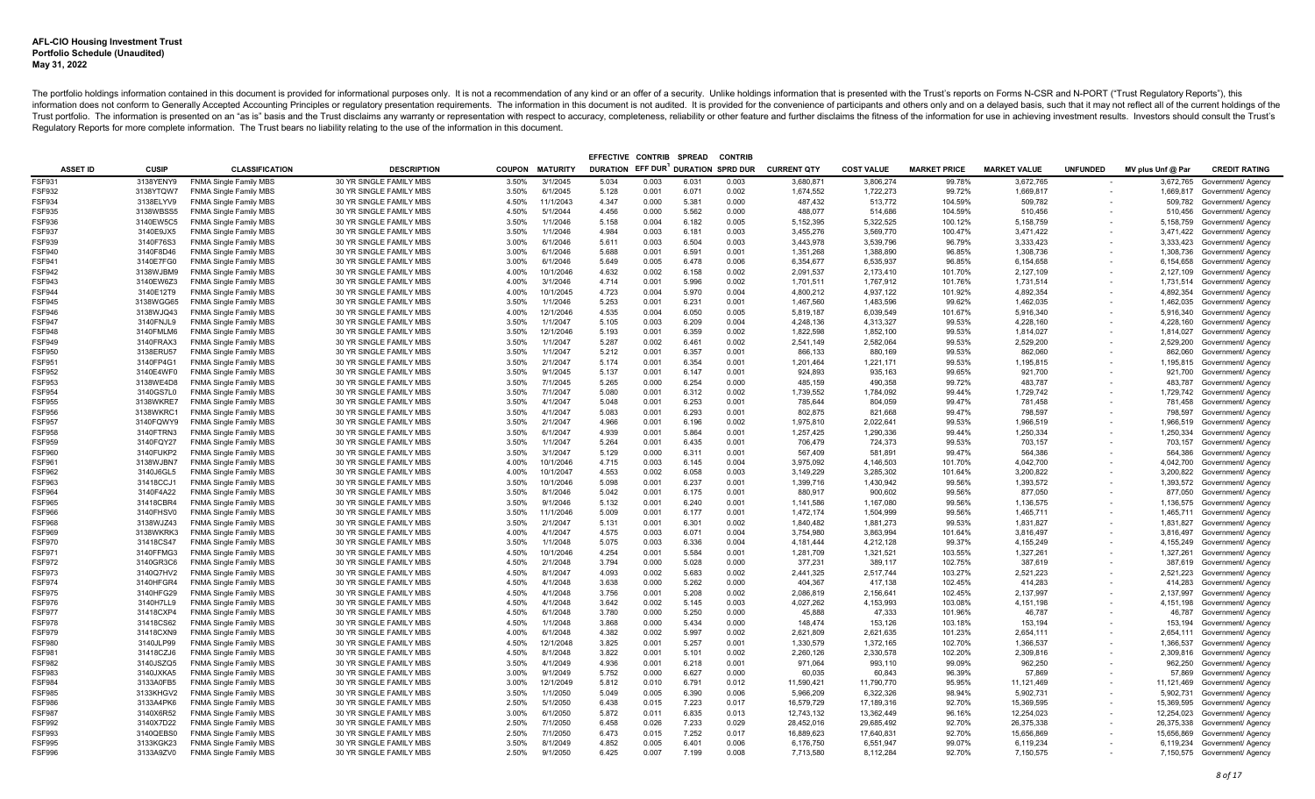|                         |                        |                                                                |                                                    |                |                        | EFFECTIVE CONTRIB                  |                | <b>SPREAD</b>  | <b>CONTRIE</b> |                        |                        |                     |                        |                          |                        |                                          |
|-------------------------|------------------------|----------------------------------------------------------------|----------------------------------------------------|----------------|------------------------|------------------------------------|----------------|----------------|----------------|------------------------|------------------------|---------------------|------------------------|--------------------------|------------------------|------------------------------------------|
| <b>ASSET ID</b>         | <b>CUSIP</b>           | <b>CLASSIFICATION</b>                                          | <b>DESCRIPTION</b>                                 |                | <b>COUPON MATURITY</b> | DURATION EFF DUR DURATION SPRD DUR |                |                |                | <b>CURRENT QTY</b>     | <b>COST VALUE</b>      | <b>MARKET PRICE</b> | <b>MARKET VALUE</b>    | <b>UNFUNDED</b>          | MV plus Unf @ Par      | <b>CREDIT RATING</b>                     |
| <b>FSF931</b>           | 3138YENY9              | <b>FNMA Single Family MBS</b>                                  | 30 YR SINGLE FAMILY MBS                            | 3.50%          | 3/1/2045               | 5.034                              | 0.003          | 6.031          | 0.003          | 3,680,871              | 3,806,274              | 99.78%              | 3,672,765              |                          | 3,672,765              | Government/ Agency                       |
| <b>FSF932</b>           | 3138YTQW7              | <b>FNMA Single Family MBS</b>                                  | 30 YR SINGLE FAMILY MBS                            | 3.50%          | 6/1/2045               | 5.128                              | 0.001          | 6.071          | 0.002          | 1,674,552              | 1,722,273              | 99.72%              | 1,669,817              | $\overline{\phantom{a}}$ |                        | 1,669,817 Government/ Agency             |
| <b>FSF934</b>           | 3138ELYV9              | <b>FNMA Single Family MBS</b>                                  | 30 YR SINGLE FAMILY MBS                            | 4.50%          | 11/1/2043              | 4.347                              | 0.000          | 5.381          | 0.000          | 487,432                | 513,772                | 104.59%             | 509,782                |                          |                        | 509,782 Government/ Agency               |
| <b>FSF935</b>           | 3138WBSS5              | <b>FNMA Single Family MBS</b>                                  | 30 YR SINGLE FAMILY MBS                            | 4.50%          | 5/1/2044               | 4.456                              | 0.000          | 5.562          | 0.000          | 488.077                | 514.686                | 104.59%             | 510.456                |                          |                        | 510,456 Government/ Agency               |
| FSF936                  | 3140EW5C5              | <b>FNMA Single Family MBS</b>                                  | 30 YR SINGLE FAMILY MBS                            | 3.50%          | 1/1/2046               | 5.158                              | 0.004          | 6.182          | 0.005          | 5,152,395              | 5,322,525              | 100.12%             | 5,158,759              |                          |                        | 5,158,759 Government/ Agency             |
| FSF937                  | 3140E9JX5              | <b>FNMA Single Family MBS</b>                                  | 30 YR SINGLE FAMILY MBS                            | 3.50%          | 1/1/2046               | 4.984                              | 0.003          | 6.181          | 0.003          | 3,455,276              | 3,569,770              | 100.47%             | 3,471,422              |                          | 3,471,422              | Government/ Agency                       |
| FSF939                  | 3140F76S3              | <b>FNMA Single Family MBS</b>                                  | 30 YR SINGLE FAMILY MBS                            | 3.00%          | 6/1/2046               | 5.611                              | 0.003          | 6.504          | 0.003          | 3,443,978              | 3,539,796              | 96.79%              | 3,333,423              |                          | 3,333,423              | Government/ Agency                       |
| FSF940                  | 3140F8D46              | <b>FNMA Single Family MBS</b>                                  | 30 YR SINGLE FAMILY MBS                            | 3.00%          | 6/1/2046               | 5.688                              | 0.001          | 6.591          | 0.001          | 1,351,268              | 1,388,890              | 96.85%              | 1,308,736              |                          | 1,308,736              | Government/ Agency                       |
| FSF941                  | 3140E7FG0              | <b>FNMA Single Family MBS</b>                                  | 30 YR SINGLE FAMILY MBS                            | 3.00%          | 6/1/2046               | 5.649                              | 0.005          | 6.478          | 0.006          | 6,354,677              | 6,535,937              | 96.85%              | 6,154,658              |                          | 6,154,658              | Government/ Agency                       |
| FSF942                  | 3138WJBM9              | <b>FNMA Single Family MBS</b>                                  | 30 YR SINGLE FAMILY MBS                            | 4.00%          | 10/1/2046              | 4.632                              | 0.002          | 6.158          | 0.002          | 2,091,537              | 2,173,410              | 101.70%             | 2,127,109              |                          |                        | 2,127,109 Government/ Agency             |
| FSF943                  | 3140EW6Z3              | <b>FNMA Single Family MBS</b>                                  | 30 YR SINGLE FAMILY MBS                            | 4.00%          | 3/1/2046               | 4.714                              | 0.001          | 5.996          | 0.002          | 1,701,511              | 1,767,912              | 101.76%             | 1,731,514              |                          |                        | 1,731,514 Government/ Agency             |
| <b>FSF944</b>           | 3140E12T9              | <b>FNMA Single Family MBS</b>                                  | 30 YR SINGLE FAMILY MBS                            | 4.00%          | 10/1/2045              | 4.723                              | 0.004          | 5.970          | 0.004          | 4,800,212              | 4.937.122              | 101.92%             | 4.892.354              |                          | 4,892,354              | Government/ Agency                       |
| FSF945                  | 3138WGG65              | <b>FNMA Single Family MBS</b>                                  | 30 YR SINGLE FAMILY MBS                            | 3.50%          | 1/1/2046               | 5.253                              | 0.001          | 6.231          | 0.001          | 1,467,560              | 1,483,596              | 99.62%              | 1,462,035              |                          |                        | 1,462,035 Government/ Agency             |
| <b>FSF946</b>           | 3138WJQ43              | <b>FNMA Single Family MBS</b>                                  | 30 YR SINGLE FAMILY MBS                            | 4.00%          | 12/1/2046              | 4.535                              | 0.004          | 6.050          | 0.005          | 5,819,187              | 6,039,549              | 101.67%             | 5,916,340              |                          |                        | 5,916,340 Government/ Agency             |
| FSF947                  | 3140FNJL9              | <b>FNMA Single Family MBS</b>                                  | 30 YR SINGLE FAMILY MBS                            | 3.50%          | 1/1/2047               | 5.105                              | 0.003          | 6.209          | 0.004          | 4,248,136              | 4,313,327              | 99.53%              | 4,228,160              |                          | 4,228,160              | Government/ Agency                       |
| <b>FSF948</b>           | 3140FMLM6              | <b>FNMA Single Family MBS</b>                                  | 30 YR SINGLE FAMILY MBS                            | 3.50%          | 12/1/2046              | 5.193                              | 0.001          | 6.359          | 0.002          | 1,822,598              | 1.852.100              | 99.53%              | 1,814,027              |                          |                        | 1,814,027 Government/ Agency             |
| FSF949                  | 3140FRAX3              | <b>FNMA Single Family MBS</b>                                  | 30 YR SINGLE FAMILY MBS                            | 3.50%          | 1/1/2047               | 5.287                              | 0.002          | 6.461          | 0.002          | 2,541,149              | 2,582,064              | 99.53%              | 2,529,200              |                          |                        | 2,529,200 Government/ Agency             |
| <b>FSF950</b>           | 3138ERU57              | <b>FNMA Single Family MBS</b>                                  | 30 YR SINGLE FAMILY MBS                            | 3.50%          | 1/1/2047               | 5.212                              | 0.001          | 6.357          | 0.001          | 866.133                | 880.169                | 99.53%              | 862.060                |                          | 862,060                | Government/ Agency                       |
| FSF951                  | 3140FP4G1              | <b>FNMA Single Family MBS</b>                                  | 30 YR SINGLE FAMILY MBS                            | 3.50%          | 2/1/2047               | 5.174                              | 0.001          | 6.354          | 0.001          | 1,201,464              | 1,221,171              | 99.53%              | 1,195,815              |                          |                        | 1,195,815 Government/ Agency             |
| <b>FSF952</b>           | 3140E4WF0              | <b>FNMA Single Family MBS</b>                                  | 30 YR SINGLE FAMILY MBS                            | 3.50%          | 9/1/2045               | 5.137                              | 0.001          | 6.147          | 0.001          | 924.893                | 935.163                | 99.65%              | 921.700                |                          | 921,700                | Government/ Agency                       |
| FSF953                  | 3138WE4D8              | <b>FNMA Single Family MBS</b>                                  | 30 YR SINGLE FAMILY MBS                            | 3.50%          | 7/1/2045               | 5.265                              | 0.000          | 6.254          | 0.000          | 485.159                | 490.358                | 99.72%              | 483.787                |                          |                        | 483,787 Government/ Agency               |
| FSF954                  | 3140GS7L0              | <b>FNMA Single Family MBS</b>                                  | 30 YR SINGLE FAMILY MBS                            | 3.50%          | 7/1/2047               | 5.080                              | 0.001          | 6.312          | 0.002          | 1,739,552              | 1,784,092              | 99.44%              | 1,729,742              |                          |                        | 1,729,742 Government/ Agency             |
| FSF955                  | 3138WKRE7              | <b>FNMA Single Family MBS</b>                                  | 30 YR SINGLE FAMILY MBS                            | 3.50%          | 4/1/2047               | 5.048                              | 0.001          | 6.253          | 0.001          | 785,644                | 804.059                | 99.47%              | 781.458                |                          | 781.458                | Government/ Agency                       |
| FSF956                  | 3138WKRC1              | <b>FNMA Single Family MBS</b>                                  | 30 YR SINGLE FAMILY MBS                            | 3.50%          | 4/1/2047               | 5.083                              | 0.001          | 6.293          | 0.001          | 802,875                | 821,668                | 99.47%              | 798,597                |                          | 798,597                | Government/ Agency                       |
| FSF957                  | 3140FQWY9              | <b>FNMA Single Family MBS</b>                                  | 30 YR SINGLE FAMILY MBS                            | 3.50%          | 2/1/2047               | 4.966                              | 0.001          | 6.196          | 0.002          | 1,975,810              | 2,022,641              | 99.53%              | 1,966,519              |                          |                        | 1,966,519 Government/ Agency             |
| FSF958                  | 3140FTRN3              | <b>FNMA Single Family MBS</b>                                  | 30 YR SINGLE FAMILY MBS                            | 3.50%          | 6/1/2047               | 4.939                              | 0.001          | 5.864          | 0.001          | 1,257,425              | 1.290.336              | 99.44%              | 1,250,334              |                          | 1,250,334              | Government/ Agency                       |
| FSF959                  | 3140FQY27              | <b>FNMA Single Family MBS</b>                                  | 30 YR SINGLE FAMILY MBS                            | 3.50%          | 1/1/2047               | 5.264                              | 0.001          | 6.435          | 0.001          | 706,479                | 724,373                | 99.53%              | 703,157                |                          | 703,157                | Government/ Agency                       |
| FSF960                  | 3140FUKP2              | <b>FNMA Single Family MBS</b>                                  | 30 YR SINGLE FAMILY MBS                            | 3.50%          | 3/1/2047               | 5.129                              | 0.000          | 6.311          | 0.001          | 567,409                | 581,891                | 99.47%              | 564,386                |                          | 564,386                | Government/ Agency                       |
| FSF961                  | 3138WJBN7              | <b>FNMA Single Family MBS</b>                                  | 30 YR SINGLE FAMILY MBS                            | 4.00%          | 10/1/2046              | 4.715                              | 0.003          | 6.145          | 0.004          | 3,975,092              | 4,146,503              | 101.70%             | 4,042,700              |                          |                        | 4,042,700 Government/ Agency             |
| FSF962                  | 3140J6GL5              | <b>FNMA Single Family MBS</b>                                  | 30 YR SINGLE FAMILY MBS                            | 4.00%          | 10/1/2047              | 4.553                              | 0.002          | 6.058          | 0.003          | 3,149,229              | 3,285,302              | 101.64%             | 3,200,822              |                          |                        | 3,200,822 Government/ Agency             |
| <b>FSF963</b>           | 31418CCJ1              | <b>FNMA Single Family MBS</b>                                  | 30 YR SINGLE FAMILY MBS                            | 3.50%          | 10/1/2046              | 5.098                              | 0.001          | 6.237          | 0.001          | 1,399,716              | 1.430.942              | 99.56%              | 1.393.572              |                          |                        | 1,393,572 Government/ Agency             |
| FSF964                  | 3140F4A22              | <b>FNMA Single Family MBS</b>                                  | 30 YR SINGLE FAMILY MBS                            | 3.50%          | 8/1/2046               | 5.042                              | 0.001          | 6.175          | 0.001          | 880,917                | 900,602                | 99.56%              | 877,050                |                          | 877,050                | Government/ Agency                       |
| FSF965                  | 31418CBR4              | <b>FNMA Single Family MBS</b>                                  | 30 YR SINGLE FAMILY MBS                            | 3.50%          | 9/1/2046               | 5.132                              | 0.001          | 6.240          | 0.001          | 1,141,586              | 1,167,080              | 99.56%              | 1,136,575              |                          |                        | 1,136,575 Government/ Agency             |
| FSF966                  | 3140FHSV0              | <b>FNMA Single Family MBS</b>                                  | 30 YR SINGLE FAMILY MBS                            | 3.50%          | 11/1/2046<br>2/1/2047  | 5.009                              | 0.001          | 6.177<br>6.301 | 0.001          | 1,472,174              | 1,504,999              | 99.56%              | 1,465,711              |                          |                        | 1,465,711 Government/ Agency             |
| <b>FSF968</b><br>FSF969 | 3138WJZ43<br>3138WKRK3 | <b>FNMA Single Family MBS</b><br><b>FNMA Single Family MBS</b> | 30 YR SINGLE FAMILY MBS<br>30 YR SINGLE FAMILY MBS | 3.50%<br>4.00% | 4/1/2047               | 5.131<br>4.575                     | 0.001<br>0.003 | 6.071          | 0.002<br>0.004 | 1,840,482<br>3,754,980 | 1,881,273<br>3,863,994 | 99.53%<br>101.64%   | 1,831,827<br>3,816,497 |                          | 1,831,827<br>3,816,497 | Government/ Agency<br>Government/ Agency |
| FSF970                  | 31418CS47              | <b>FNMA Single Family MBS</b>                                  | 30 YR SINGLE FAMILY MBS                            | 3.50%          | 1/1/2048               | 5.075                              | 0.003          | 6.336          | 0.004          | 4,181,444              | 4,212,128              | 99.37%              | 4,155,249              |                          |                        | 4,155,249 Government/ Agency             |
| FSF971                  | 3140FFMG3              | FNMA Single Family MBS                                         | 30 YR SINGLE FAMILY MBS                            | 4.50%          | 10/1/2046              | 4.254                              | 0.001          | 5.584          | 0.001          | 1,281,709              | 1,321,521              | 103.55%             | 1,327,261              |                          |                        | 1,327,261 Government/ Agency             |
| <b>FSF972</b>           | 3140GR3C6              | <b>FNMA Single Family MBS</b>                                  | 30 YR SINGLE FAMILY MBS                            | 4.50%          | 2/1/2048               | 3.794                              | 0.000          | 5.028          | 0.000          | 377,231                | 389,117                | 102.75%             | 387.619                |                          |                        | 387,619 Government/ Agency               |
| FSF973                  | 3140Q7HV2              | <b>FNMA Single Family MBS</b>                                  | 30 YR SINGLE FAMILY MBS                            | 4.50%          | 8/1/2047               | 4.093                              | 0.002          | 5.683          | 0.002          | 2,441,325              | 2,517,744              | 103.27%             | 2,521,223              |                          | 2,521,223              | Government/ Agency                       |
| FSF974                  | 3140HFGR4              | <b>FNMA Single Family MBS</b>                                  | 30 YR SINGLE FAMILY MBS                            | 4.50%          | 4/1/2048               | 3.638                              | 0.000          | 5.262          | 0.000          | 404,367                | 417,138                | 102.45%             | 414,283                |                          | 414,283                | Government/ Agency                       |
| <b>FSF975</b>           | 3140HFG29              | <b>FNMA Single Family MBS</b>                                  | 30 YR SINGLE FAMILY MBS                            | 4.50%          | 4/1/2048               | 3.756                              | 0.001          | 5.208          | 0.002          | 2,086,819              | 2,156,641              | 102.45%             | 2,137,997              |                          |                        | 2,137,997 Government/ Agency             |
| FSF976                  | 3140H7LL9              | <b>FNMA Single Family MBS</b>                                  | 30 YR SINGLE FAMILY MBS                            | 4.50%          | 4/1/2048               | 3.642                              | 0.002          | 5.145          | 0.003          | 4.027.262              | 4.153.993              | 103.08%             | 4,151,198              |                          | 4,151,198              | Government/ Agency                       |
| <b>FSF977</b>           | 31418CXP4              | <b>FNMA Single Family MBS</b>                                  | 30 YR SINGLE FAMILY MBS                            | 4.50%          | 6/1/2048               | 3.780                              | 0.000          | 5.250          | 0.000          | 45,888                 | 47,333                 | 101.96%             | 46,787                 |                          |                        | 46,787 Government/ Agency                |
| FSF978                  | 31418CS62              | <b>FNMA Single Family MBS</b>                                  | 30 YR SINGLE FAMILY MBS                            | 4.50%          | 1/1/2048               | 3.868                              | 0.000          | 5.434          | 0.000          | 148.474                | 153.126                | 103.18%             | 153.194                |                          | 153,194                | Government/ Agency                       |
| <b>FSF979</b>           | 31418CXN9              | <b>FNMA Single Family MBS</b>                                  | 30 YR SINGLE FAMILY MBS                            | 4.00%          | 6/1/2048               | 4.382                              | 0.002          | 5.997          | 0.002          | 2,621,809              | 2,621,635              | 101.23%             | 2,654,111              |                          |                        | 2,654,111 Government/ Agency             |
| <b>FSF980</b>           | 3140JLP99              | <b>FNMA Single Family MBS</b>                                  | 30 YR SINGLE FAMILY MBS                            | 4.50%          | 12/1/2048              | 3.825                              | 0.001          | 5.257          | 0.001          | 1.330.579              | 1.372.165              | 102.70%             | 1.366.537              |                          | 1.366.537              | Government/ Agency                       |
| <b>FSF981</b>           | 31418CZJ6              | <b>FNMA Single Family MBS</b>                                  | 30 YR SINGLE FAMILY MBS                            | 4.50%          | 8/1/2048               | 3.822                              | 0.001          | 5.101          | 0.002          | 2,260,126              | 2.330.578              | 102.20%             | 2.309.816              |                          |                        | 2,309,816 Government/ Agency             |
| FSF982                  | 3140JSZQ5              | <b>FNMA Single Family MBS</b>                                  | 30 YR SINGLE FAMILY MBS                            | 3.50%          | 4/1/2049               | 4.936                              | 0.001          | 6.218          | 0.001          | 971,064                | 993,110                | 99.09%              | 962,250                |                          | 962,250                | Government/ Agency                       |
| <b>FSF983</b>           | 3140JXKA5              | <b>FNMA Single Family MBS</b>                                  | 30 YR SINGLE FAMILY MBS                            | 3.00%          | 9/1/2049               | 5.752                              | 0.000          | 6.627          | 0.000          | 60.035                 | 60.843                 | 96.39%              | 57.869                 |                          |                        | 57,869 Government/ Agency                |
| FSF984                  | 3133A0FB5              | <b>FNMA Single Family MBS</b>                                  | 30 YR SINGLE FAMILY MBS                            | 3.00%          | 12/1/2049              | 5.812                              | 0.010          | 6.791          | 0.012          | 11,590,421             | 11,790,770             | 95.95%              | 11,121,469             |                          |                        | 11,121,469 Government/ Agency            |
| FSF985                  | 3133KHGV2              | <b>FNMA Single Family MBS</b>                                  | 30 YR SINGLE FAMILY MBS                            | 3.50%          | 1/1/2050               | 5.049                              | 0.005          | 6.390          | 0.006          | 5,966,209              | 6,322,326              | 98.94%              | 5,902,731              |                          |                        | 5,902,731 Government/ Agency             |
| <b>FSF986</b>           | 3133A4PK6              | <b>FNMA Single Family MBS</b>                                  | 30 YR SINGLE FAMILY MBS                            | 2.50%          | 5/1/2050               | 6.438                              | 0.015          | 7.223          | 0.017          | 16,579,729             | 17,189,316             | 92.70%              | 15,369,595             |                          |                        | 15,369,595 Government/ Agency            |
| <b>FSF987</b>           | 3140X6R52              | <b>FNMA Single Family MBS</b>                                  | 30 YR SINGLE FAMILY MBS                            | 3.00%          | 6/1/2050               | 5.872                              | 0.011          | 6.835          | 0.013          | 12,743,132             | 13,362,449             | 96.16%              | 12,254,023             |                          |                        | 12,254,023 Government/ Agency            |
| FSF992                  | 3140X7D22              | <b>FNMA Single Family MBS</b>                                  | 30 YR SINGLE FAMILY MBS                            | 2.50%          | 7/1/2050               | 6.458                              | 0.026          | 7.233          | 0.029          | 28,452,016             | 29,685,492             | 92.70%              | 26,375,338             |                          | 26,375,338             | Government/ Agency                       |
| <b>SF993</b>            | 3140QEBS0              | <b>FNMA Single Family MBS</b>                                  | 30 YR SINGLE FAMILY MBS                            | 2.50%          | 7/1/2050               | 6.473                              | 0.015          | 7.252          | 0.017          | 16,889,623             | 17,640,831             | 92.70%              | 15,656,869             |                          | 15,656,869             | Government/ Agency                       |
| <b>FSF995</b>           | 3133KGK23              | FNMA Single Family MBS                                         | 30 YR SINGLE FAMILY MBS                            | 3.50%          | 8/1/2049               | 4.852                              | 0.005          | 6.401          | 0.006          | 6,176,750              | 6,551,947              | 99.07%              | 6,119,234              |                          |                        | 6,119,234 Government/ Agency             |
| <b>FSF996</b>           | 3133A9ZV0              | <b>FNMA Single Family MBS</b>                                  | 30 YR SINGLE FAMILY MBS                            | 2.50%          | 9/1/2050               | 6.425                              | 0.007          | 7.199          | 0.008          | 7.713.580              | 8.112.284              | 92.70%              | 7.150.575              |                          |                        | 7,150,575 Government/ Agency             |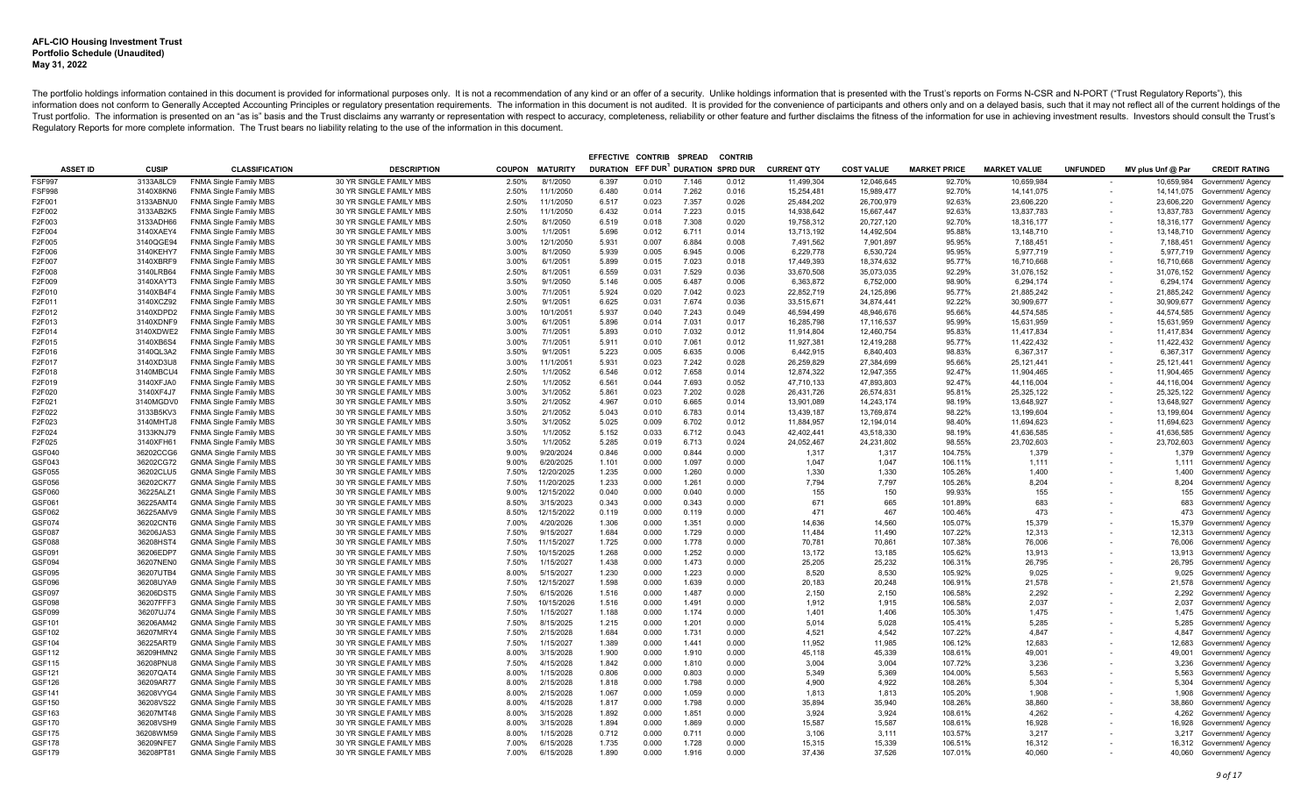|                  |                        |                                                                |                                                    |                |                         | EFFECTIVE CONTRIB                  |                | <b>SPREAD</b>  | <b>CONTRIE</b> |                    |                   |                     |                     |                 |                   |                                          |
|------------------|------------------------|----------------------------------------------------------------|----------------------------------------------------|----------------|-------------------------|------------------------------------|----------------|----------------|----------------|--------------------|-------------------|---------------------|---------------------|-----------------|-------------------|------------------------------------------|
| <b>ASSET ID</b>  | <b>CUSIP</b>           | <b>CLASSIFICATION</b>                                          | <b>DESCRIPTION</b>                                 |                | <b>COUPON MATURITY</b>  | DURATION EFF DUR DURATION SPRD DUR |                |                |                | <b>CURRENT QTY</b> | <b>COST VALUE</b> | <b>MARKET PRICE</b> | <b>MARKET VALUE</b> | <b>UNFUNDED</b> | MV plus Unf @ Par | <b>CREDIT RATING</b>                     |
| <b>FSF997</b>    | 3133A8LC9              | <b>FNMA Single Family MBS</b>                                  | 30 YR SINGLE FAMILY MBS                            | 2.50%          | 8/1/2050                | 6.397                              | 0.010          | 7.146          | 0.012          | 11,499,304         | 12,046,645        | 92.70%              | 10,659,984          |                 | 10,659,984        | Government/ Agency                       |
| <b>FSF998</b>    | 3140X8KN6              | <b>FNMA Single Family MBS</b>                                  | 30 YR SINGLE FAMILY MBS                            | 2.50%          | 11/1/2050               | 6.480                              | 0.014          | 7.262          | 0.016          | 15,254,481         | 15,989,477        | 92.70%              | 14, 141, 075        |                 |                   | 14,141,075 Government/ Agency            |
| F2F001           | 3133ABNU0              | <b>FNMA Single Family MBS</b>                                  | 30 YR SINGLE FAMILY MBS                            | 2.50%          | 11/1/2050               | 6.517                              | 0.023          | 7.357          | 0.026          | 25,484,202         | 26,700,979        | 92.63%              | 23,606,220          |                 |                   | 23,606,220 Government/ Agency            |
| F2F002           | 3133AB2K5              | <b>FNMA Single Family MBS</b>                                  | 30 YR SINGLE FAMILY MBS                            | 2.50%          | 11/1/2050               | 6.432                              | 0.014          | 7.223          | 0.015          | 14,938,642         | 15,667,447        | 92.63%              | 13,837,783          |                 |                   | 13,837,783 Government/ Agency            |
| F2F003           | 3133ADH66              | <b>FNMA Single Family MBS</b>                                  | 30 YR SINGLE FAMILY MBS                            | 2.50%          | 8/1/2050                | 6.519                              | 0.018          | 7.308          | 0.020          | 19,758,312         | 20,727,120        | 92.70%              | 18,316,177          |                 |                   | 18,316,177 Government/ Agency            |
| F2F004           | 3140XAEY4              | <b>FNMA Single Family MBS</b>                                  | 30 YR SINGLE FAMILY MBS                            | 3.00%          | 1/1/2051                | 5.696                              | 0.012          | 6.711          | 0.014          | 13,713,192         | 14,492,504        | 95.88%              | 13,148,710          |                 |                   | 13,148,710 Government/ Agency            |
| F2F005           | 3140QGE94              | FNMA Single Family MBS                                         | 30 YR SINGLE FAMILY MBS                            | 3.00%          | 12/1/2050               | 5.931                              | 0.007          | 6.884          | 0.008          | 7,491,562          | 7,901,897         | 95.95%              | 7,188,451           |                 |                   | 7,188,451 Government/ Agency             |
| F2F006           | 3140KEHY7              | <b>FNMA Single Family MBS</b>                                  | 30 YR SINGLE FAMILY MBS                            | 3.00%          | 8/1/2050                | 5.939                              | 0.005          | 6.945          | 0.006          | 6,229,778          | 6,530,724         | 95.95%              | 5,977,719           |                 |                   | 5,977,719 Government/ Agency             |
| F2F007           | 3140XBRF9              | <b>FNMA Single Family MBS</b>                                  | 30 YR SINGLE FAMILY MBS                            | 3.00%          | 6/1/2051                | 5.899                              | 0.015          | 7.023          | 0.018          | 17,449,393         | 18,374,632        | 95.77%              | 16,710,668          |                 |                   | 16,710,668 Government/ Agency            |
| F2F008           | 3140LRB64              | <b>FNMA Single Family MBS</b>                                  | 30 YR SINGLE FAMILY MBS                            | 2.50%          | 8/1/2051                | 6.559                              | 0.031          | 7.529          | 0.036          | 33,670,508         | 35,073,035        | 92.29%              | 31,076,152          |                 |                   | 31,076,152 Government/ Agency            |
| F2F009           | 3140XAYT3              | <b>FNMA Single Family MBS</b>                                  | 30 YR SINGLE FAMILY MBS                            | 3.50%          | 9/1/2050                | 5.146                              | 0.005          | 6.487          | 0.006          | 6,363,872          | 6,752,000         | 98.90%              | 6,294,174           |                 |                   | 6,294,174 Government/ Agency             |
| F2F010           | 3140XB4F4              | <b>FNMA Single Family MBS</b>                                  | 30 YR SINGLE FAMILY MBS                            | 3.00%          | 7/1/2051                | 5.924                              | 0.020          | 7.042          | 0.023          | 22,852,719         | 24,125,896        | 95.77%              | 21,885,242          |                 |                   | 21,885,242 Government/ Agency            |
| F2F011           | 3140XCZ92              | <b>FNMA Single Family MBS</b>                                  | 30 YR SINGLE FAMILY MBS                            | 2.50%          | 9/1/2051                | 6.625                              | 0.031          | 7.674          | 0.036          | 33,515,671         | 34,874,441        | 92.22%              | 30,909,677          |                 |                   | 30,909,677 Government/ Agency            |
| F2F012           | 3140XDPD2              | <b>FNMA Single Family MBS</b>                                  | 30 YR SINGLE FAMILY MBS                            | 3.00%          | 10/1/2051               | 5.937                              | 0.040          | 7.243          | 0.049          | 46,594,499         | 48.946.676        | 95.66%              | 44,574,585          |                 |                   | 44,574,585 Government/ Agency            |
| F2F013           | 3140XDNF9              | <b>FNMA Single Family MBS</b>                                  | 30 YR SINGLE FAMILY MBS                            | 3.00%          | 6/1/2051                | 5.896                              | 0.014          | 7.031          | 0.017          | 16,285,798         | 17,116,537        | 95.99%              | 15,631,959          |                 |                   | 15,631,959 Government/ Agency            |
| F2F014           | 3140XDWE2              | <b>FNMA Single Family MBS</b>                                  | 30 YR SINGLE FAMILY MBS                            | 3.00%          | 7/1/2051                | 5.893                              | 0.010          | 7.032          | 0.012          | 11.914.804         | 12.460.754        | 95.83%              | 11.417.834          |                 |                   | 11,417,834 Government/ Agency            |
| F2F015           | 3140XB6S4              | <b>FNMA Single Family MBS</b>                                  | 30 YR SINGLE FAMILY MBS                            | 3.00%          | 7/1/2051                | 5.911                              | 0.010          | 7.061          | 0.012          | 11,927,381         | 12,419,288        | 95.77%              | 11,422,432          |                 |                   | 11,422,432 Government/ Agency            |
| F2F016           | 3140QL3A2              | <b>FNMA Single Family MBS</b>                                  | 30 YR SINGLE FAMILY MBS                            | 3.50%          | 9/1/2051                | 5.223                              | 0.005          | 6.635          | 0.006          | 6,442,915          | 6,840,403         | 98.83%              | 6,367,317           |                 |                   | 6,367,317 Government/ Agency             |
| F2F017           | 3140XD3U8              | <b>FNMA Single Family MBS</b>                                  | 30 YR SINGLE FAMILY MBS                            | 3.00%          | 11/1/2051               | 5.931                              | 0.023          | 7.242          | 0.028          | 26,259,829         | 27.384.699        | 95.66%              | 25.121.441          |                 |                   | 25,121,441 Government/ Agency            |
| F2F018           | 3140MBCU4              | <b>FNMA Single Family MBS</b>                                  | 30 YR SINGLE FAMILY MBS                            | 2.50%          | 1/1/2052                | 6.546                              | 0.012          | 7.658          | 0.014          | 12,874,322         | 12,947,355        | 92.47%              | 11,904,465          |                 |                   | 11,904,465 Government/ Agency            |
| F2F019           | 3140XFJA0              | <b>FNMA Single Family MBS</b>                                  | 30 YR SINGLE FAMILY MBS                            | 2.50%          | 1/1/2052                | 6.561                              | 0.044          | 7.693          | 0.052          | 47,710,133         | 47,893,803        | 92.47%              | 44,116,004          |                 |                   | 44,116,004 Government/ Agency            |
| F2F020           | 3140XF4J7              | <b>FNMA Single Family MBS</b>                                  | 30 YR SINGLE FAMILY MBS                            | 3.00%          | 3/1/2052                | 5.861                              | 0.023          | 7.202          | 0.028          | 26,431,726         | 26,574,831        | 95.81%              | 25,325,122          |                 |                   | 25,325,122 Government/ Agency            |
| F2F021           | 3140MGDV0              | <b>FNMA Single Family MBS</b>                                  | 30 YR SINGLE FAMILY MBS                            | 3.50%          | 2/1/2052                | 4.967                              | 0.010          | 6.665          | 0.014          | 13,901,089         | 14,243,174        | 98.19%              | 13,648,927          |                 |                   | 13,648,927 Government/ Agency            |
| F2F022           | 3133B5KV3              | <b>FNMA Single Family MBS</b>                                  | 30 YR SINGLE FAMILY MBS                            | 3.50%          | 2/1/2052                | 5.043                              | 0.010          | 6.783          | 0.014          | 13.439.187         | 13.769.874        | 98.22%              | 13,199,604          |                 | 13,199,604        | Government/ Agency                       |
| F2F023           | 3140MHTJ8              | <b>FNMA Single Family MBS</b>                                  | 30 YR SINGLE FAMILY MBS                            | 3.50%          | 3/1/2052                | 5.025                              | 0.009          | 6.702          | 0.012          | 11,884,957         | 12,194,014        | 98.40%              | 11,694,623          |                 | 11,694,623        | Government/ Agency                       |
| F2F024           | 3133KNJ79              | <b>FNMA Single Family MBS</b>                                  | 30 YR SINGLE FAMILY MBS                            | 3.50%          | 1/1/2052                | 5.152                              | 0.033          | 6.712          | 0.043          | 42,402,441         | 43,518,330        | 98.19%              | 41,636,585          |                 | 41,636,585        | Government/ Agency                       |
| F2F025           | 3140XFH61              | <b>FNMA Single Family MBS</b>                                  | 30 YR SINGLE FAMILY MBS                            | 3.50%          | 1/1/2052                | 5.285                              | 0.019          | 6.713          | 0.024          | 24,052,467         | 24,231,802        | 98.55%              | 23,702,603          |                 | 23,702,603        | Government/ Agency                       |
| GSF040           | 36202CCG6              | <b>GNMA Single Family MBS</b>                                  | 30 YR SINGLE FAMILY MBS                            | 9.00%          | 9/20/2024               | 0.846                              | 0.000          | 0.844          | 0.000          | 1,317              | 1,317             | 104.75%             | 1,379               |                 | 1,379             | Government/ Agency                       |
| GSF043<br>GSF055 | 36202CG72              | <b>GNMA Single Family MBS</b>                                  | 30 YR SINGLE FAMILY MBS                            | 9.00%<br>7.50% | 6/20/2025<br>12/20/2025 | 1.101<br>1.235                     | 0.000          | 1.097<br>1.260 | 0.000          | 1,047<br>1.330     | 1,047<br>1.330    | 106.11%             | 1,111<br>1.400      |                 | 1,111             | Government/ Agency                       |
|                  | 36202CLU5<br>36202CK77 | <b>GNMA Single Family MBS</b>                                  | 30 YR SINGLE FAMILY MBS                            |                | 11/20/2025              |                                    | 0.000          | 1.261          | 0.000          |                    |                   | 105.26%             |                     |                 | 1,400             | Government/ Agency                       |
| GSF056<br>GSF060 | 36225ALZ1              | <b>GNMA Single Family MBS</b><br><b>GNMA Single Family MBS</b> | 30 YR SINGLE FAMILY MBS<br>30 YR SINGLE FAMILY MBS | 7.50%<br>9.00% | 12/15/2022              | 1.233<br>0.040                     | 0.000<br>0.000 | 0.040          | 0.000<br>0.000 | 7,794<br>155       | 7,797<br>150      | 105.26%<br>99.93%   | 8,204<br>155        |                 | 8,204<br>155      | Government/ Agency<br>Government/ Agency |
| GSF061           | 36225AMT4              | <b>GNMA Single Family MBS</b>                                  | 30 YR SINGLE FAMILY MBS                            | 8.50%          | 3/15/2023               | 0.343                              | 0.000          | 0.343          | 0.000          | 671                | 665               | 101.89%             | 683                 |                 | 683               | Government/ Agency                       |
| GSF062           | 36225AMV9              | <b>GNMA Single Family MBS</b>                                  | 30 YR SINGLE FAMILY MBS                            | 8.50%          | 12/15/2022              | 0.119                              | 0.000          | 0.119          | 0.000          | 471                | 467               | 100.46%             | 473                 |                 | 473               | Government/ Agency                       |
| GSF074           | 36202CNT6              | <b>GNMA Single Family MBS</b>                                  | 30 YR SINGLE FAMILY MBS                            | 7.00%          | 4/20/2026               | 1.306                              | 0.000          | 1.351          | 0.000          | 14,636             | 14,560            | 105.07%             | 15,379              |                 | 15,379            | Government/ Agency                       |
| GSF087           | 36206JAS3              | <b>GNMA Single Family MBS</b>                                  | 30 YR SINGLE FAMILY MBS                            | 7.50%          | 9/15/2027               | 1.684                              | 0.000          | 1.729          | 0.000          | 11.484             | 11.490            | 107.22%             | 12,313              |                 | 12,313            | Government/ Agency                       |
| <b>GSF088</b>    | 36208HST4              | <b>GNMA Single Family MBS</b>                                  | 30 YR SINGLE FAMILY MBS                            | 7.50%          | 11/15/2027              | 1.725                              | 0.000          | 1.778          | 0.000          | 70,781             | 70.861            | 107.38%             | 76,006              |                 | 76,006            | Government/ Agency                       |
| GSF091           | 36206EDP7              | <b>GNMA Single Family MBS</b>                                  | 30 YR SINGLE FAMILY MBS                            | 7.50%          | 10/15/2025              | 1.268                              | 0.000          | 1.252          | 0.000          | 13.172             | 13.185            | 105.62%             | 13.913              |                 | 13,913            | Government/ Agency                       |
| GSF094           | 36207NEN0              | <b>GNMA Single Family MBS</b>                                  | 30 YR SINGLE FAMILY MBS                            | 7.50%          | 1/15/2027               | 1.438                              | 0.000          | 1.473          | 0.000          | 25,205             | 25,232            | 106.31%             | 26,795              |                 | 26,795            | Government/ Agency                       |
| GSF095           | 36207UTB4              | <b>GNMA Single Family MBS</b>                                  | 30 YR SINGLE FAMILY MBS                            | 8.00%          | 5/15/2027               | 1.230                              | 0.000          | 1.223          | 0.000          | 8.520              | 8.530             | 105.92%             | 9.025               |                 | 9,025             | Government/ Agency                       |
| GSF096           | 36208UYA9              | <b>GNMA Single Family MBS</b>                                  | 30 YR SINGLE FAMILY MBS                            | 7.50%          | 12/15/2027              | 1.598                              | 0.000          | 1.639          | 0.000          | 20.183             | 20.248            | 106.91%             | 21,578              |                 | 21.578            | Government/ Agency                       |
| <b>GSF097</b>    | 36206DST5              | <b>GNMA Single Family MBS</b>                                  | 30 YR SINGLE FAMILY MBS                            | 7.50%          | 6/15/2026               | 1.516                              | 0.000          | 1.487          | 0.000          | 2.150              | 2.150             | 106.58%             | 2,292               |                 | 2,292             | Government/ Agency                       |
| <b>GSF098</b>    | 36207FFF3              | <b>GNMA Single Family MBS</b>                                  | 30 YR SINGLE FAMILY MBS                            | 7.50%          | 10/15/2026              | 1.516                              | 0.000          | 1.491          | 0.000          | 1,912              | 1,915             | 106.58%             | 2,037               |                 | 2,037             | Government/ Agency                       |
| <b>GSF099</b>    | 36207UJ74              | <b>GNMA Single Family MBS</b>                                  | 30 YR SINGLE FAMILY MBS                            | 7.50%          | 1/15/2027               | 1.188                              | 0.000          | 1.174          | 0.000          | 1.401              | 1.406             | 105.30%             | 1.475               |                 | 1.475             | Government/ Agency                       |
| GSF101           | 36206AM42              | <b>GNMA Single Family MBS</b>                                  | 30 YR SINGLE FAMILY MBS                            | 7.50%          | 8/15/2025               | 1.215                              | 0.000          | 1.201          | 0.000          | 5.014              | 5,028             | 105.41%             | 5,285               |                 | 5,285             | Government/ Agency                       |
| <b>GSF102</b>    | 36207MRY4              | <b>GNMA Single Family MBS</b>                                  | 30 YR SINGLE FAMILY MBS                            | 7.50%          | 2/15/2028               | 1.684                              | 0.000          | 1.731          | 0.000          | 4,521              | 4,542             | 107.22%             | 4,847               |                 | 4,847             | Government/ Agency                       |
| <b>GSF104</b>    | 36225ART9              | <b>GNMA Single Family MBS</b>                                  | 30 YR SINGLE FAMILY MBS                            | 7.50%          | 1/15/2027               | 1.389                              | 0.000          | 1.441          | 0.000          | 11.952             | 11.985            | 106.12%             | 12.683              |                 | 12.683            | Government/ Agency                       |
| <b>GSF112</b>    | 36209HMN2              | <b>GNMA Single Family MBS</b>                                  | 30 YR SINGLE FAMILY MBS                            | 8.00%          | 3/15/2028               | 1.900                              | 0.000          | 1.910          | 0.000          | 45,118             | 45,339            | 108.61%             | 49,001              |                 | 49,001            | Government/ Agency                       |
| GSF115           | 36208PNU8              | <b>GNMA Single Family MBS</b>                                  | 30 YR SINGLE FAMILY MBS                            | 7.50%          | 4/15/2028               | 1.842                              | 0.000          | 1.810          | 0.000          | 3,004              | 3,004             | 107.72%             | 3,236               |                 | 3,236             | Government/ Agency                       |
| GSF121           | 36207QAT4              | <b>GNMA Single Family MBS</b>                                  | 30 YR SINGLE FAMILY MBS                            | 8.00%          | 1/15/2028               | 0.806                              | 0.000          | 0.803          | 0.000          | 5.349              | 5.369             | 104.00%             | 5.563               |                 | 5.563             | Government/ Agency                       |
| <b>GSF126</b>    | 36209AR77              | <b>GNMA Single Family MBS</b>                                  | 30 YR SINGLE FAMILY MBS                            | 8.00%          | 2/15/2028               | 1.818                              | 0.000          | 1.798          | 0.000          | 4,900              | 4,922             | 108.26%             | 5,304               |                 | 5,304             | Government/ Agency                       |
| GSF141           | 36208VYG4              | <b>GNMA Single Family MBS</b>                                  | 30 YR SINGLE FAMILY MBS                            | 8.00%          | 2/15/2028               | 1.067                              | 0.000          | 1.059          | 0.000          | 1,813              | 1,813             | 105.20%             | 1,908               |                 | 1,908             | Government/ Agency                       |
| <b>GSF150</b>    | 36208VS22              | <b>GNMA Single Family MBS</b>                                  | 30 YR SINGLE FAMILY MBS                            | 8.00%          | 4/15/2028               | 1.817                              | 0.000          | 1.798          | 0.000          | 35,894             | 35,940            | 108.26%             | 38,860              |                 | 38,860            | Government/ Agency                       |
| GSF163           | 36207MT48              | <b>GNMA Single Family MBS</b>                                  | 30 YR SINGLE FAMILY MBS                            | 8.00%          | 3/15/2028               | 1.892                              | 0.000          | 1.851          | 0.000          | 3,924              | 3,924             | 108.61%             | 4,262               |                 | 4,262             | Government/ Agency                       |
| <b>GSF170</b>    | 36208VSH9              | <b>GNMA Single Family MBS</b>                                  | 30 YR SINGLE FAMILY MBS                            | 8.00%          | 3/15/2028               | 1.894                              | 0.000          | 1.869          | 0.000          | 15,587             | 15.587            | 108.61%             | 16,928              |                 | 16,928            | Government/ Agency                       |
| <b>GSF175</b>    | 36208WM59              | <b>GNMA Single Family MBS</b>                                  | 30 YR SINGLE FAMILY MBS                            | 8.00%          | 1/15/2028               | 0.712                              | 0.000          | 0.711          | 0.000          | 3,106              | 3,111             | 103.57%             | 3,217               |                 | 3,217             | Government/ Agency                       |
| <b>GSF178</b>    | 36209NFE7              | <b>GNMA Single Family MBS</b>                                  | 30 YR SINGLE FAMILY MBS                            | 7.00%          | 6/15/2028               | 1.735                              | 0.000          | 1.728          | 0.000          | 15,315             | 15,339            | 106.51%             | 16,312              |                 |                   | 16,312 Government/ Agency                |
| GSF179           | 36208PT81              | <b>GNMA Single Family MBS</b>                                  | 30 YR SINGLE FAMILY MBS                            | 7.00%          | 6/15/2028               | 1.890                              | 0.000          | 1.916          | 0.000          | 37.436             | 37.526            | 107.01%             | 40.060              |                 |                   | 40,060 Government/ Agency                |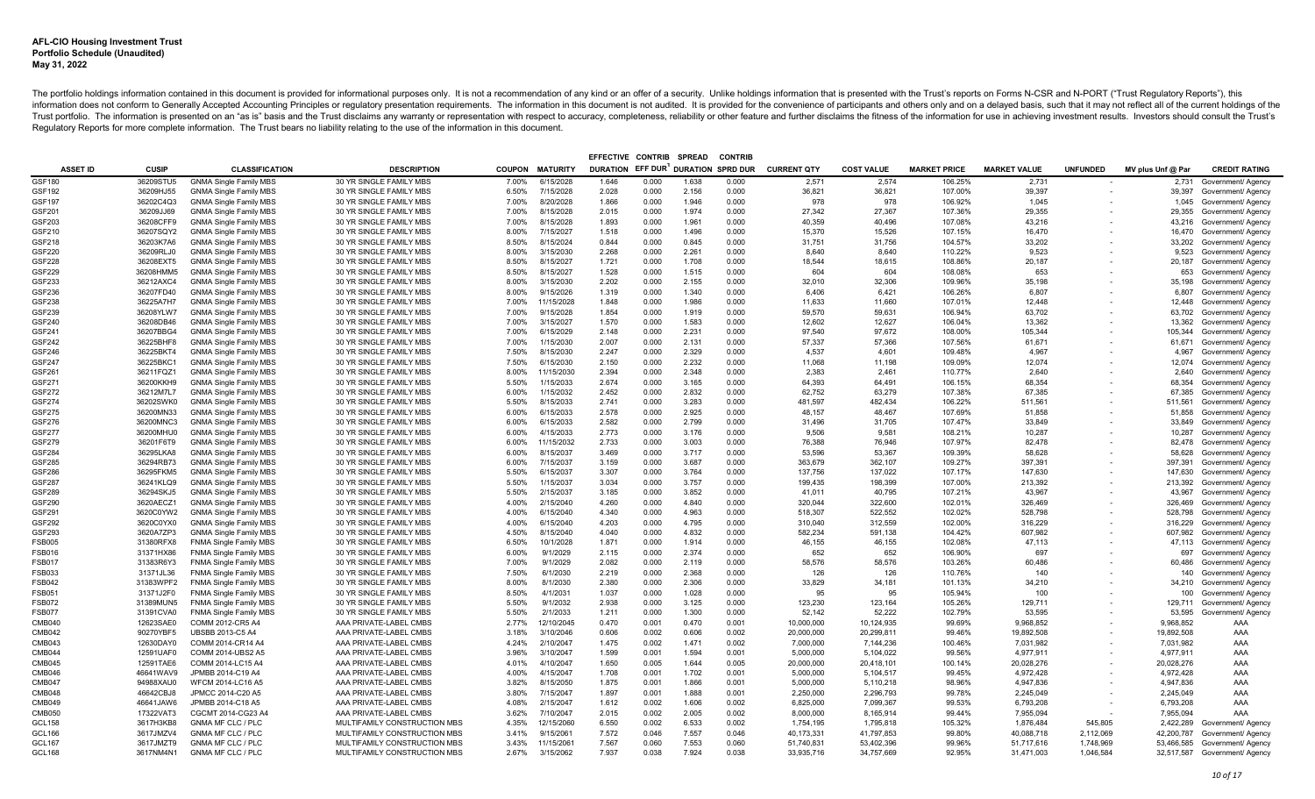|                                |                        |                                                                |                                                    |                |                         | EFFECTIVE CONTRIB                  |                | <b>SPREAD</b>  | <b>CONTRIE</b> |                    |                   |                     |                     |                 |                   |                                                 |
|--------------------------------|------------------------|----------------------------------------------------------------|----------------------------------------------------|----------------|-------------------------|------------------------------------|----------------|----------------|----------------|--------------------|-------------------|---------------------|---------------------|-----------------|-------------------|-------------------------------------------------|
| <b>ASSET ID</b>                | <b>CUSIP</b>           | <b>CLASSIFICATION</b>                                          | <b>DESCRIPTION</b>                                 |                | <b>COUPON MATURITY</b>  | DURATION EFF DUR DURATION SPRD DUR |                |                |                | <b>CURRENT QTY</b> | <b>COST VALUE</b> | <b>MARKET PRICE</b> | <b>MARKET VALUE</b> | <b>UNFUNDED</b> | MV plus Unf @ Par | <b>CREDIT RATING</b>                            |
| GSF180                         | 36209STU5              | <b>GNMA Single Family MBS</b>                                  | 30 YR SINGLE FAMILY MBS                            | 7.00%          | 6/15/2028               | 1.646                              | 0.000          | 1.638          | 0.000          | 2,571              | 2,574             | 106.25%             | 2,731               |                 | 2,731             | Government/ Agency                              |
| GSF192                         | 36209HJ55              | <b>GNMA Single Family MBS</b>                                  | 30 YR SINGLE FAMILY MBS                            | 6.50%          | 7/15/2028               | 2.028                              | 0.000          | 2.156          | 0.000          | 36,821             | 36,821            | 107.00%             | 39,397              |                 |                   | 39,397 Government/ Agency                       |
| GSF197                         | 36202C4Q3              | <b>GNMA Single Family MBS</b>                                  | 30 YR SINGLE FAMILY MBS                            | 7.00%          | 8/20/2028               | 1.866                              | 0.000          | 1.946          | 0.000          | 978                | 978               | 106.92%             | 1,045               |                 |                   | 1,045 Government/ Agency                        |
| GSF201                         | 36209JJ69              | <b>GNMA Single Family MBS</b>                                  | 30 YR SINGLE FAMILY MBS                            | 7.00%          | 8/15/2028               | 2.015                              | 0.000          | 1.974          | 0.000          | 27.342             | 27.367            | 107.36%             | 29.355              |                 |                   | 29,355 Government/ Agency                       |
| GSF203                         | 36208CFF9              | <b>GNMA Single Family MBS</b>                                  | 30 YR SINGLE FAMILY MBS                            | 7.00%          | 8/15/2028               | 1.893                              | 0.000          | 1.961          | 0.000          | 40.359             | 40,496            | 107.08%             | 43,216              |                 | 43,216            | Government/ Agency                              |
| GSF210                         | 36207SQY2              | <b>GNMA Single Family MBS</b>                                  | 30 YR SINGLE FAMILY MBS                            | 8.00%          | 7/15/2027               | 1.518                              | 0.000          | 1.496          | 0.000          | 15,370             | 15,526            | 107.15%             | 16,470              |                 | 16,470            | Government/ Agency                              |
| GSF218                         | 36203K7A6              | <b>GNMA Single Family MBS</b>                                  | 30 YR SINGLE FAMILY MBS                            | 8.50%          | 8/15/2024               | 0.844                              | 0.000          | 0.845          | 0.000          | 31,751             | 31,756            | 104.57%             | 33,202              |                 | 33,202            | Government/ Agency                              |
| GSF220                         | 36209RLJ0              | <b>GNMA Single Family MBS</b>                                  | 30 YR SINGLE FAMILY MBS                            | 8.00%          | 3/15/2030               | 2.268                              | 0.000          | 2.261          | 0.000          | 8,640              | 8,640             | 110.22%             | 9,523               |                 | 9,523             | Government/ Agency                              |
| GSF228                         | 36208EXT5              | <b>GNMA Single Family MBS</b>                                  | 30 YR SINGLE FAMILY MBS                            | 8.50%          | 8/15/2027               | 1.721                              | 0.000          | 1.708          | 0.000          | 18,544             | 18,615            | 108.86%             | 20,187              |                 | 20,187            | Government/ Agency                              |
| GSF229                         | 36208HMM5              | <b>GNMA Single Family MBS</b>                                  | 30 YR SINGLE FAMILY MBS                            | 8.50%          | 8/15/2027               | 1.528                              | 0.000          | 1.515          | 0.000          | 604                | 604               | 108.08%             | 653                 |                 | 653               | Government/ Agency                              |
| GSF233                         | 36212AXC4              | <b>GNMA Single Family MBS</b>                                  | 30 YR SINGLE FAMILY MBS<br>30 YR SINGLE FAMILY MBS | 8.00%<br>8.00% | 3/15/2030               | 2.202<br>1.319                     | 0.000<br>0.000 | 2.155<br>1.340 | 0.000<br>0.000 | 32,010<br>6.406    | 32,306            | 109.96%<br>106.26%  | 35,198              |                 | 35,198            | Government/ Agency                              |
| GSF236<br>GSF238               | 36207FD40<br>36225A7H7 | <b>GNMA Single Family MBS</b><br><b>GNMA Single Family MBS</b> | 30 YR SINGLE FAMILY MBS                            | 7.00%          | 9/15/2026<br>11/15/2028 | 1.848                              | 0.000          | 1.986          | 0.000          | 11,633             | 6.421<br>11,660   | 107.01%             | 6,807<br>12,448     |                 | 6.807<br>12,448   | Government/ Agency<br>Government/ Agency        |
| GSF239                         | 36208YLW7              | <b>GNMA Single Family MBS</b>                                  | 30 YR SINGLE FAMILY MBS                            | 7.00%          | 9/15/2028               | 1.854                              | 0.000          | 1.919          | 0.000          | 59,570             | 59,631            | 106.94%             | 63,702              |                 | 63,702            | Government/ Agency                              |
| GSF240                         | 36208DB46              | <b>GNMA Single Family MBS</b>                                  | 30 YR SINGLE FAMILY MBS                            | 7.00%          | 3/15/2027               | 1.570                              | 0.000          | 1.583          | 0.000          | 12,602             | 12.627            | 106.04%             | 13,362              |                 | 13,362            | Government/ Agency                              |
| GSF241                         | 36207BBG4              | <b>GNMA Single Family MBS</b>                                  | 30 YR SINGLE FAMILY MBS                            | 7.00%          | 6/15/2029               | 2.148                              | 0.000          | 2.231          | 0.000          | 97.540             | 97.672            | 108.00%             | 105,344             |                 | 105,344           | Government/ Agency                              |
| GSF242                         | 36225BHF8              | <b>GNMA Single Family MBS</b>                                  | 30 YR SINGLE FAMILY MBS                            | 7.00%          | 1/15/2030               | 2.007                              | 0.000          | 2.131          | 0.000          | 57,337             | 57,366            | 107.56%             | 61,671              |                 |                   | 61,671 Government/ Agency                       |
| GSF246                         | 36225BKT4              | <b>GNMA Single Family MBS</b>                                  | 30 YR SINGLE FAMILY MBS                            | 7.50%          | 8/15/2030               | 2.247                              | 0.000          | 2.329          | 0.000          | 4.537              | 4.601             | 109.48%             | 4.967               |                 | 4.967             | Government/ Agency                              |
| GSF247                         | 36225BKC1              | <b>GNMA Single Family MBS</b>                                  | 30 YR SINGLE FAMILY MBS                            | 7.50%          | 6/15/2030               | 2.150                              | 0.000          | 2.232          | 0.000          | 11.068             | 11.198            | 109.09%             | 12,074              |                 | 12,074            | Government/ Agency                              |
| GSF261                         | 36211FQZ1              | <b>GNMA Single Family MBS</b>                                  | 30 YR SINGLE FAMILY MBS                            | 8.00%          | 11/15/2030              | 2.394                              | 0.000          | 2.348          | 0.000          | 2.383              | 2.461             | 110.77%             | 2.640               |                 | 2.640             | Government/ Agency                              |
| GSF271                         | 36200KKH9              | <b>GNMA Single Family MBS</b>                                  | 30 YR SINGLE FAMILY MBS                            | 5.50%          | 1/15/2033               | 2.674                              | 0.000          | 3.165          | 0.000          | 64.393             | 64.491            | 106.15%             | 68.354              |                 | 68.354            | Government/ Agency                              |
| GSF272                         | 36212M7L7              | <b>GNMA Single Family MBS</b>                                  | 30 YR SINGLE FAMILY MBS                            | 6.00%          | 1/15/2032               | 2.452                              | 0.000          | 2.832          | 0.000          | 62,752             | 63,279            | 107.38%             | 67,385              |                 | 67,385            | Government/ Agency                              |
| GSF274                         | 36202SWK0              | <b>GNMA Single Family MBS</b>                                  | 30 YR SINGLE FAMILY MBS                            | 5.50%          | 8/15/2033               | 2.741                              | 0.000          | 3.283          | 0.000          | 481.597            | 482.434           | 106.22%             | 511.561             |                 | 511.561           | Government/ Agency                              |
| GSF275                         | 36200MN33              | <b>GNMA Single Family MBS</b>                                  | 30 YR SINGLE FAMILY MBS                            | 6.00%          | 6/15/2033               | 2.578                              | 0.000          | 2.925          | 0.000          | 48.157             | 48.467            | 107.69%             | 51,858              |                 | 51,858            | Government/ Agency                              |
| GSF276                         | 36200MNC3              | <b>GNMA Single Family MBS</b>                                  | 30 YR SINGLE FAMILY MBS                            | 6.00%          | 6/15/2033               | 2.582                              | 0.000          | 2.799          | 0.000          | 31,496             | 31,705            | 107.47%             | 33,849              |                 | 33,849            | Government/ Agency                              |
| GSF277                         | 36200MHU0              | <b>GNMA Single Family MBS</b>                                  | 30 YR SINGLE FAMILY MBS                            | 6.00%          | 4/15/2033               | 2.773                              | 0.000          | 3.176          | 0.000          | 9.506              | 9.581             | 108.21%             | 10.287              |                 | 10,287            | Government/ Agency                              |
| GSF279                         | 36201F6T9              | <b>GNMA Single Family MBS</b>                                  | 30 YR SINGLE FAMILY MBS                            | 6.00%          | 11/15/2032              | 2.733                              | 0.000          | 3.003          | 0.000          | 76,388             | 76,946            | 107.97%             | 82,478              |                 | 82,478            | Government/ Agency                              |
| GSF284                         | 36295LKA8              | <b>GNMA Single Family MBS</b>                                  | 30 YR SINGLE FAMILY MBS                            | 6.00%          | 8/15/2037               | 3.469                              | 0.000          | 3.717          | 0.000          | 53,596             | 53,367            | 109.39%             | 58,628              |                 | 58,628            | Government/ Agency                              |
| GSF285                         | 36294RB73              | <b>GNMA Single Family MBS</b>                                  | 30 YR SINGLE FAMILY MBS                            | 6.00%          | 7/15/2037               | 3.159                              | 0.000          | 3.687          | 0.000          | 363,679            | 362.107           | 109.27%             | 397.391             |                 | 397,391           | Government/ Agency                              |
| GSF286                         | 36295FKM5              | <b>GNMA Single Family MBS</b>                                  | 30 YR SINGLE FAMILY MBS                            | 5.50%          | 6/15/2037               | 3.307                              | 0.000          | 3.764          | 0.000          | 137,756            | 137,022           | 107.17%             | 147,630             |                 | 147,630           | Government/ Agency                              |
| GSF287                         | 36241KLQ9              | <b>GNMA Single Family MBS</b>                                  | 30 YR SINGLE FAMILY MBS                            | 5.50%          | 1/15/2037               | 3.034                              | 0.000          | 3.757          | 0.000          | 199.435            | 198.399           | 107.00%             | 213,392             |                 | 213,392           | Government/ Agency                              |
| GSF289                         | 36294SKJ5              | <b>GNMA Single Family MBS</b>                                  | 30 YR SINGLE FAMILY MBS                            | 5.50%          | 2/15/2037               | 3.185                              | 0.000          | 3.852          | 0.000          | 41,011             | 40,795            | 107.21%             | 43,967              |                 | 43,967            | Government/ Agency                              |
| GSF290                         | 3620AECZ1              | <b>GNMA Single Family MBS</b>                                  | 30 YR SINGLE FAMILY MBS                            | 4.00%          | 2/15/2040               | 4.260                              | 0.000          | 4.840          | 0.000          | 320,044            | 322,600           | 102.01%             | 326,469             |                 | 326,469           | Government/ Agency                              |
| GSF291                         | 3620C0YW2              | <b>GNMA Single Family MBS</b>                                  | 30 YR SINGLE FAMILY MBS                            | 4.00%          | 6/15/2040               | 4.340                              | 0.000          | 4.963          | 0.000          | 518,307            | 522,552           | 102.02%             | 528,798             |                 | 528,798           | Government/ Agency                              |
| GSF292                         | 3620C0YX0              | <b>GNMA Single Family MBS</b>                                  | 30 YR SINGLE FAMILY MBS                            | 4.00%          | 6/15/2040               | 4.203                              | 0.000          | 4.795          | 0.000          | 310,040            | 312,559           | 102.00%             | 316,229             |                 | 316,229           | Government/ Agency                              |
| GSF293                         | 3620A7ZP3<br>31380RFX8 | <b>GNMA Single Family MBS</b>                                  | 30 YR SINGLE FAMILY MBS                            | 4.50%<br>6.50% | 8/15/2040<br>10/1/2028  | 4.040<br>1.871                     | 0.000          | 4.832<br>1.914 | 0.000<br>0.000 | 582,234<br>46,155  | 591,138           | 104.42%<br>102.08%  | 607,982<br>47.113   |                 | 607,982           | Government/ Agency                              |
| <b>FSB005</b><br><b>FSB016</b> | 31371HX86              | <b>FNMA Single Family MBS</b><br>FNMA Single Family MBS        | 30 YR SINGLE FAMILY MBS<br>30 YR SINGLE FAMILY MBS | 6.00%          | 9/1/2029                | 2.115                              | 0.000<br>0.000 | 2.374          | 0.000          | 652                | 46,155<br>652     | 106.90%             | 697                 |                 | 697               | 47,113 Government/ Agency<br>Government/ Agency |
| <b>FSB017</b>                  | 31383R6Y3              | <b>FNMA Single Family MBS</b>                                  | 30 YR SINGLE FAMILY MBS                            | 7.00%          | 9/1/2029                | 2.082                              | 0.000          | 2.119          | 0.000          | 58.576             | 58.576            | 103.26%             | 60,486              |                 | 60,486            | Government/ Agency                              |
| FSB033                         | 31371JL36              | <b>FNMA Single Family MBS</b>                                  | 30 YR SINGLE FAMILY MBS                            | 7.50%          | 6/1/2030                | 2.219                              | 0.000          | 2.368          | 0.000          | 126                | 126               | 110.76%             | 140                 |                 | 140               | Government/ Agency                              |
| <b>FSB042</b>                  | 31383WPF2              | FNMA Single Family MBS                                         | 30 YR SINGLE FAMILY MBS                            | 8.00%          | 8/1/2030                | 2.380                              | 0.000          | 2.306          | 0.000          | 33,829             | 34.181            | 101.13%             | 34,210              |                 |                   | 34,210 Government/ Agency                       |
| <b>FSB051</b>                  | 31371J2F0              | <b>FNMA Single Family MBS</b>                                  | 30 YR SINGLE FAMILY MBS                            | 8.50%          | 4/1/2031                | 1.037                              | 0.000          | 1.028          | 0.000          | 95                 | 95                | 105.94%             | 100                 |                 |                   | 100 Government/ Agency                          |
| FSB072                         | 31389MUN5              | <b>FNMA Single Family MBS</b>                                  | 30 YR SINGLE FAMILY MBS                            | 5.50%          | 9/1/2032                | 2.938                              | 0.000          | 3.125          | 0.000          | 123.230            | 123.164           | 105.26%             | 129,711             |                 |                   | 129,711 Government/ Agency                      |
| FSB077                         | 31391CVA0              | <b>FNMA Single Family MBS</b>                                  | 30 YR SINGLE FAMILY MBS                            | 5.50%          | 2/1/2033                | 1.211                              | 0.000          | 1.300          | 0.000          | 52,142             | 52,222            | 102.79%             | 53,595              |                 |                   | 53,595 Government/ Agency                       |
| CMB040                         | 12623SAE0              | COMM 2012-CR5 A4                                               | AAA PRIVATE-LABEL CMBS                             | 2.77%          | 12/10/2045              | 0.470                              | 0.001          | 0.470          | 0.001          | 10,000,000         | 10.124.935        | 99.69%              | 9.968.852           |                 | 9.968.852         | AAA                                             |
| CMB042                         | 90270YBF5              | UBSBB 2013-C5 A4                                               | AAA PRIVATE-LABEL CMBS                             | 3.18%          | 3/10/2046               | 0.606                              | 0.002          | 0.606          | 0.002          | 20,000,000         | 20,299,811        | 99.46%              | 19.892.508          |                 | 19,892,508        | AAA                                             |
| CMB043                         | 12630DAY0              | COMM 2014-CR14 A4                                              | AAA PRIVATE-LABEL CMBS                             | 4.24%          | 2/10/2047               | 1.475                              | 0.002          | 1.471          | 0.002          | 7,000,000          | 7.144.236         | 100.46%             | 7.031.982           |                 | 7.031.982         | AAA                                             |
| CMB044                         | 12591UAF0              | COMM 2014-UBS2 A5                                              | AAA PRIVATE-LABEL CMBS                             | 3.96%          | 3/10/2047               | 1.599                              | 0.001          | 1.594          | 0.001          | 5,000,000          | 5.104.022         | 99.56%              | 4.977.911           |                 | 4,977,911         | AAA                                             |
| CMB045                         | 12591TAE6              | COMM 2014-LC15 A4                                              | AAA PRIVATE-LABEL CMBS                             | 4.01%          | 4/10/2047               | 1.650                              | 0.005          | 1.644          | 0.005          | 20,000,000         | 20,418,101        | 100.14%             | 20,028,276          |                 | 20,028,276        | AAA                                             |
| CMB046                         | 46641WAV9              | JPMBB 2014-C19 A4                                              | AAA PRIVATE-LABEL CMBS                             | 4.00%          | 4/15/2047               | 1.708                              | 0.001          | 1.702          | 0.001          | 5,000,000          | 5,104,517         | 99.45%              | 4.972.428           |                 | 4,972,428         | AAA                                             |
| CMB047                         | 94988XAU0              | WFCM 2014-LC16 A5                                              | AAA PRIVATE-LABEL CMBS                             | 3.82%          | 8/15/2050               | 1.875                              | 0.001          | 1.866          | 0.001          | 5,000,000          | 5,110,218         | 98.96%              | 4,947,836           |                 | 4,947,836         | AAA                                             |
| CMB048                         | 46642CBJ8              | JPMCC 2014-C20 A5                                              | AAA PRIVATE-LABEL CMBS                             | 3.80%          | 7/15/2047               | 1.897                              | 0.001          | 1.888          | 0.001          | 2,250,000          | 2,296,793         | 99.78%              | 2,245,049           |                 | 2,245,049         | AAA                                             |
| CMB049                         | 46641JAW6              | JPMBB 2014-C18 A5                                              | AAA PRIVATE-LABEL CMBS                             | 4.08%          | 2/15/2047               | 1.612                              | 0.002          | 1.606          | 0.002          | 6,825,000          | 7,099,367         | 99.53%              | 6,793,208           |                 | 6,793,208         | AAA                                             |
| CMB050                         | 17322VAT3              | CGCMT 2014-CG23 A4                                             | AAA PRIVATE-LABEL CMBS                             | 3.62%          | 7/10/2047               | 2.015                              | 0.002          | 2.005          | 0.002          | 8,000,000          | 8,165,914         | 99.44%              | 7,955,094           |                 | 7,955,094         | AAA                                             |
| GCL158                         | 3617H3KB8              | <b>GNMA MF CLC / PLC</b>                                       | MULTIFAMILY CONSTRUCTION MBS                       | 4.35%          | 12/15/2060              | 6.550                              | 0.002          | 6.533          | 0.002          | 1,754,195          | 1,795,818         | 105.32%             | 1,876,484           | 545,805         | 2,422,289         | Government/ Agency                              |
| GCL166                         | 3617JMZV4              | <b>GNMA MF CLC / PLC</b>                                       | MULTIFAMILY CONSTRUCTION MBS                       | 3.41%          | 9/15/2061               | 7.572                              | 0.046          | 7.557          | 0.046          | 40,173,331         | 41,797,853        | 99.80%              | 40,088,718          | 2,112,069       | 42,200,787        | Government/ Agency                              |
| GCL167                         | 3617JMZT9              | GNMA MF CLC / PLC                                              | MULTIFAMILY CONSTRUCTION MBS                       | 3.43%          | 11/15/2061              | 7.567                              | 0.060          | 7.553          | 0.060          | 51,740,831         | 53,402,396        | 99.96%              | 51,717,616          | 1,748,969       |                   | 53,466,585 Government/ Agency                   |
| GCL168                         | 3617NM4N1              | <b>GNMA MF CLC / PLC</b>                                       | MULTIFAMILY CONSTRUCTION MBS                       | 2.67%          | 3/15/2062               | 7.937                              | 0.038          | 7.924          | 0.038          | 33.935.716         | 34.757.669        | 92.95%              | 31.471.003          | 1.046.584       |                   | 32.517.587 Government/ Agency                   |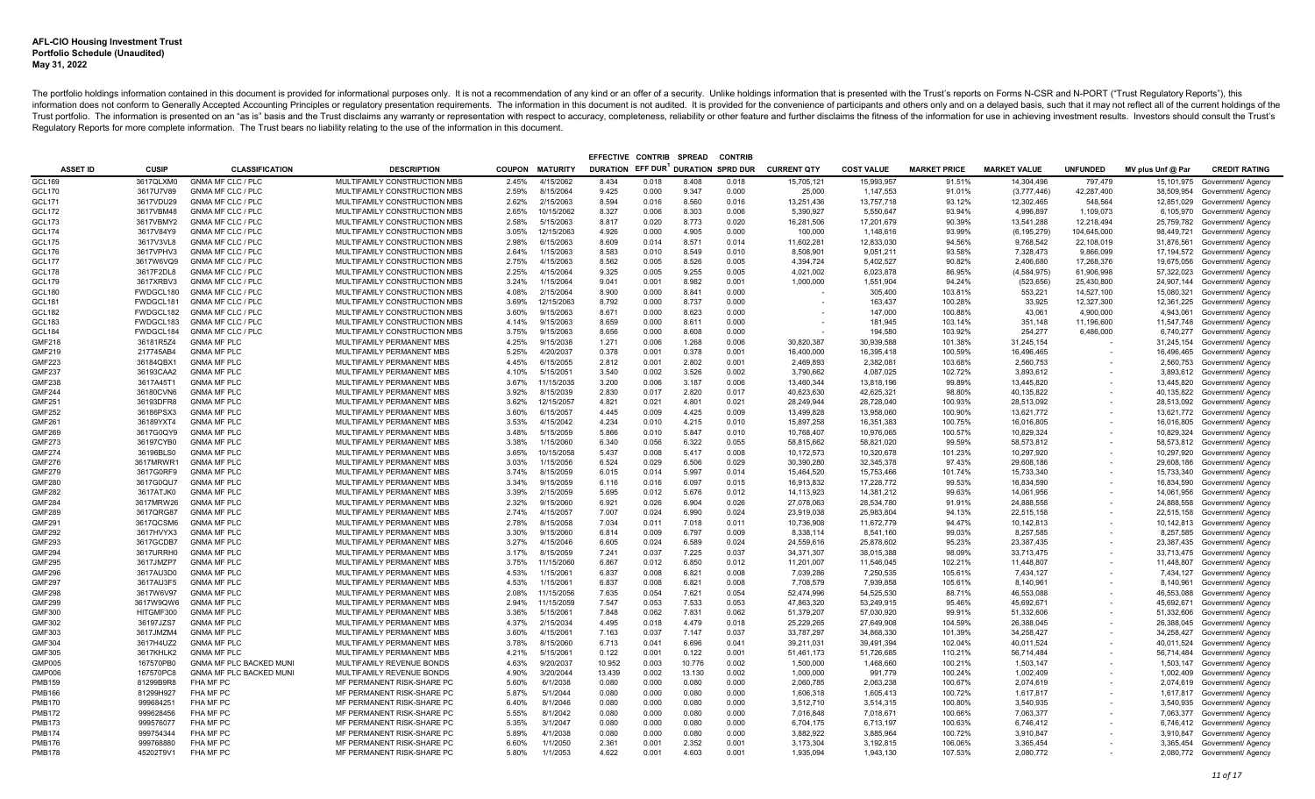|                                |                        |                                          |                                                        |                |                         | EFFECTIVE CONTRIB                  |                | <b>SPREAD</b>  | <b>CONTRIE</b> |                          |                          |                     |                          |                 |                   |                                                                |
|--------------------------------|------------------------|------------------------------------------|--------------------------------------------------------|----------------|-------------------------|------------------------------------|----------------|----------------|----------------|--------------------------|--------------------------|---------------------|--------------------------|-----------------|-------------------|----------------------------------------------------------------|
| <b>ASSET ID</b>                | <b>CUSIP</b>           | <b>CLASSIFICATION</b>                    | <b>DESCRIPTION</b>                                     |                | <b>COUPON MATURITY</b>  | DURATION EFF DUR DURATION SPRD DUR |                |                |                | <b>CURRENT QTY</b>       | <b>COST VALUE</b>        | <b>MARKET PRICE</b> | <b>MARKET VALUE</b>      | <b>UNFUNDED</b> | MV plus Unf @ Par | <b>CREDIT RATING</b>                                           |
| GCL169                         | 3617QLXM0              | GNMA MF CLC / PLC                        | MULTIFAMILY CONSTRUCTION MBS                           | 2.45%          | 4/15/2062               | 8.434                              | 0.018          | 8.408          | 0.018          | 15,705,121               | 15,993,957               | 91.51%              | 14,304,496               | 797,479         | 15,101,975        | Government/ Agency                                             |
| GCL170                         | 3617U7V89              | <b>GNMA MF CLC / PLC</b>                 | MULTIFAMILY CONSTRUCTION MBS                           | 2.59%          | 8/15/2064               | 9.425                              | 0.000          | 9.347          | 0.000          | 25,000                   | 1,147,553                | 91.01%              | (3,777,446)              | 42,287,400      |                   | 38,509,954 Government/ Agency                                  |
| <b>GCL171</b>                  | 3617VDU29              | <b>GNMA MF CLC / PLC</b>                 | MULTIFAMILY CONSTRUCTION MBS                           | 2.62%          | 2/15/2063               | 8.594                              | 0.016          | 8.560          | 0.016          | 13,251,436               | 13,757,718               | 93.12%              | 12,302,465               | 548,564         |                   | 12,851,029 Government/ Agency                                  |
| <b>GCL172</b>                  | 3617VBM48              | <b>GNMA MF CLC / PLC</b>                 | MULTIFAMILY CONSTRUCTION MBS                           | 2.65%          | 10/15/2062              | 8.327                              | 0.006          | 8.303          | 0.006          | 5.390.927                | 5.550.647                | 93.94%              | 4.996.897                | 1,109,073       |                   | 6,105,970 Government/ Agency                                   |
| GCL173                         | 3617VBMY2              | <b>GNMA MF CLC / PLC</b>                 | MULTIFAMILY CONSTRUCTION MBS                           | 2.58%          | 5/15/2063               | 8.817                              | 0.020          | 8.773          | 0.020          | 16,281,506               | 17,201,679               | 90.39%              | 13,541,288               | 12,218,494      |                   | 25,759,782 Government/ Agency                                  |
| <b>GCL174</b>                  | 3617V84Y9              | <b>GNMA MF CLC / PLC</b>                 | MULTIFAMILY CONSTRUCTION MBS                           | 3.05%          | 12/15/2063              | 4.926                              | 0.000          | 4.905          | 0.000          | 100,000                  | 1,148,616                | 93.99%              | (6, 195, 279)            | 104,645,000     |                   | 98,449,721 Government/ Agency                                  |
| <b>GCL175</b>                  | 3617V3VL8              | <b>GNMA MF CLC / PLC</b>                 | MULTIFAMILY CONSTRUCTION MBS                           | 2.98%          | 6/15/2063               | 8.609                              | 0.014          | 8.571          | 0.014          | 11,602,281               | 12,833,030               | 94.56%              | 9,768,542                | 22,108,019      |                   | 31,876,561 Government/ Agency                                  |
| GCL176                         | 3617VPHV3              | GNMA MF CLC / PLC                        | MULTIFAMILY CONSTRUCTION MBS                           | 2.64%          | 1/15/2063               | 8.583                              | 0.010          | 8.549          | 0.010          | 8,508,901                | 9,051,211                | 93.58%              | 7,328,473                | 9,866,099       |                   | 17,194,572 Government/ Agency                                  |
| <b>GCL177</b>                  | 3617W6VQ9              | <b>GNMA MF CLC / PLC</b>                 | MULTIFAMILY CONSTRUCTION MBS                           | 2.75%          | 4/15/2063               | 8.562                              | 0.005          | 8.526          | 0.005          | 4,394,724                | 5,402,527                | 90.82%              | 2,406,680                | 17,268,376      |                   | 19,675,056 Government/ Agency                                  |
| <b>GCL178</b>                  | 3617F2DL8              | <b>GNMA MF CLC / PLC</b>                 | MULTIFAMILY CONSTRUCTION MBS                           | 2.25%          | 4/15/2064               | 9.325                              | 0.005          | 9.255          | 0.005          | 4,021,002                | 6,023,878                | 86.95%              | (4,584,975)              | 61,906,998      |                   | 57,322,023 Government/ Agency                                  |
| GCL179                         | 3617XRBV3              | <b>GNMA MF CLC / PLC</b>                 | MULTIFAMILY CONSTRUCTION MBS                           | 3.24%          | 1/15/2064               | 9.041                              | 0.001          | 8.982          | 0.001          | 1,000,000                | 1,551,904                | 94.24%              | (523, 656)               | 25,430,800      |                   | 24,907,144 Government/ Agency                                  |
| <b>GCL180</b>                  | FWDGCL180              | GNMA MF CLC / PLC                        | MULTIFAMILY CONSTRUCTION MBS                           | 4.08%          | 2/15/2064               | 8.900                              | 0.000          | 8.841          | 0.000          |                          | 305.400                  | 103.81%             | 553,221                  | 14,527,100      | 15,080,321        | Government/ Agency                                             |
| GCL181                         | FWDGCL181              | <b>GNMA MF CLC / PLC</b>                 | MULTIFAMILY CONSTRUCTION MBS                           | 3.69%          | 12/15/2063              | 8.792                              | 0.000          | 8.737          | 0.000          |                          | 163,437                  | 100.28%             | 33,925                   | 12,327,300      |                   | 12,361,225 Government/ Agency                                  |
| <b>GCL182</b>                  | FWDGCL182              | <b>GNMA MF CLC / PLC</b>                 | MULTIFAMILY CONSTRUCTION MBS                           | 3.60%          | 9/15/2063               | 8.671                              | 0.000          | 8.623          | 0.000          |                          | 147,000                  | 100.88%             | 43,061                   | 4,900,000       | 4,943,061         | Government/ Agency                                             |
| <b>GCL183</b>                  | FWDGCL183              | <b>GNMA MF CLC / PLC</b>                 | MULTIFAMILY CONSTRUCTION MBS                           | 4.14%          | 9/15/2063               | 8.659                              | 0.000          | 8.611          | 0.000          |                          | 181,945                  | 103.14%             | 351.148                  | 11,196,600      |                   | 11,547,748 Government/ Agency                                  |
| <b>GCL184</b>                  | FWDGCL184              | <b>GNMA MF CLC / PLC</b>                 | MULTIFAMILY CONSTRUCTION MBS                           | 3.75%          | 9/15/2063               | 8.656                              | 0.000          | 8.608          | 0.000          |                          | 194.580                  | 103.92%             | 254.277                  | 6.486.000       |                   | 6,740,277 Government/ Agency                                   |
| <b>GMF218</b>                  | 36181R5Z4              | <b>GNMA MF PLC</b>                       | MULTIFAMILY PERMANENT MBS                              | 4.25%          | 9/15/2038               | 1.271                              | 0.006          | 1.268          | 0.006          | 30,820,387               | 30,939,588               | 101.38%             | 31,245,154               |                 |                   | 31,245,154 Government/ Agency                                  |
| <b>GMF219</b>                  | 217745AB4              | <b>GNMA MF PLC</b>                       | MULTIFAMILY PERMANENT MBS                              | 5.25%          | 4/20/2037               | 0.378                              | 0.001          | 0.378          | 0.001          | 16.400.000               | 16.395.418               | 100.59%             | 16.496.465               |                 |                   | 16,496,465 Government/ Agency                                  |
| <b>GMF223</b>                  | 36184QBX1              | <b>GNMA MF PLC</b>                       | MULTIFAMILY PERMANENT MBS                              | 4.45%          | 6/15/2055               | 2.812                              | 0.001          | 2.802          | 0.001          | 2,469,893                | 2,382,081                | 103.68%             | 2,560,753                |                 |                   | 2,560,753 Government/ Agency                                   |
| <b>GMF237</b>                  | 36193CAA2              | <b>GNMA MF PLC</b>                       | MULTIFAMILY PERMANENT MBS                              | 4.10%          | 5/15/2051               | 3.540                              | 0.002          | 3.526          | 0.002          | 3.790.662                | 4.087.025                | 102.72%             | 3.893.612                |                 |                   | 3,893,612 Government/ Agency                                   |
| <b>GMF238</b>                  | 3617A45T1              | <b>GNMA MF PLC</b>                       | MULTIFAMILY PERMANENT MBS                              | 3.67%          | 11/15/2035              | 3.200                              | 0.006          | 3.187          | 0.006          | 13,460,344               | 13.818.196               | 99.89%              | 13.445.820               |                 |                   | 13,445,820 Government/ Agency                                  |
| <b>GMF244</b>                  | 36180CVN6              | <b>GNMA MF PLC</b>                       | MULTIFAMILY PERMANENT MBS                              | 3.92%          | 8/15/2039               | 2.830                              | 0.017          | 2.820          | 0.017          | 40,623,630               | 42,625,321               | 98.80%              | 40,135,822               |                 |                   | 40,135,822 Government/ Agency                                  |
| <b>GMF251</b>                  | 36193DFR8              | <b>GNMA MF PLC</b>                       | MULTIFAMILY PERMANENT MBS                              | 3.62%          | 12/15/2057              | 4.821                              | 0.021          | 4.801          | 0.021          | 28,249,944               | 28,728,040               | 100.93%             | 28.513.092               |                 |                   | 28,513,092 Government/ Agency                                  |
| <b>GMF252</b>                  | 36186PSX3              | <b>GNMA MF PLC</b>                       | MULTIFAMILY PERMANENT MBS                              | 3.60%          | 6/15/2057               | 4.445                              | 0.009          | 4.425          | 0.009          | 13,499,828               | 13,958,060               | 100.90%             | 13,621,772               |                 |                   | 13,621,772 Government/ Agency                                  |
| <b>GMF261</b>                  | 36189YXT4              | <b>GNMA MF PLC</b>                       | MULTIFAMILY PERMANENT MBS                              | 3.53%          | 4/15/2042               | 4.234                              | 0.010          | 4.215          | 0.010          | 15,897,258               | 16,351,383               | 100.75%             | 16,016,805               |                 |                   | 16,016,805 Government/ Agency                                  |
| GMF269                         | 3617G0QY9              | <b>GNMA MF PLC</b>                       | MULTIFAMILY PERMANENT MBS                              | 3.48%          | 5/15/2059               | 5.866                              | 0.010          | 5.847          | 0.010          | 10,768,407               | 10,976,065               | 100.57%             | 10,829,324               |                 |                   | 10,829,324 Government/ Agency                                  |
| <b>GMF273</b><br><b>GMF274</b> | 36197CYB0              | <b>GNMA MF PLC</b>                       | MULTIFAMILY PERMANENT MBS                              | 3.38%          | 1/15/2060<br>10/15/2058 | 6.340<br>5.437                     | 0.056          | 6.322<br>5.417 | 0.055          | 58,815,662               | 58,821,020               | 99.59%<br>101.23%   | 58,573,812               |                 |                   | 58,573,812 Government/ Agency                                  |
|                                | 36196BLS0              | <b>GNMA MF PLC</b><br><b>GNMA MF PLC</b> | MULTIFAMILY PERMANENT MBS<br>MULTIFAMILY PERMANENT MBS | 3.65%<br>3.03% | 1/15/2056               | 6.524                              | 0.008<br>0.029 | 6.506          | 0.008<br>0.029 | 10,172,573               | 10,320,678               | 97.43%              | 10,297,920               |                 |                   | 10,297,920 Government/ Agency                                  |
| GMF276<br>GMF279               | 3617MRWR1              | <b>GNMA MF PLC</b>                       | MULTIFAMILY PERMANENT MBS                              | 3.74%          | 8/15/2059               | 6.015                              | 0.014          | 5.997          | 0.014          | 30,390,280<br>15,464,520 | 32,345,378<br>15,753,466 | 101.74%             | 29,608,186<br>15,733,340 |                 |                   | 29,608,186 Government/ Agency                                  |
| <b>GMF280</b>                  | 3617G0RF9<br>3617G0QU7 | <b>GNMA MF PLC</b>                       | MULTIFAMILY PERMANENT MBS                              | 3.34%          | 9/15/2059               | 6.116                              | 0.016          | 6.097          | 0.015          | 16.913.832               | 17,228,772               | 99.53%              | 16.834.590               |                 |                   | 15,733,340 Government/ Agency<br>16,834,590 Government/ Agency |
| <b>GMF282</b>                  | 3617ATJK0              | <b>GNMA MF PLC</b>                       | MULTIFAMILY PERMANENT MBS                              | 3.39%          | 2/15/2059               | 5.695                              | 0.012          | 5.676          | 0.012          | 14,113,923               | 14,381,212               | 99.63%              | 14,061,956               |                 |                   | 14,061,956 Government/ Agency                                  |
| <b>GMF284</b>                  | 3617MRW26              | <b>GNMA MF PLC</b>                       | MULTIFAMILY PERMANENT MBS                              | 2.32%          | 9/15/2060               | 6.921                              | 0.026          | 6.904          | 0.026          | 27,078,063               | 28,534,780               | 91.91%              | 24,888,558               |                 | 24,888,558        | Government/ Agency                                             |
| GMF289                         | 3617QRG87              | <b>GNMA MF PLC</b>                       | MULTIFAMILY PERMANENT MBS                              | 2.74%          | 4/15/2057               | 7.007                              | 0.024          | 6.990          | 0.024          | 23,919,038               | 25,983,804               | 94.13%              | 22,515,158               |                 |                   | 22,515,158 Government/ Agency                                  |
| GMF291                         | 3617QCSM6              | <b>GNMA MF PLC</b>                       | MULTIFAMILY PERMANENT MBS                              | 2.78%          | 8/15/2058               | 7.034                              | 0.011          | 7.018          | 0.011          | 10,736,908               | 11,672,779               | 94.47%              | 10,142,813               |                 |                   | 10,142,813 Government/ Agency                                  |
| <b>GMF292</b>                  | 3617HVYX3              | <b>GNMA MF PLC</b>                       | MULTIFAMILY PERMANENT MBS                              | 3.30%          | 9/15/2060               | 6.814                              | 0.009          | 6.797          | 0.009          | 8,338,114                | 8,541,160                | 99.03%              | 8,257,585                |                 |                   | 8,257,585 Government/ Agency                                   |
| GMF293                         | 3617GCDB7              | <b>GNMA MF PLC</b>                       | MULTIFAMILY PERMANENT MBS                              | 3.27%          | 4/15/2046               | 6.605                              | 0.024          | 6.589          | 0.024          | 24,559,616               | 25,878,602               | 95.23%              | 23,387,435               |                 |                   | 23,387,435 Government/ Agency                                  |
| <b>GMF294</b>                  | 3617URRH0              | <b>GNMA MF PLC</b>                       | MULTIFAMILY PERMANENT MBS                              | 3.17%          | 8/15/2059               | 7.241                              | 0.037          | 7.225          | 0.037          | 34,371,307               | 38,015,388               | 98.09%              | 33,713,475               |                 |                   | 33,713,475 Government/ Agency                                  |
| <b>GMF295</b>                  | 3617JMZP7              | <b>GNMA MF PLC</b>                       | MULTIFAMILY PERMANENT MBS                              | 3.75%          | 11/15/2060              | 6.867                              | 0.012          | 6.850          | 0.012          | 11,201,007               | 11,546,045               | 102.21%             | 11.448.807               |                 |                   | 11,448,807 Government/ Agency                                  |
| <b>GMF296</b>                  | 3617AU3D0              | <b>GNMA MF PLC</b>                       | MULTIFAMILY PERMANENT MBS                              | 4.53%          | 1/15/2061               | 6.837                              | 0.008          | 6.821          | 0.008          | 7,039,286                | 7,250,535                | 105.61%             | 7,434,127                |                 |                   | 7,434,127 Government/ Agency                                   |
| <b>GMF297</b>                  | 3617AU3F5              | <b>GNMA MF PLC</b>                       | MULTIFAMILY PERMANENT MBS                              | 4.53%          | 1/15/2061               | 6.837                              | 0.008          | 6.821          | 0.008          | 7,708,579                | 7,939,858                | 105.61%             | 8,140,961                |                 | 8,140,961         | Government/ Agency                                             |
| <b>GMF298</b>                  | 3617W6V97              | <b>GNMA MF PLC</b>                       | MULTIFAMILY PERMANENT MBS                              | 2.08%          | 11/15/2056              | 7.635                              | 0.054          | 7.621          | 0.054          | 52,474,996               | 54,525,530               | 88.71%              | 46,553,088               |                 | 46,553,088        | Government/ Agency                                             |
| <b>GMF299</b>                  | 3617W9QW6              | <b>GNMA MF PLC</b>                       | MULTIFAMILY PERMANENT MBS                              | 2.94%          | 11/15/2059              | 7.547                              | 0.053          | 7.533          | 0.053          | 47,863,320               | 53,249,915               | 95.46%              | 45.692.671               |                 |                   | 45,692,671 Government/ Agency                                  |
| <b>GMF300</b>                  | HITGMF300              | <b>GNMA MF PLC</b>                       | MULTIFAMILY PERMANENT MBS                              | 3.36%          | 5/15/2061               | 7.848                              | 0.062          | 7.831          | 0.062          | 51,379,207               | 57,030,920               | 99.91%              | 51,332,606               |                 | 51,332,606        | Government/ Agency                                             |
| <b>GMF302</b>                  | 36197JZS7              | <b>GNMA MF PLC</b>                       | MULTIFAMILY PERMANENT MBS                              | 4.37%          | 2/15/2034               | 4.495                              | 0.018          | 4.479          | 0.018          | 25,229,265               | 27.649.908               | 104.59%             | 26.388.045               |                 |                   | 26,388,045 Government/ Agency                                  |
| <b>GMF303</b>                  | 3617JMZM4              | <b>GNMA MF PLC</b>                       | MULTIFAMILY PERMANENT MBS                              | 3.60%          | 4/15/2061               | 7.163                              | 0.037          | 7.147          | 0.037          | 33,787,297               | 34,868,330               | 101.39%             | 34,258,427               |                 |                   | 34,258,427 Government/ Agency                                  |
| <b>GMF304</b>                  | 3617H4UZ2              | <b>GNMA MF PLC</b>                       | MULTIFAMILY PERMANENT MBS                              | 3.78%          | 8/15/2060               | 6.713                              | 0.041          | 6.696          | 0.041          | 39.211.031               | 39.491.394               | 102.04%             | 40.011.524               |                 |                   | 40,011,524 Government/ Agency                                  |
| <b>GMF305</b>                  | 3617KHLK2              | <b>GNMA MF PLC</b>                       | MULTIFAMILY PERMANENT MBS                              | 4.21%          | 5/15/2061               | 0.122                              | 0.001          | 0.122          | 0.001          | 51,461,173               | 51,726,685               | 110.21%             | 56.714.484               |                 |                   | 56,714,484 Government/ Agency                                  |
| <b>GMP005</b>                  | 167570PB0              | GNMA MF PLC BACKED MUNI                  | MULTIFAMILY REVENUE BONDS                              | 4.63%          | 9/20/2037               | 10.952                             | 0.003          | 10.776         | 0.002          | 1,500,000                | 1,468,660                | 100.21%             | 1,503,147                |                 |                   | 1,503,147 Government/ Agency                                   |
| <b>GMP006</b>                  | 167570PC8              | <b>GNMA MF PLC BACKED MUNI</b>           | MULTIFAMILY REVENUE BONDS                              | 4.90%          | 3/20/2044               | 13.439                             | 0.002          | 13.130         | 0.002          | 1,000,000                | 991.779                  | 100.24%             | 1.002.409                |                 |                   | 1,002,409 Government/ Agency                                   |
| <b>PMB159</b>                  | 81299B9R8              | FHA MF PC                                | MF PERMANENT RISK-SHARE PC                             | 5.60%          | 6/1/2038                | 0.080                              | 0.000          | 0.080          | 0.000          | 2,060,785                | 2,063,238                | 100.67%             | 2,074,619                |                 |                   | 2,074,619 Government/ Agency                                   |
| <b>PMB166</b>                  | 81299H927              | FHA MF PC                                | MF PERMANENT RISK-SHARE PC                             | 5.87%          | 5/1/2044                | 0.080                              | 0.000          | 0.080          | 0.000          | 1,606,318                | 1,605,413                | 100.72%             | 1,617,817                |                 |                   | 1,617,817 Government/ Agency                                   |
| <b>PMB170</b>                  | 999684251              | FHA MF PC                                | MF PERMANENT RISK-SHARE PC                             | 6.40%          | 8/1/2046                | 0.080                              | 0.000          | 0.080          | 0.000          | 3,512,710                | 3,514,315                | 100.80%             | 3,540,935                |                 |                   | 3,540,935 Government/ Agency                                   |
| <b>PMB172</b>                  | 999628456              | FHA MF PC                                | MF PERMANENT RISK-SHARE PC                             | 5.55%          | 8/1/2042                | 0.080                              | 0.000          | 0.080          | 0.000          | 7,016,848                | 7,018,671                | 100.66%             | 7,063,377                |                 |                   | 7,063,377 Government/ Agency                                   |
| PMB173                         | 999576077              | FHA MF PC                                | MF PERMANENT RISK-SHARE PC                             | 5.35%          | 3/1/2047                | 0.080                              | 0.000          | 0.080          | 0.000          | 6,704,175                | 6,713,197                | 100.63%             | 6,746,412                |                 |                   | 6,746,412 Government/ Agency                                   |
| PMB174                         | 999754344              | FHA MF PC                                | MF PERMANENT RISK-SHARE PC                             | 5.89%          | 4/1/2038                | 0.080                              | 0.000          | 0.080          | 0.000          | 3,882,922                | 3,885,964                | 100.72%             | 3,910,847                |                 | 3,910,847         | Government/ Agency                                             |
| <b>PMB176</b>                  | 999768880              | FHA MF PC                                | MF PERMANENT RISK-SHARE PC                             | 6.60%          | 1/1/2050                | 2.361                              | 0.001          | 2.352          | 0.001          | 3,173,304                | 3,192,815                | 106.06%             | 3,365,454                |                 |                   | 3,365,454 Government/ Agency                                   |
| PMB178                         | 45202T9V1              | FHA MF PC                                | MF PERMANENT RISK-SHARE PC                             | 5.80%          | 1/1/2053                | 4.622                              | 0.001          | 4.603          | 0.001          | 1.935.094                | 1.943.130                | 107.53%             | 2.080.772                |                 |                   | 2.080.772 Government/ Agency                                   |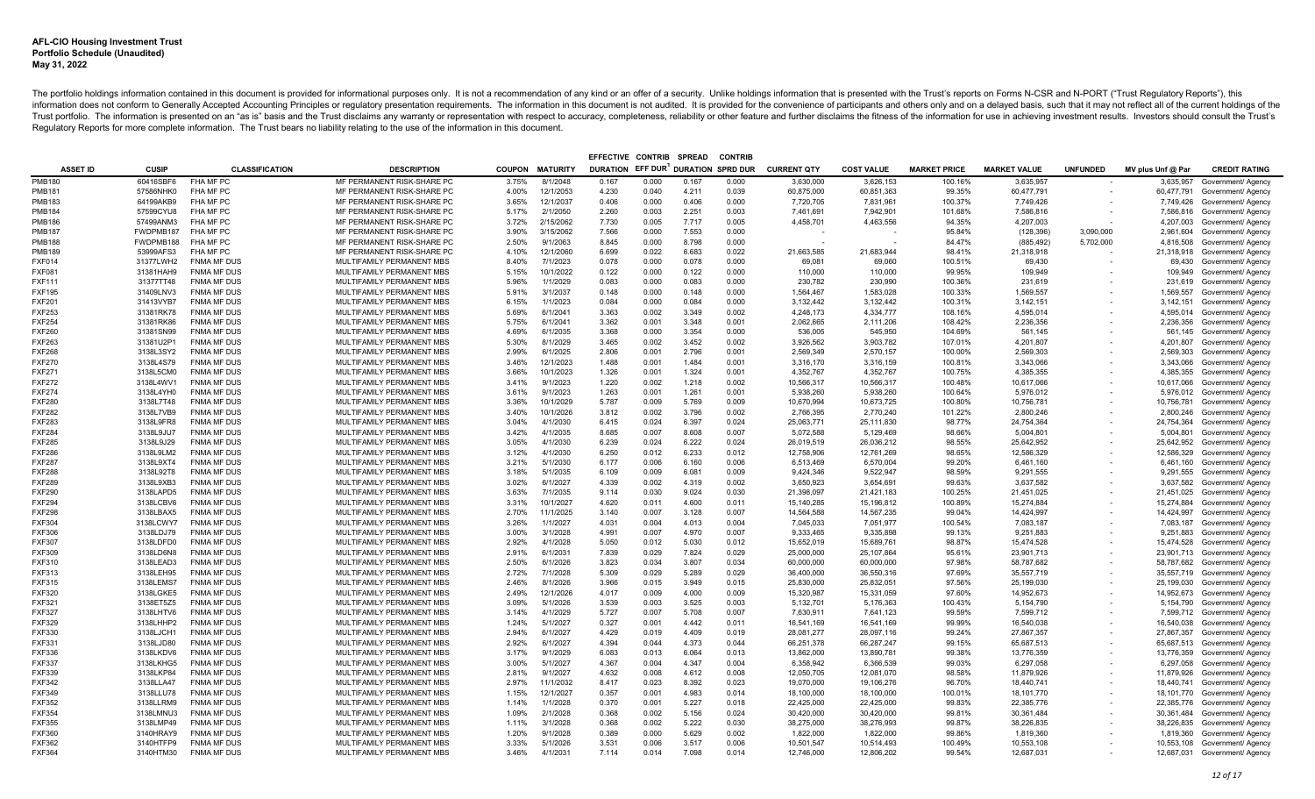|                                |                        |                                          |                                                        |                |                        | EFFECTIVE CONTRIB |                | <b>SPREAD</b>            | <b>CONTRIB</b> |                          |                          |                     |                          |                          |                   |                                                                |
|--------------------------------|------------------------|------------------------------------------|--------------------------------------------------------|----------------|------------------------|-------------------|----------------|--------------------------|----------------|--------------------------|--------------------------|---------------------|--------------------------|--------------------------|-------------------|----------------------------------------------------------------|
| <b>ASSET ID</b>                | CUSIP                  | <b>CLASSIFICATION</b>                    | <b>DESCRIPTION</b>                                     |                | COUPON MATURITY        | DURATION EFF DUR  |                | <b>DURATION SPRD DUR</b> |                | <b>CURRENT QTY</b>       | <b>COST VALUE</b>        | <b>MARKET PRICE</b> | <b>MARKET VALUE</b>      | <b>UNFUNDED</b>          | MV plus Unf @ Par | <b>CREDIT RATING</b>                                           |
| <b>PMB180</b>                  | 60416SBF6              | FHA MF PC                                | MF PERMANENT RISK-SHARE PC                             | 3.75%          | 8/1/2048               | 0.167             | 0.000          | 0.167                    | 0.000          | 3,630,000                | 3,626,153                | 100.16%             | 3,635,957                |                          | 3,635,957         | Government/ Agency                                             |
| <b>PMB181</b>                  | 57586NHK0              | FHA MF PC                                | MF PERMANENT RISK-SHARE PC                             | 4.00%          | 12/1/2053              | 4.230             | 0.040          | 4.211                    | 0.039          | 60,875,000               | 60,851,363               | 99.35%              | 60,477,791               | $\overline{\phantom{a}}$ |                   | 60,477,791 Government/ Agency                                  |
| <b>PMB183</b>                  | 64199AKB9              | FHA MF PC                                | MF PERMANENT RISK-SHARE PC                             | 3.65%          | 12/1/2037              | 0.406             | 0.000          | 0.406                    | 0.000          | 7,720,705                | 7,831,961                | 100.37%             | 7,749,426                |                          |                   | 7,749,426 Government/ Agency                                   |
| <b>PMB184</b>                  | 57599CYU8              | FHA MF PC                                | MF PERMANENT RISK-SHARE PC                             | 5.17%          | 2/1/2050               | 2.260             | 0.003          | 2.251                    | 0.003          | 7,461,691                | 7,942,901                | 101.68%             | 7,586,816                |                          |                   | 7,586,816 Government/ Agency                                   |
| <b>PMB186</b>                  | 57499ANM3              | FHA MF PC                                | MF PERMANENT RISK-SHARE PC                             | 3.72%          | 2/15/2062              | 7.730             | 0.005          | 7.717                    | 0.005          | 4,458,701                | 4,463,556                | 94.35%              | 4,207,003                |                          |                   | 4,207,003 Government/ Agency                                   |
| <b>PMB187</b>                  | FWDPMB187              | FHA MF PC                                | MF PERMANENT RISK-SHARE PC                             | 3.90%          | 3/15/2062              | 7.566             | 0.000          | 7.553                    | 0.000          |                          |                          | 95.84%              | (128, 396)               | 3,090,000                | 2,961,604         | Government/ Agency                                             |
| <b>PMB188</b>                  | FWDPMB188              | FHA MF PC                                | MF PERMANENT RISK-SHARE PC                             | 2.50%          | 9/1/2063               | 8.845             | 0.000          | 8.798                    | 0.000          |                          |                          | 84.47%              | (885, 492)               | 5,702,000                | 4,816,508         | Government/ Agency                                             |
| <b>PMB189</b>                  | 53999AFS3              | FHA MF PC                                | MF PERMANENT RISK-SHARE PC                             | 4.10%          | 12/1/2060              | 6.699             | 0.022          | 6.683                    | 0.022          | 21.663.585               | 21.683.944               | 98.41%              | 21,318,918               |                          |                   | 21,318,918 Government/ Agency                                  |
| <b>FXF014</b>                  | 31377LWH2              | <b>FNMA MF DUS</b>                       | MULTIFAMILY PERMANENT MBS                              | 8.40%          | 7/1/2023               | 0.078             | 0.000          | 0.078                    | 0.000          | 69,081                   | 69,060                   | 100.51%             | 69,430                   |                          |                   | 69,430 Government/ Agency                                      |
| <b>FXF081</b>                  | 31381HAH9              | <b>FNMA MF DUS</b>                       | MULTIFAMILY PERMANENT MBS                              | 5.15%          | 10/1/2022              | 0.122             | 0.000          | 0.122                    | 0.000          | 110,000                  | 110,000                  | 99.95%              | 109,949                  |                          |                   | 109,949 Government/ Agency                                     |
| <b>FXF111</b>                  | 31377TT48              | <b>FNMA MF DUS</b>                       | MULTIFAMILY PERMANENT MBS                              | 5.96%          | 1/1/2029               | 0.083             | 0.000          | 0.083                    | 0.000          | 230,782                  | 230.990                  | 100.36%             | 231,619                  |                          |                   | 231,619 Government/ Agency                                     |
| <b>FXF195</b>                  | 31409LNV3              | <b>FNMA MF DUS</b>                       | MULTIFAMILY PERMANENT MBS                              | 5.91%          | 3/1/2037               | 0.148             | 0.000          | 0.148                    | 0.000          | 1,564,467                | 1.583.028                | 100.33%             | 1,569,557                |                          | 1,569,557         | Government/ Agency                                             |
| <b>FXF201</b>                  | 31413VYB7              | <b>FNMA MF DUS</b>                       | MULTIFAMILY PERMANENT MBS                              | 6.15%          | 1/1/2023               | 0.084             | 0.000          | 0.084                    | 0.000          | 3,132,442                | 3,132,442                | 100.31%             | 3,142,151                |                          |                   | 3,142,151 Government/ Agency                                   |
| <b>FXF253</b>                  | 31381RK78              | <b>FNMA MF DUS</b>                       | MULTIFAMILY PERMANENT MBS                              | 5.69%          | 6/1/2041               | 3.363             | 0.002          | 3.349                    | 0.002          | 4.248.173                | 4.334.777                | 108.16%             | 4.595.014                |                          |                   | 4,595,014 Government/ Agency                                   |
| <b>FXF254</b>                  | 31381RK86              | <b>FNMA MF DUS</b>                       | MULTIFAMILY PERMANENT MBS                              | 5.75%          | 6/1/2041               | 3.362             | 0.001          | 3.348                    | 0.001          | 2,062,665                | 2,111,206                | 108.42%             | 2,236,356                |                          | 2,236,356         | Government/ Agency                                             |
| <b>FXF260</b>                  | 31381SN99              | <b>FNMA MF DUS</b>                       | MULTIFAMILY PERMANENT MBS                              | 4.69%          | 6/1/2035               | 3.368             | 0.000          | 3.354                    | 0.000          | 536,005                  | 545,950                  | 104.69%             | 561,145                  |                          |                   | 561,145 Government/ Agency                                     |
| <b>FXF263</b>                  | 31381U2P1              | <b>FNMA MF DUS</b>                       | MULTIFAMILY PERMANENT MBS                              | 5.30%          | 8/1/2029               | 3.465             | 0.002          | 3.452                    | 0.002          | 3,926,562                | 3.903.782                | 107.01%             | 4.201.807                |                          | 4,201,807         | Government/ Agency                                             |
| <b>FXF268</b>                  | 3138L3SY2              | <b>FNMA MF DUS</b>                       | MULTIFAMILY PERMANENT MBS                              | 2.99%          | 6/1/2025               | 2.806             | 0.001          | 2.796                    | 0.001          | 2,569,349                | 2,570,157                | 100.00%             | 2,569,303                |                          |                   | 2,569,303 Government/ Agency                                   |
| <b>FXF270</b>                  | 3138L4S79              | <b>FNMA MF DUS</b>                       | MULTIFAMILY PERMANENT MBS                              | 3.46%          | 12/1/2023              | 1.488             | 0.001          | 1.484                    | 0.001          | 3,316,170                | 3,316,159                | 100.81%             | 3,343,066                |                          | 3,343,066         | Government/ Agency                                             |
| <b>FXF271</b>                  | 3138L5CM0              | <b>FNMA MF DUS</b>                       | MULTIFAMILY PERMANENT MBS                              | 3.66%          | 10/1/2023              | 1.326             | 0.001          | 1.324                    | 0.001          | 4,352,767                | 4.352.767                | 100.75%             | 4,385,355                |                          |                   | 4,385,355 Government/ Agency                                   |
| <b>FXF272</b>                  | 3138L4WV1              | <b>FNMA MF DUS</b>                       | MULTIFAMILY PERMANENT MBS                              | 3.41%          | 9/1/2023               | 1.220             | 0.002          | 1.218                    | 0.002          | 10,566,317               | 10,566,317               | 100.48%             | 10,617,066               |                          |                   | 10,617,066 Government/ Agency                                  |
| <b>FXF274</b>                  | 3138L4YH0              | <b>FNMA MF DUS</b>                       | MULTIFAMILY PERMANENT MBS                              | 3.61%          | 9/1/2023               | 1.263             | 0.001          | 1.261                    | 0.001          | 5,938,260                | 5,938,260                | 100.64%             | 5,976,012                |                          |                   | 5,976,012 Government/ Agency                                   |
| <b>FXF280</b><br><b>FXF282</b> | 3138L7T48<br>3138L7VB9 | <b>FNMA MF DUS</b><br><b>FNMA MF DUS</b> | MULTIFAMILY PERMANENT MBS                              | 3.36%          | 10/1/2029<br>10/1/2026 | 5.787<br>3.812    | 0.009<br>0.002 | 5.769<br>3.796           | 0.009<br>0.002 | 10,670,994               | 10,673,725<br>2,770,240  | 100.80%<br>101.22%  | 10,756,781               |                          |                   | 10,756,781 Government/ Agency                                  |
|                                | 3138L9FR8              |                                          | MULTIFAMILY PERMANENT MBS                              | 3.40%          | 4/1/2030               | 6.415             | 0.024          | 6.397                    |                | 2,766,395                |                          | 98.77%              | 2,800,246                |                          |                   | 2,800,246 Government/ Agency                                   |
| <b>FXF283</b><br><b>FXF284</b> | 3138L9JU7              | <b>FNMA MF DUS</b><br><b>FNMA MF DUS</b> | MULTIFAMILY PERMANENT MBS<br>MULTIFAMILY PERMANENT MBS | 3.04%<br>3.42% | 4/1/2035               | 8.685             | 0.007          | 8.608                    | 0.024<br>0.007 | 25,063,771<br>5,072,588  | 25,111,830<br>5,129,469  | 98.66%              | 24,754,364<br>5,004,801  |                          | 24,754,364        | Government/ Agency<br>5,004,801 Government/ Agency             |
| <b>FXF285</b>                  | 3138L9J29              | <b>FNMA MF DUS</b>                       | MULTIFAMILY PERMANENT MBS                              | 3.05%          | 4/1/2030               | 6.239             | 0.024          | 6.222                    | 0.024          | 26,019,519               | 26,036,212               | 98.55%              | 25,642,952               |                          | 25,642,952        | Government/ Agency                                             |
| <b>FXF286</b>                  | 3138L9LM2              | <b>FNMA MF DUS</b>                       | MULTIFAMILY PERMANENT MBS                              | 3.12%          | 4/1/2030               | 6.250             | 0.012          | 6.233                    | 0.012          | 12,758,906               | 12,761,269               | 98.65%              | 12,586,329               |                          |                   | 12,586,329 Government/ Agency                                  |
| <b>FXF287</b>                  | 3138L9XT4              | <b>FNMA MF DUS</b>                       | MULTIFAMILY PERMANENT MBS                              | 3.21%          | 5/1/2030               | 6.177             | 0.006          | 6.160                    | 0.006          | 6,513,469                | 6,570,004                | 99.20%              | 6,461,160                |                          |                   | 6,461,160 Government/ Agency                                   |
| <b>FXF288</b>                  | 3138L92T8              | <b>FNMA MF DUS</b>                       | MULTIFAMILY PERMANENT MBS                              | 3.18%          | 5/1/2035               | 6.109             | 0.009          | 6.081                    | 0.009          | 9,424,346                | 9,522,947                | 98.59%              | 9,291,555                |                          |                   | 9,291,555 Government/ Agency                                   |
| <b>FXF289</b>                  | 3138L9XB3              | <b>FNMA MF DUS</b>                       | MULTIFAMILY PERMANENT MBS                              | 3.02%          | 6/1/2027               | 4.339             | 0.002          | 4.319                    | 0.002          | 3,650,923                | 3,654,691                | 99.63%              | 3,637,582                |                          |                   | 3,637,582 Government/ Agency                                   |
| <b>FXF290</b>                  | 3138LAPD5              | <b>FNMA MF DUS</b>                       | MULTIFAMILY PERMANENT MBS                              | 3.63%          | 7/1/2035               | 9.114             | 0.030          | 9.024                    | 0.030          | 21,398,097               | 21,421,183               | 100.25%             | 21,451,025               |                          |                   | 21,451,025 Government/ Agency                                  |
| <b>FXF294</b>                  | 3138LCBV6              | <b>FNMA MF DUS</b>                       | MULTIFAMILY PERMANENT MBS                              | 3.31%          | 10/1/2027              | 4.620             | 0.011          | 4.600                    | 0.011          | 15,140,285               | 15,196,812               | 100.89%             | 15,274,884               |                          |                   | 15,274,884 Government/ Agency                                  |
| <b>FXF298</b>                  | 3138LBAX5              | <b>FNMA MF DUS</b>                       | MULTIFAMILY PERMANENT MBS                              | 2.70%          | 11/1/2025              | 3.140             | 0.007          | 3.128                    | 0.007          | 14,564,588               | 14,567,235               | 99.04%              | 14,424,997               |                          |                   | 14,424,997 Government/ Agency                                  |
| <b>FXF304</b>                  | 3138LCWY7              | <b>FNMA MF DUS</b>                       | MULTIFAMILY PERMANENT MBS                              | 3.26%          | 1/1/2027               | 4.031             | 0.004          | 4.013                    | 0.004          | 7,045,033                | 7,051,977                | 100.54%             | 7.083.187                |                          |                   | 7,083,187 Government/ Agency                                   |
| <b>FXF306</b>                  | 3138LDJ79              | <b>FNMA MF DUS</b>                       | MULTIFAMILY PERMANENT MBS                              | 3.00%          | 3/1/2028               | 4.991             | 0.007          | 4.970                    | 0.007          | 9,333,465                | 9,335,898                | 99.13%              | 9,251,883                |                          |                   | 9,251,883 Government/ Agency                                   |
| <b>FXF307</b>                  | 3138LDFD0              | <b>FNMA MF DUS</b>                       | MULTIFAMILY PERMANENT MBS                              | 2.92%          | 4/1/2028               | 5.050             | 0.012          | 5.030                    | 0.012          | 15,652,019               | 15.689.761               | 98.87%              | 15.474.528               |                          |                   | 15,474,528 Government/ Agency                                  |
| <b>FXF309</b>                  | 3138LD6N8              | <b>FNMA MF DUS</b>                       | MULTIFAMILY PERMANENT MBS                              | 2.91%          | 6/1/2031               | 7.839             | 0.029          | 7.824                    | 0.029          | 25,000,000               | 25,107,864               | 95.61%              | 23,901,713               |                          |                   | 23,901,713 Government/ Agency                                  |
| <b>FXF310</b>                  | 3138LEAD3              | <b>FNMA MF DUS</b>                       | MULTIFAMILY PERMANENT MBS                              | 2.50%          | 6/1/2026               | 3.823             | 0.034          | 3.807                    | 0.034          | 60,000,000               | 60.000.000               | 97.98%              | 58,787,682               |                          |                   | 58,787,682 Government/ Agency                                  |
| <b>FXF313</b>                  | 3138LEH95              | <b>FNMA MF DUS</b>                       | MULTIFAMILY PERMANENT MBS                              | 2.72%          | 7/1/2028               | 5.309             | 0.029          | 5.289                    | 0.029          | 36,400,000               | 36.550.316               | 97.69%              | 35,557,719               |                          |                   | 35,557,719 Government/ Agency                                  |
| <b>FXF315</b>                  | 3138LEMS7              | <b>FNMA MF DUS</b>                       | MULTIFAMILY PERMANENT MBS                              | 2.46%          | 8/1/2026               | 3.966             | 0.015          | 3.949                    | 0.015          | 25,830,000               | 25,832,051               | 97.56%              | 25,199,030               |                          |                   | 25,199,030 Government/ Agency                                  |
| <b>FXF320</b>                  | 3138LGKE5              | <b>FNMA MF DUS</b>                       | MULTIFAMILY PERMANENT MBS                              | 2.49%          | 12/1/2026              | 4.017             | 0.009          | 4.000                    | 0.009          | 15,320,987               | 15,331,059               | 97.60%              | 14,952,673               |                          |                   | 14,952,673 Government/ Agency                                  |
| <b>FXF321</b>                  | 3138ET5Z5              | <b>FNMA MF DUS</b>                       | MULTIFAMILY PERMANENT MBS                              | 3.09%          | 5/1/2026               | 3.539             | 0.003          | 3.525                    | 0.003          | 5,132,701                | 5,176,363                | 100.43%             | 5,154,790                |                          |                   | 5,154,790 Government/ Agency                                   |
| <b>FXF327</b>                  | 3138LHTV6              | <b>FNMA MF DUS</b>                       | MULTIFAMILY PERMANENT MBS                              | 3.14%          | 4/1/2029               | 5.727             | 0.007          | 5.708                    | 0.007          | 7,630,911                | 7,641,123                | 99.59%              | 7,599,712                |                          |                   | 7,599,712 Government/ Agency                                   |
| FXF329                         | 3138LHHP2              | <b>FNMA MF DUS</b>                       | MULTIFAMILY PERMANENT MBS                              | 1.24%          | 5/1/2027               | 0.327             | 0.001          | 4.442                    | 0.011          | 16,541,169               | 16,541,169               | 99.99%              | 16,540,038               |                          |                   | 16,540,038 Government/ Agency                                  |
| <b>FXF330</b>                  | 3138LJCH1              | <b>FNMA MF DUS</b>                       | MULTIFAMILY PERMANENT MBS                              | 2.94%          | 6/1/2027               | 4.429             | 0.019          | 4.409                    | 0.019          | 28,081,277               | 28,097,116               | 99.24%              | 27,867,357               |                          |                   | 27,867,357 Government/ Agency                                  |
| FXF331                         | 3138LJD80              | <b>FNMA MF DUS</b>                       | MULTIFAMILY PERMANENT MBS                              | 2.92%          | 6/1/2027               | 4.394             | 0.044          | 4.373                    | 0.044          | 66,251,378               | 66,287,247               | 99.15%              | 65,687,513               |                          |                   | 65,687,513 Government/ Agency                                  |
| <b>FXF336</b>                  | 3138LKDV6              | <b>FNMA MF DUS</b>                       | MULTIFAMILY PERMANENT MBS                              | 3.17%          | 9/1/2029               | 6.083             | 0.013          | 6.064                    | 0.013          | 13,862,000               | 13,890,781               | 99.38%              | 13,776,359               |                          | 13,776,359        | Government/ Agency                                             |
| <b>FXF337</b>                  | 3138LKHG5              | <b>FNMA MF DUS</b>                       | MULTIFAMILY PERMANENT MBS                              | 3.00%          | 5/1/2027               | 4.367             | 0.004          | 4.347                    | 0.004          | 6,358,942                | 6,366,539                | 99.03%              | 6,297,058                |                          |                   | 6,297,058 Government/ Agency                                   |
| <b>FXF339</b>                  | 3138LKP84              | <b>FNMA MF DUS</b>                       | MULTIFAMILY PERMANENT MBS                              | 2.81%          | 9/1/2027               | 4.632             | 0.008          | 4.612                    | 0.008          | 12,050,705               | 12,081,070               | 98.58%              | 11,879,926               | $\overline{\phantom{a}}$ | 11,879,926        | Government/ Agency                                             |
| <b>FXF342</b><br><b>FXF349</b> | 3138LLA47              | <b>FNMA MF DUS</b><br><b>FNMA MF DUS</b> | MULTIFAMILY PERMANENT MBS<br>MULTIFAMILY PERMANENT MBS | 2.97%          | 11/1/2032<br>12/1/2027 | 8.417             | 0.023<br>0.001 | 8.392<br>4.983           | 0.023<br>0.014 | 19,070,000               | 19,106,276               | 96.70%<br>100.01%   | 18,440,741               |                          |                   | 18,440,741 Government/ Agency                                  |
| <b>FXF352</b>                  | 3138LLU78<br>3138LLRM9 | <b>FNMA MF DUS</b>                       | MULTIFAMILY PERMANENT MBS                              | 1.15%<br>1.14% | 1/1/2028               | 0.357<br>0.370    | 0.001          | 5.227                    | 0.018          | 18,100,000               | 18,100,000<br>22,425,000 | 99.83%              | 18,101,770               |                          |                   | 18,101,770 Government/ Agency                                  |
| <b>FXF354</b>                  | 3138LMNU3              | <b>FNMA MF DUS</b>                       | MULTIFAMILY PERMANENT MBS                              | 1.09%          | 2/1/2028               | 0.368             | 0.002          | 5.156                    | 0.024          | 22,425,000<br>30,420,000 | 30,420,000               | 99.81%              | 22,385,776<br>30,361,484 |                          |                   | 22,385,776 Government/ Agency                                  |
| <b>FXF355</b>                  | 3138LMP49              | <b>FNMA MF DUS</b>                       | MULTIFAMILY PERMANENT MBS                              | 1.11%          | 3/1/2028               | 0.368             | 0.002          | 5.222                    | 0.030          | 38,275,000               | 38,276,993               | 99.87%              | 38,226,835               |                          |                   | 30,361,484 Government/ Agency<br>38,226,835 Government/ Agency |
| <b>FXF360</b>                  | 3140HRAY9              | <b>FNMA MF DUS</b>                       | MULTIFAMILY PERMANENT MBS                              | 1.20%          | 9/1/2028               | 0.389             | 0.000          | 5.629                    | 0.002          | 1,822,000                | 1.822.000                | 99.86%              | 1,819,360                |                          |                   | 1,819,360 Government/ Agency                                   |
| <b>FXF362</b>                  | 3140HTFP9              | <b>FNMA MF DUS</b>                       | MULTIFAMILY PERMANENT MBS                              | 3.33%          | 5/1/2026               | 3.531             | 0.006          | 3.517                    | 0.006          | 10,501,547               | 10,514,493               | 100.49%             | 10,553,108               |                          |                   | 10,553,108 Government/ Agency                                  |
| <b>FXF364</b>                  | 3140HTM30              | <b>FNMA MF DUS</b>                       | MULTIFAMILY PERMANENT MBS                              | 3.46%          | 4/1/2031               | 7.114             | 0.014          | 7.098                    | 0.014          | 12.746.000               | 12.806.202               | 99.54%              | 12.687.031               |                          |                   | 12.687.031 Government/ Agency                                  |
|                                |                        |                                          |                                                        |                |                        |                   |                |                          |                |                          |                          |                     |                          |                          |                   |                                                                |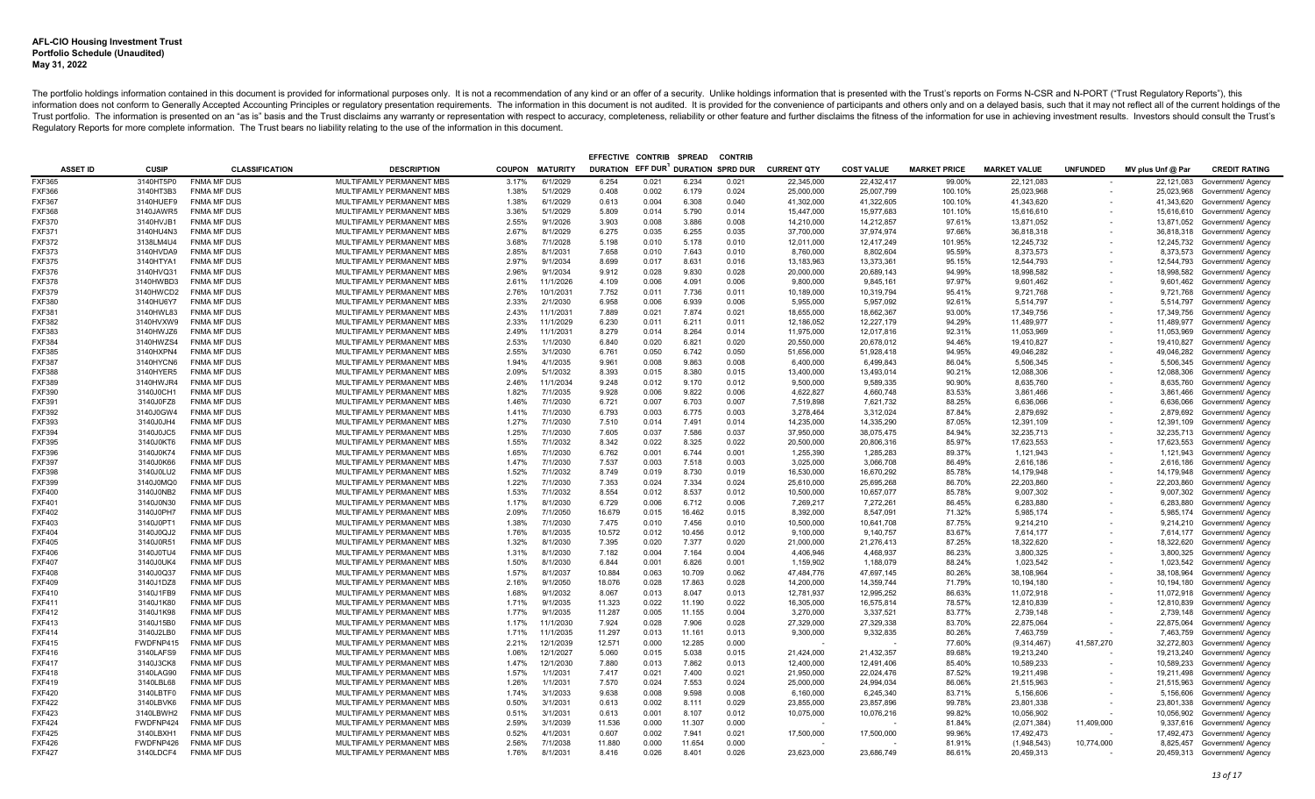| EFFECTIVE CONTRIB<br><b>SPREAD</b><br><b>CONTRIE</b> |                        |                                          |                                                        |                |                      |                  |                |                 |                          |                          |                          |                     |                           |                          |                   |                                                                |
|------------------------------------------------------|------------------------|------------------------------------------|--------------------------------------------------------|----------------|----------------------|------------------|----------------|-----------------|--------------------------|--------------------------|--------------------------|---------------------|---------------------------|--------------------------|-------------------|----------------------------------------------------------------|
| <b>ASSET ID</b>                                      | CUSIP                  | <b>CLASSIFICATION</b>                    | <b>DESCRIPTION</b>                                     |                | COUPON MATURITY      | DURATION EFF DUR |                |                 | <b>DURATION SPRD DUR</b> | <b>CURRENT QTY</b>       | <b>COST VALUE</b>        | <b>MARKET PRICE</b> | <b>MARKET VALUE</b>       | <b>UNFUNDED</b>          | MV plus Unf @ Par | <b>CREDIT RATING</b>                                           |
| <b>FXF365</b>                                        | 3140HT5P0              | <b>FNMA MF DUS</b>                       | <b>MULTIFAMILY PERMANENT MBS</b>                       | 3.17%          | 6/1/2029             | 6.254            | 0.021          | 6.234           | 0.021                    | 22,345,000               | 22,432,417               | 99.00%              | 22,121,083                |                          | 22,121,083        | Government/ Agency                                             |
| <b>FXF366</b>                                        | 3140HT3B3              | <b>FNMA MF DUS</b>                       | MULTIFAMILY PERMANENT MBS                              | 1.38%          | 5/1/2029             | 0.408            | 0.002          | 6.179           | 0.024                    | 25,000,000               | 25,007,799               | 100.10%             | 25,023,968                | $\overline{\phantom{a}}$ |                   | 25,023,968 Government/ Agency                                  |
| <b>FXF367</b>                                        | 3140HUEF9              | <b>FNMA MF DUS</b>                       | MULTIFAMILY PERMANENT MBS                              | 1.38%          | 6/1/2029             | 0.613            | 0.004          | 6.308           | 0.040                    | 41,302,000               | 41,322,605               | 100.10%             | 41,343,620                | $\overline{\phantom{a}}$ |                   | 41,343,620 Government/ Agency                                  |
| <b>FXF368</b>                                        | 3140JAWR5              | <b>FNMA MF DUS</b>                       | MULTIFAMILY PERMANENT MBS                              | 3.36%          | 5/1/2029             | 5.809            | 0.014          | 5.790           | 0.014                    | 15,447,000               | 15,977,683               | 101.10%             | 15,616,610                |                          |                   | 15,616,610 Government/ Agency                                  |
| <b>FXF370</b>                                        | 3140HVJB1              | <b>FNMA MF DUS</b>                       | MULTIFAMILY PERMANENT MBS                              | 2.55%          | 9/1/2026             | 3.903            | 0.008          | 3.886           | 0.008                    | 14,210,000               | 14,212,857               | 97.61%              | 13,871,052                |                          |                   | 13,871,052 Government/ Agency                                  |
| FXF371                                               | 3140HU4N3              | <b>FNMA MF DUS</b>                       | MULTIFAMILY PERMANENT MBS                              | 2.67%          | 8/1/2029             | 6.275            | 0.035          | 6.255           | 0.035                    | 37,700,000               | 37,974,974               | 97.66%              | 36,818,318                |                          |                   | 36,818,318 Government/ Agency                                  |
| FXF372                                               | 3138LM4U4              | <b>FNMA MF DUS</b>                       | MULTIFAMILY PERMANENT MBS                              | 3.68%          | 7/1/2028             | 5.198            | 0.010          | 5.178           | 0.010                    | 12,011,000               | 12,417,249               | 101.95%             | 12,245,732                |                          |                   | 12,245,732 Government/ Agency                                  |
| <b>FXF373</b>                                        | 3140HVDA9              | <b>FNMA MF DUS</b>                       | MULTIFAMILY PERMANENT MBS                              | 2.85%          | 8/1/2031             | 7.658            | 0.010          | 7.643           | 0.010                    | 8,760,000                | 8,802,604                | 95.59%              | 8,373,573                 |                          |                   | 8,373,573 Government/ Agency                                   |
| <b>FXF375</b>                                        | 3140HTYA1              | <b>FNMA MF DUS</b>                       | MULTIFAMILY PERMANENT MBS                              | 2.97%          | 9/1/2034             | 8.699            | 0.017          | 8.631           | 0.016                    | 13, 183, 963             | 13,373,361               | 95.15%              | 12,544,793                |                          |                   | 12,544,793 Government/ Agency                                  |
| FXF376                                               | 3140HVQ31              | <b>FNMA MF DUS</b>                       | MULTIFAMILY PERMANENT MBS                              | 2.96%          | 9/1/2034             | 9.912            | 0.028          | 9.830           | 0.028                    | 20,000,000               | 20,689,143               | 94.99%              | 18,998,582                |                          |                   | 18,998,582 Government/ Agency                                  |
| <b>FXF378</b>                                        | 3140HWBD3              | <b>FNMA MF DUS</b>                       | MULTIFAMILY PERMANENT MBS                              | 2.61%          | 11/1/2026            | 4.109            | 0.006          | 4.091           | 0.006                    | 9,800,000                | 9,845,161                | 97.97%              | 9,601,462                 |                          |                   | 9,601,462 Government/ Agency                                   |
| <b>FXF379</b>                                        | 3140HWCD2              | <b>FNMA MF DUS</b>                       | MULTIFAMILY PERMANENT MBS                              | 2.76%          | 10/1/2031            | 7.752            | 0.011          | 7.736           | 0.011                    | 10,189,000               | 10,319,794               | 95.41%              | 9,721,768                 |                          |                   | 9,721,768 Government/ Agency                                   |
| <b>FXF380</b>                                        | 3140HU6Y7              | FNMA MF DUS                              | MULTIFAMILY PERMANENT MBS                              | 2.33%          | 2/1/2030             | 6.958            | 0.006          | 6.939           | 0.006                    | 5,955,000                | 5,957,092                | 92.61%              | 5,514,797                 |                          |                   | 5,514,797 Government/ Agency                                   |
| <b>FXF381</b>                                        | 3140HWL83              | <b>FNMA MF DUS</b>                       | MULTIFAMILY PERMANENT MBS                              | 2.43%          | 11/1/2031            | 7.889            | 0.021          | 7.874           | 0.021                    | 18.655.000               | 18.662.367               | 93.00%              | 17.349.756                |                          |                   | 17,349,756 Government/ Agency                                  |
| <b>FXF382</b>                                        | 3140HVXW9              | <b>FNMA MF DUS</b>                       | MULTIFAMILY PERMANENT MBS                              | 2.33%          | 11/1/2029            | 6.230            | 0.011          | 6.211           | 0.011                    | 12,186,052               | 12,227,179               | 94.29%              | 11,489,977                |                          |                   | 11,489,977 Government/ Agency                                  |
| <b>FXF383</b>                                        | 3140HWJZ6              | <b>FNMA MF DUS</b>                       | MULTIFAMILY PERMANENT MBS                              | 2.49%          | 11/1/2031            | 8.279            | 0.014          | 8.264           | 0.014                    | 11,975,000               | 12,017,816               | 92.31%              | 11,053,969                |                          |                   | 11,053,969 Government/ Agency                                  |
| <b>FXF384</b>                                        | 3140HWZS4              | <b>FNMA MF DUS</b>                       | MULTIFAMILY PERMANENT MBS                              | 2.53%          | 1/1/2030             | 6.840            | 0.020          | 6.821           | 0.020                    | 20,550,000               | 20,678,012               | 94.46%              | 19.410.827                |                          |                   | 19,410,827 Government/ Agency                                  |
| <b>FXF385</b>                                        | 3140HXPN4              | <b>FNMA MF DUS</b>                       | MULTIFAMILY PERMANENT MBS                              | 2.55%          | 3/1/2030             | 6.761            | 0.050          | 6.742           | 0.050                    | 51,656,000               | 51,928,418               | 94.95%              | 49,046,282                |                          |                   | 49,046,282 Government/ Agency                                  |
| <b>FXF387</b>                                        | 3140HYCN6              | <b>FNMA MF DUS</b>                       | MULTIFAMILY PERMANENT MBS                              | 1.94%          | 4/1/2035             | 9.961            | 0.008          | 9.863           | 0.008                    | 6,400,000                | 6,499,843                | 86.04%              | 5,506,345                 |                          |                   | 5,506,345 Government/ Agency                                   |
| <b>FXF388</b>                                        | 3140HYER5              | <b>FNMA MF DUS</b>                       | MULTIFAMILY PERMANENT MBS                              | 2.09%          | 5/1/2032             | 8.393            | 0.015          | 8.380           | 0.015                    | 13,400,000               | 13,493,014               | 90.21%              | 12,088,306                |                          |                   | 12,088,306 Government/ Agency                                  |
| FXF389                                               | 3140HWJR4              | <b>FNMA MF DUS</b>                       | MULTIFAMILY PERMANENT MBS                              | 2.46%          | 11/1/2034            | 9.248            | 0.012          | 9.170           | 0.012                    | 9,500,000                | 9,589,335                | 90.90%              | 8,635,760                 |                          |                   | 8,635,760 Government/ Agency                                   |
| FXF390                                               | 3140J0CH1              | <b>FNMA MF DUS</b>                       | MULTIFAMILY PERMANENT MBS                              | 1.82%          | 7/1/2035             | 9.928            | 0.006          | 9.822           | 0.006                    | 4,622,827                | 4,660,748                | 83.53%              | 3,861,466                 |                          |                   | 3,861,466 Government/ Agency                                   |
| FXF391<br><b>FXF392</b>                              | 3140J0FZ8<br>3140J0GW4 | <b>FNMA MF DUS</b><br><b>FNMA MF DUS</b> | MULTIFAMILY PERMANENT MBS                              | 1.46%<br>1.41% | 7/1/2030<br>7/1/2030 | 6.721<br>6.793   | 0.007<br>0.003 | 6.703<br>6.775  | 0.007<br>0.003           | 7,519,898                | 7,621,732<br>3,312,024   | 88.25%<br>87.84%    | 6.636.066<br>2,879,692    |                          |                   | 6,636,066 Government/ Agency                                   |
|                                                      |                        | <b>FNMA MF DUS</b>                       | MULTIFAMILY PERMANENT MBS                              | 1.27%          | 7/1/2030             | 7.510            |                | 7.491           |                          | 3,278,464                |                          | 87.05%              |                           |                          |                   | 2,879,692 Government/ Agency                                   |
| FXF393<br>FXF394                                     | 3140J0JH4<br>3140J0JC5 | <b>FNMA MF DUS</b>                       | MULTIFAMILY PERMANENT MBS<br>MULTIFAMILY PERMANENT MBS | 1.25%          | 7/1/2030             | 7.605            | 0.014<br>0.037 | 7.586           | 0.014<br>0.037           | 14,235,000<br>37,950,000 | 14,335,290<br>38,075,475 | 84.94%              | 12,391,109<br>32,235,713  |                          |                   | 12,391,109 Government/ Agency<br>32,235,713 Government/ Agency |
| <b>FXF395</b>                                        | 3140J0KT6              | <b>FNMA MF DUS</b>                       | MULTIFAMILY PERMANENT MBS                              | 1.55%          | 7/1/2032             | 8.342            | 0.022          | 8.325           | 0.022                    | 20,500,000               | 20,806,316               | 85.97%              | 17,623,553                |                          | 17,623,553        | Government/ Agency                                             |
| FXF396                                               | 3140J0K74              | <b>FNMA MF DUS</b>                       | MULTIFAMILY PERMANENT MBS                              | 1.65%          | 7/1/2030             | 6.762            | 0.001          | 6.744           | 0.001                    | 1,255,390                | 1,285,283                | 89.37%              | 1,121,943                 |                          |                   | 1,121,943 Government/ Agency                                   |
| FXF397                                               | 3140J0K66              | <b>FNMA MF DUS</b>                       | MULTIFAMILY PERMANENT MBS                              | 1.47%          | 7/1/2030             | 7.537            | 0.003          | 7.518           | 0.003                    | 3,025,000                | 3,066,708                | 86.49%              | 2,616,186                 |                          |                   | 2,616,186 Government/ Agency                                   |
| <b>FXF398</b>                                        | 3140J0LU2              | <b>FNMA MF DUS</b>                       | MULTIFAMILY PERMANENT MBS                              | 1.52%          | 7/1/2032             | 8.749            | 0.019          | 8.730           | 0.019                    | 16,530,000               | 16,670,292               | 85.78%              | 14,179,948                |                          |                   | 14,179,948 Government/ Agency                                  |
| FXF399                                               | 3140J0MQ0              | <b>FNMA MF DUS</b>                       | MULTIFAMILY PERMANENT MBS                              | 1.22%          | 7/1/2030             | 7.353            | 0.024          | 7.334           | 0.024                    | 25,610,000               | 25,695,268               | 86.70%              | 22,203,860                |                          |                   | 22,203,860 Government/ Agency                                  |
| <b>FXF400</b>                                        | 3140J0NB2              | <b>FNMA MF DUS</b>                       | MULTIFAMILY PERMANENT MBS                              | 1.53%          | 7/1/2032             | 8.554            | 0.012          | 8.537           | 0.012                    | 10,500,000               | 10,657,077               | 85.78%              | 9,007,302                 |                          |                   | 9,007,302 Government/ Agency                                   |
| FXF401                                               | 3140J0N30              | <b>FNMA MF DUS</b>                       | MULTIFAMILY PERMANENT MBS                              | 1.17%          | 8/1/2030             | 6.729            | 0.006          | 6.712           | 0.006                    | 7,269,217                | 7,272,261                | 86.45%              | 6,283,880                 |                          |                   | 6,283,880 Government/ Agency                                   |
| <b>FXF402</b>                                        | 3140J0PH7              | <b>FNMA MF DUS</b>                       | MULTIFAMILY PERMANENT MBS                              | 2.09%          | 7/1/2050             | 16.679           | 0.015          | 16.462          | 0.015                    | 8,392,000                | 8.547.091                | 71.32%              | 5,985,174                 |                          |                   | 5,985,174 Government/ Agency                                   |
| <b>FXF403</b>                                        | 3140J0PT1              | <b>FNMA MF DUS</b>                       | MULTIFAMILY PERMANENT MBS                              | 1.38%          | 7/1/2030             | 7.475            | 0.010          | 7.456           | 0.010                    | 10,500,000               | 10.641.708               | 87.75%              | 9.214.210                 |                          |                   | 9,214,210 Government/ Agency                                   |
| <b>FXF404</b>                                        | 3140J0QJ2              | <b>FNMA MF DUS</b>                       | MULTIFAMILY PERMANENT MBS                              | 1.76%          | 8/1/2035             | 10.572           | 0.012          | 10.456          | 0.012                    | 9,100,000                | 9,140,757                | 83.67%              | 7,614,177                 |                          |                   | 7,614,177 Government/ Agency                                   |
| <b>FXF405</b>                                        | 3140J0R51              | <b>FNMA MF DUS</b>                       | MULTIFAMILY PERMANENT MBS                              | 1.32%          | 8/1/2030             | 7.395            | 0.020          | 7.377           | 0.020                    | 21.000.000               | 21.276.413               | 87.25%              | 18.322.620                |                          |                   | 18,322,620 Government/ Agency                                  |
| <b>FXF406</b>                                        | 3140J0TU4              | <b>FNMA MF DUS</b>                       | MULTIFAMILY PERMANENT MBS                              | 1.31%          | 8/1/2030             | 7.182            | 0.004          | 7.164           | 0.004                    | 4,406,946                | 4,468,937                | 86.23%              | 3,800,325                 |                          |                   | 3,800,325 Government/ Agency                                   |
| <b>FXF407</b>                                        | 3140J0UK4              | <b>FNMA MF DUS</b>                       | MULTIFAMILY PERMANENT MBS                              | 1.50%          | 8/1/2030             | 6.844            | 0.001          | 6.826           | 0.001                    | 1,159,902                | 1,188,079                | 88.24%              | 1,023,542                 |                          | 1,023,542         | Government/ Agency                                             |
| <b>FXF408</b>                                        | 3140J0Q37              | <b>FNMA MF DUS</b>                       | MULTIFAMILY PERMANENT MBS                              | 1.57%          | 8/1/2037             | 10.884           | 0.063          | 10.709          | 0.062                    | 47,484,776               | 47.697.145               | 80.26%              | 38.108.964                |                          | 38,108,964        | Government/ Agency                                             |
| <b>FXF409</b>                                        | 3140J1DZ8              | <b>FNMA MF DUS</b>                       | MULTIFAMILY PERMANENT MBS                              | 2.16%          | 9/1/2050             | 18.076           | 0.028          | 17.863          | 0.028                    | 14,200,000               | 14,359,744               | 71.79%              | 10,194,180                |                          |                   | 10,194,180 Government/ Agency                                  |
| <b>FXF410</b>                                        | 3140J1FB9              | <b>FNMA MF DUS</b>                       | MULTIFAMILY PERMANENT MBS                              | 1.68%          | 9/1/2032             | 8.067            | 0.013          | 8.047           | 0.013                    | 12,781,937               | 12,995,252               | 86.63%              | 11,072,918                |                          |                   | 11,072,918 Government/ Agency                                  |
| <b>FXF411</b>                                        | 3140J1K80              | <b>FNMA MF DUS</b>                       | MULTIFAMILY PERMANENT MBS                              | 1.71%          | 9/1/2035             | 11.323           | 0.022          | 11.190          | 0.022                    | 16,305,000               | 16.575.814               | 78.57%              | 12.810.839                |                          |                   | 12,810,839 Government/ Agency                                  |
| <b>FXF412</b>                                        | 3140J1K98              | <b>FNMA MF DUS</b>                       | MULTIFAMILY PERMANENT MBS                              | 1.77%          | 9/1/2035             | 11.287           | 0.005          | 11.155          | 0.004                    | 3,270,000                | 3,337,521                | 83.77%              | 2,739,148                 |                          |                   | 2,739,148 Government/ Agency                                   |
| <b>FXF413</b>                                        | 3140J15B0              | <b>FNMA MF DUS</b>                       | MULTIFAMILY PERMANENT MBS                              | 1.17%          | 11/1/2030            | 7.924            | 0.028          | 7.906           | 0.028                    | 27,329,000               | 27,329,338               | 83.70%              | 22,875,064                |                          | 22,875,064        | Government/ Agency                                             |
| <b>FXF414</b>                                        | 3140J2LB0              | <b>FNMA MF DUS</b>                       | MULTIFAMILY PERMANENT MBS                              | 1.71%          | 11/1/2035            | 11.297           | 0.013          | 11.161          | 0.013                    | 9,300,000                | 9,332,835                | 80.26%              | 7,463,759                 |                          |                   | 7,463,759 Government/ Agency                                   |
| <b>FXF415</b>                                        | FWDFNP415              | <b>FNMA MF DUS</b>                       | MULTIFAMILY PERMANENT MBS                              | 2.21%          | 12/1/2039            | 12.571           | 0.000          | 12.285          | 0.000                    |                          |                          | 77.60%              | (9,314,467)               | 41,587,270               |                   | 32,272,803 Government/ Agency                                  |
| <b>FXF416</b>                                        | 3140LAFS9              | <b>FNMA MF DUS</b>                       | MULTIFAMILY PERMANENT MBS                              | 1.06%          | 12/1/2027            | 5.060            | 0.015          | 5.038           | 0.015                    | 21,424,000               | 21,432,357               | 89.68%              | 19,213,240                |                          | 19,213,240        | Government/ Agency                                             |
| <b>FXF417</b>                                        | 3140J3CK8              | <b>FNMA MF DUS</b>                       | MULTIFAMILY PERMANENT MBS                              | 1.47%          | 12/1/2030            | 7.880            | 0.013          | 7.862           | 0.013                    | 12,400,000               | 12,491,406               | 85.40%              | 10,589,233                |                          | 10,589,233        | Government/ Agency                                             |
| <b>FXF418</b>                                        | 3140LAG90              | <b>FNMA MF DUS</b>                       | MULTIFAMILY PERMANENT MBS                              | 1.57%          | 1/1/2031             | 7.417            | 0.021          | 7.400           | 0.021                    | 21,950,000               | 22,024,476               | 87.52%              | 19,211,498                |                          | 19,211,498        | Government/ Agency                                             |
| FXF419                                               | 3140LBL68              | <b>FNMA MF DUS</b>                       | MULTIFAMILY PERMANENT MBS                              | 1.26%          | 1/1/2031             | 7.570            | 0.024          | 7.553           | 0.024                    | 25,000,000               | 24,994,034               | 86.06%              | 21,515,963                |                          |                   | 21,515,963 Government/ Agency                                  |
| <b>FXF420</b>                                        | 3140LBTF0              | <b>FNMA MF DUS</b>                       | MULTIFAMILY PERMANENT MBS                              | 1.74%          | 3/1/2033             | 9.638            | 0.008          | 9.598           | 0.008                    | 6,160,000                | 6,245,340                | 83.71%              | 5,156,606                 |                          |                   | 5,156,606 Government/ Agency                                   |
| <b>FXF422</b>                                        | 3140LBVK6              | <b>FNMA MF DUS</b>                       | MULTIFAMILY PERMANENT MBS                              | 0.50%          | 3/1/2031             | 0.613            | 0.002          | 8.111           | 0.029                    | 23,855,000               | 23,857,896               | 99.78%              | 23,801,338                |                          |                   | 23,801,338 Government/ Agency                                  |
| FXF423                                               | 3140LBWH2              | <b>FNMA MF DUS</b>                       | MULTIFAMILY PERMANENT MBS                              | 0.51%          | 3/1/2031             | 0.613            | 0.001          | 8.107           | 0.012                    | 10,075,000               | 10,076,216               | 99.82%              | 10,056,902                |                          |                   | 10,056,902 Government/ Agency                                  |
| <b>FXF424</b>                                        | FWDFNP424              | <b>FNMA MF DUS</b>                       | MULTIFAMILY PERMANENT MBS                              | 2.59%          | 3/1/2039             | 11.536           | 0.000          | 11.307          | 0.000                    |                          |                          | 81.84%              | (2,071,384)               | 11,409,000               |                   | 9,337,616 Government/ Agency                                   |
| <b>FXF425</b><br><b>FXF426</b>                       | 3140LBXH1<br>FWDFNP426 | <b>FNMA MF DUS</b><br><b>FNMA MF DUS</b> | MULTIFAMILY PERMANENT MBS<br>MULTIFAMILY PERMANENT MBS | 0.52%<br>2.56% | 4/1/2031<br>7/1/2038 | 0.607<br>11.880  | 0.002<br>0.000 | 7.941<br>11.654 | 0.021<br>0.000           | 17,500,000               | 17,500,000               | 99.96%<br>81.91%    | 17,492,473<br>(1,948,543) | 10.774.000               |                   | 17,492,473 Government/ Agency                                  |
| <b>FXF427</b>                                        | 3140LDCF4              | <b>FNMA MF DUS</b>                       | MULTIFAMILY PERMANENT MBS                              | 1.76%          | 8/1/2031             | 8.416            | 0.026          | 8.401           | 0.026                    | 23.623.000               | 23.686.749               | 86.61%              | 20.459.313                |                          |                   | 8,825,457 Government/ Agency<br>20.459.313 Government/ Agency  |
|                                                      |                        |                                          |                                                        |                |                      |                  |                |                 |                          |                          |                          |                     |                           |                          |                   |                                                                |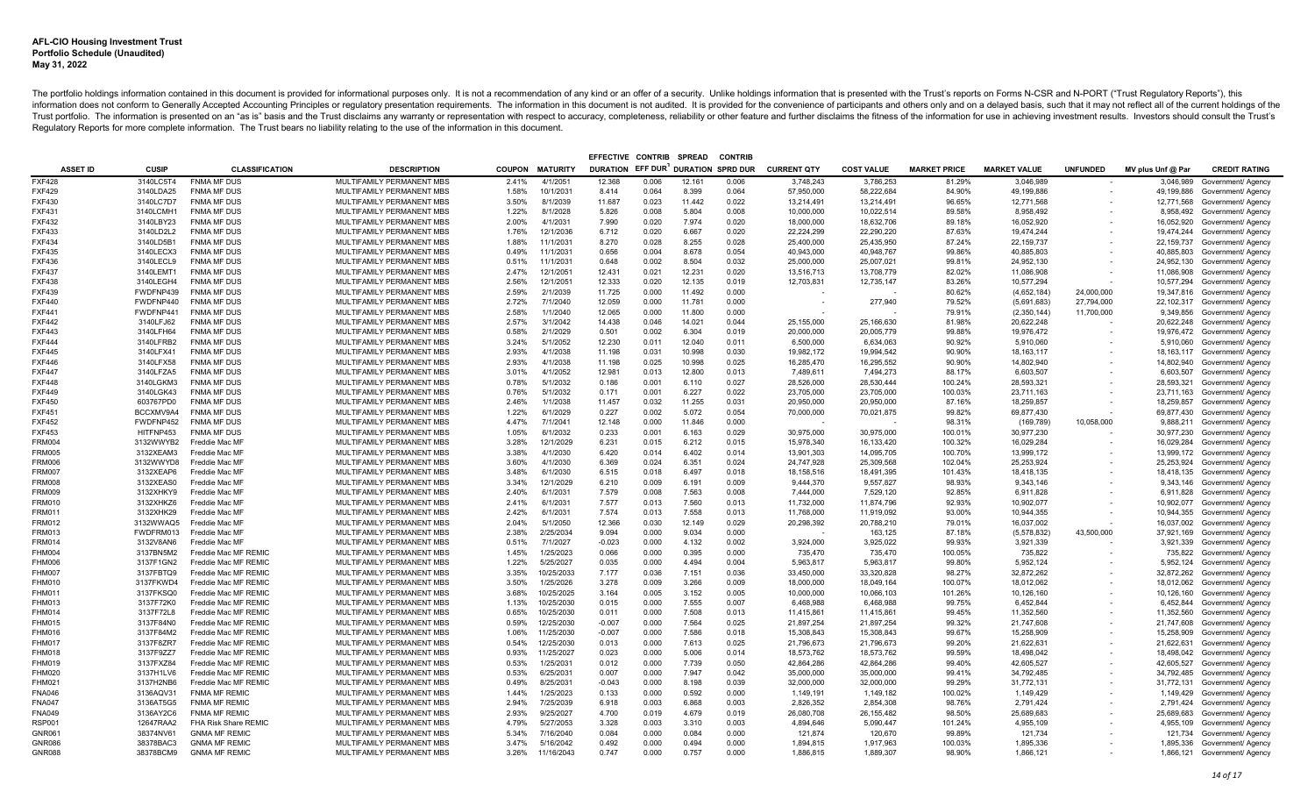| EFFECTIVE CONTRIB SPREAD<br><b>CONTRIB</b> |                        |                                          |                                                        |                |                      |                  |                |                          |                |                          |                          |                     |                          |                          |                   |                                                    |
|--------------------------------------------|------------------------|------------------------------------------|--------------------------------------------------------|----------------|----------------------|------------------|----------------|--------------------------|----------------|--------------------------|--------------------------|---------------------|--------------------------|--------------------------|-------------------|----------------------------------------------------|
| <b>ASSET ID</b>                            | <b>CUSIP</b>           | <b>CLASSIFICATION</b>                    | <b>DESCRIPTION</b>                                     | <b>COUPON</b>  | <b>MATURITY</b>      | DURATION EFF DUR |                | <b>DURATION SPRD DUR</b> |                | <b>CURRENT QTY</b>       | <b>COST VALUE</b>        | <b>MARKET PRICE</b> | <b>MARKET VALUE</b>      | <b>UNFUNDED</b>          | MV plus Unf @ Par | <b>CREDIT RATING</b>                               |
| <b>FXF428</b>                              | 3140LC5T4              | <b>FNMA MF DUS</b>                       | MULTIFAMILY PERMANENT MBS                              | 2.41%          | 4/1/2051             | 12.368           | 0.006          | 12.161                   | 0.006          | 3,748,243                | 3,786,253                | 81.29%              | 3,046,989                |                          | 3,046,989         | Government/ Agency                                 |
| <b>FXF429</b>                              | 3140LDA25              | <b>FNMA MF DUS</b>                       | MULTIFAMILY PERMANENT MBS                              | 1.58%          | 10/1/2031            | 8.414            | 0.064          | 8.399                    | 0.064          | 57,950,000               | 58,222,684               | 84.90%              | 49,199,886               | $\overline{\phantom{a}}$ |                   | 49,199,886 Government/ Agency                      |
| <b>FXF430</b>                              | 3140LC7D7              | <b>FNMA MF DUS</b>                       | MULTIFAMILY PERMANENT MBS                              | 3.50%          | 8/1/2039             | 11.687           | 0.023          | 11.442                   | 0.022          | 13,214,491               | 13,214,491               | 96.65%              | 12,771,568               | $\overline{\phantom{a}}$ |                   | 12,771,568 Government/ Agency                      |
| <b>FXF431</b>                              | 3140LCMH1              | <b>FNMA MF DUS</b>                       | MULTIFAMILY PERMANENT MBS                              | 1.22%          | 8/1/2028             | 5.826            | 0.008          | 5.804                    | 0.008          | 10,000,000               | 10,022,514               | 89.58%              | 8,958,492                |                          |                   | 8,958,492 Government/ Agency                       |
| <b>FXF432</b>                              | 3140LBY23              | <b>FNMA MF DUS</b>                       | MULTIFAMILY PERMANENT MBS                              | 2.00%          | 4/1/2031             | 7.990            | 0.020          | 7.974                    | 0.020          | 18,000,000               | 18,632,706               | 89.18%              | 16,052,920               |                          |                   | 16,052,920 Government/ Agency                      |
| <b>FXF433</b>                              | 3140LD2L2              | <b>FNMA MF DUS</b>                       | MULTIFAMILY PERMANENT MBS                              | 1.76%          | 12/1/2036            | 6.712            | 0.020          | 6.667                    | 0.020          | 22,224,299               | 22,290,220               | 87.63%              | 19,474,244               |                          |                   | 19,474,244 Government/ Agency                      |
| <b>FXF434</b>                              | 3140LD5B1              | <b>FNMA MF DUS</b>                       | MULTIFAMILY PERMANENT MBS                              | 1.88%          | 11/1/2031            | 8.270            | 0.028          | 8.255                    | 0.028          | 25,400,000               | 25,435,950               | 87.24%              | 22,159,737               |                          |                   | 22,159,737 Government/ Agency                      |
| <b>FXF435</b>                              | 3140LECX3              | <b>FNMA MF DUS</b>                       | MULTIFAMILY PERMANENT MBS                              | 0.49%          | 11/1/2031            | 0.656            | 0.004          | 8.678                    | 0.054          | 40,943,000               | 40,948,767               | 99.86%              | 40,885,803               |                          | 40,885,803        | Government/ Agency                                 |
| <b>FXF436</b>                              | 3140LECL9              | <b>FNMA MF DUS</b>                       | MULTIFAMILY PERMANENT MBS                              | 0.51%          | 11/1/203             | 0.648            | 0.002          | 8.504                    | 0.032          | 25,000,000               | 25,007,021               | 99.81%              | 24,952,130               |                          |                   | 24,952,130 Government/ Agency                      |
| <b>FXF437</b>                              | 3140LEMT1              | <b>FNMA MF DUS</b>                       | MULTIFAMILY PERMANENT MBS                              | 2.47%          | 12/1/205             | 12.431           | 0.021          | 12.231                   | 0.020          | 13,516,713               | 13,708,779               | 82.02%              | 11,086,908               |                          | 11,086,908        | Government/ Agency                                 |
| <b>FXF438</b>                              | 3140LEGH4              | <b>FNMA MF DUS</b>                       | MULTIFAMILY PERMANENT MBS                              | 2.56%          | 12/1/205             | 12.333           | 0.020          | 12.135                   | 0.019          | 12,703,831               | 12,735,147               | 83.26%              | 10,577,294               |                          |                   | 10,577,294 Government/ Agency                      |
| <b>FXF439</b>                              | FWDFNP439              | <b>FNMA MF DUS</b>                       | MULTIFAMILY PERMANENT MBS                              | 2.59%          | 2/1/2039             | 11.725           | 0.000          | 11.492                   | 0.000          |                          |                          | 80.62%              | (4,652,184)              | 24,000,000               |                   | 19,347,816 Government/ Agency                      |
| <b>FXF440</b>                              | FWDFNP440              | <b>FNMA MF DUS</b>                       | MULTIFAMILY PERMANENT MBS                              | 2.72%          | 7/1/2040             | 12.059           | 0.000          | 11.781                   | 0.000          |                          | 277,940                  | 79.52%              | (5,691,683)              | 27,794,000               |                   | 22,102,317 Government/ Agency                      |
| <b>FXF441</b>                              | FWDFNP441              | <b>FNMA MF DUS</b>                       | MULTIFAMILY PERMANENT MBS                              | 2.58%          | 1/1/2040             | 12.065           | 0.000          | 11.800                   | 0.000          |                          |                          | 79.91%              | (2,350,144)              | 11,700,000               | 9,349,856         | Government/ Agency                                 |
| <b>FXF442</b>                              | 3140LFJ62              | <b>FNMA MF DUS</b>                       | MULTIFAMILY PERMANENT MBS                              | 2.57%          | 3/1/2042             | 14.438           | 0.046          | 14.021                   | 0.044          | 25,155,000               | 25,166,630               | 81.98%              | 20,622,248               |                          | 20,622,248        | Government/ Agency                                 |
| <b>FXF443</b>                              | 3140LFH64              | <b>FNMA MF DUS</b>                       | MULTIFAMILY PERMANENT MBS                              | 0.58%          | 2/1/2029             | 0.501            | 0.002          | 6.304                    | 0.019          | 20.000.000               | 20.005.779               | 99.88%              | 19.976.472               |                          |                   | 19,976,472 Government/ Agency                      |
| <b>FXF444</b>                              | 3140LFRB2              | <b>FNMA MF DUS</b>                       | MULTIFAMILY PERMANENT MBS                              | 3.24%          | 5/1/2052             | 12.230           | 0.011          | 12.040                   | 0.011          | 6,500,000                | 6,634,063                | 90.92%              | 5,910,060                |                          | 5,910,060         | Government/ Agency                                 |
| <b>FXF445</b>                              | 3140LFX41              | <b>FNMA MF DUS</b>                       | MULTIFAMILY PERMANENT MBS                              | 2.93%          | 4/1/2038             | 11.198           | 0.031          | 10.998                   | 0.030          | 19,982,172               | 19,994,542               | 90.90%              | 18, 163, 117             |                          |                   | 18,163,117 Government/ Agency                      |
| <b>FXF446</b>                              | 3140LFX58              | <b>FNMA MF DUS</b>                       | MULTIFAMILY PERMANENT MBS                              | 2.93%          | 4/1/2038             | 11.198           | 0.025          | 10.998                   | 0.025          | 16,285,470               | 16.295.552               | 90.90%              | 14.802.940               |                          |                   | 14,802,940 Government/ Agency                      |
| <b>FXF447</b>                              | 3140LFZA5              | <b>FNMA MF DUS</b>                       | MULTIFAMILY PERMANENT MBS                              | 3.01%          | 4/1/2052             | 12.981           | 0.013          | 12.800                   | 0.013          | 7,489,611                | 7,494,273                | 88.17%              | 6,603,507                |                          | 6,603,507         | Government/ Agency                                 |
| <b>FXF448</b>                              | 3140LGKM3              | <b>FNMA MF DUS</b>                       | MULTIFAMILY PERMANENT MBS                              | 0.78%          | 5/1/2032             | 0.186            | 0.001          | 6.110                    | 0.027          | 28,526,000               | 28,530,444               | 100.24%             | 28,593,321               |                          |                   | 28,593,321 Government/ Agency                      |
| <b>FXF449</b>                              | 3140LGK43              | <b>FNMA MF DUS</b>                       | MULTIFAMILY PERMANENT MBS                              | 0.76%          | 5/1/2032             | 0.171            | 0.001          | 6.227                    | 0.022          | 23,705,000               | 23,705,000               | 100.03%             | 23,711,163               |                          |                   | 23,711,163 Government/ Agency                      |
| <b>FXF450</b><br><b>FXF451</b>             | 603767PD0<br>BCCXMV9A4 | <b>FNMA MF DUS</b><br><b>FNMA MF DUS</b> | MULTIFAMILY PERMANENT MBS<br>MULTIFAMILY PERMANENT MBS | 2.46%<br>1.22% | 1/1/2038<br>6/1/2029 | 11.457<br>0.227  | 0.032<br>0.002 | 11.255<br>5.072          | 0.031<br>0.054 | 20,950,000<br>70,000,000 | 20,950,000<br>70,021,875 | 87.16%<br>99.82%    | 18,259,857<br>69,877,430 |                          | 18,259,857        | Government/ Agency                                 |
| <b>FXF452</b>                              | FWDFNP452              | <b>FNMA MF DUS</b>                       | MULTIFAMILY PERMANENT MBS                              | 4.47%          | 7/1/2041             | 12.148           | 0.000          | 11.846                   | 0.000          |                          |                          | 98.31%              | (169, 789)               | 10,058,000               | 69,877,430        | Government/ Agency<br>9,888,211 Government/ Agency |
| <b>FXF453</b>                              | HITFNP453              | <b>FNMA MF DUS</b>                       | MULTIFAMILY PERMANENT MBS                              | 1.05%          | 6/1/2032             | 0.233            | 0.001          | 6.163                    | 0.029          | 30,975,000               | 30,975,000               | 100.01%             | 30,977,230               |                          | 30,977,230        | Government/ Agency                                 |
| <b>FRM004</b>                              | 3132WWYB2              | Freddie Mac MF                           | MULTIFAMILY PERMANENT MBS                              | 3.28%          | 12/1/2029            | 6.231            | 0.015          | 6.212                    | 0.015          | 15,978,340               | 16,133,420               | 100.32%             | 16,029,284               |                          | 16,029,284        | Government/ Agency                                 |
| <b>FRM005</b>                              | 3132XEAM3              | Freddie Mac MF                           | MULTIFAMILY PERMANENT MBS                              | 3.38%          | 4/1/2030             | 6.420            | 0.014          | 6.402                    | 0.014          | 13,901,303               | 14,095,705               | 100.70%             | 13,999,172               |                          |                   | 13,999,172 Government/ Agency                      |
| <b>FRM006</b>                              | 3132WWYD8              | Freddie Mac MF                           | MULTIFAMILY PERMANENT MBS                              | 3.60%          | 4/1/2030             | 6.369            | 0.024          | 6.351                    | 0.024          | 24,747,928               | 25,309,568               | 102.04%             | 25,253,924               |                          |                   | 25,253,924 Government/ Agency                      |
| <b>FRM007</b>                              | 3132XEAP6              | Freddie Mac MF                           | MULTIFAMILY PERMANENT MBS                              | 3.48%          | 6/1/2030             | 6.515            | 0.018          | 6.497                    | 0.018          | 18,158,516               | 18,491,395               | 101.43%             | 18,418,135               |                          |                   | 18,418,135 Government/ Agency                      |
| <b>FRM008</b>                              | 3132XEAS0              | Freddie Mac MF                           | MULTIFAMILY PERMANENT MBS                              | 3.34%          | 12/1/2029            | 6.210            | 0.009          | 6.191                    | 0.009          | 9,444,370                | 9,557,827                | 98.93%              | 9,343,146                |                          |                   | 9,343,146 Government/ Agency                       |
| <b>FRM009</b>                              | 3132XHKY9              | Freddie Mac MF                           | MULTIFAMILY PERMANENT MBS                              | 2.40%          | 6/1/2031             | 7.579            | 0.008          | 7.563                    | 0.008          | 7,444,000                | 7,529,120                | 92.85%              | 6,911,828                |                          |                   | 6,911,828 Government/ Agency                       |
| FRM010                                     | 3132XHKZ6              | Freddie Mac MF                           | MULTIFAMILY PERMANENT MBS                              | 2.41%          | 6/1/2031             | 7.577            | 0.013          | 7.560                    | 0.013          | 11,732,000               | 11,874,796               | 92.93%              | 10,902,077               |                          |                   | 10,902,077 Government/ Agency                      |
| <b>FRM011</b>                              | 3132XHK29              | Freddie Mac MF                           | MULTIFAMILY PERMANENT MBS                              | 2.42%          | 6/1/2031             | 7.574            | 0.013          | 7.558                    | 0.013          | 11,768,000               | 11,919,092               | 93.00%              | 10,944,355               |                          |                   | 10,944,355 Government/ Agency                      |
| <b>FRM012</b>                              | 3132WWAQ5              | Freddie Mac MF                           | MULTIFAMILY PERMANENT MBS                              | 2.04%          | 5/1/2050             | 12.366           | 0.030          | 12.149                   | 0.029          | 20,298,392               | 20,788,210               | 79.01%              | 16,037,002               |                          |                   | 16,037,002 Government/ Agency                      |
| <b>FRM013</b>                              | FWDFRM013              | Freddie Mac MF                           | MULTIFAMILY PERMANENT MBS                              | 2.38%          | 2/25/2034            | 9.094            | 0.000          | 9.034                    | 0.000          |                          | 163,125                  | 87.18%              | (5,578,832)              | 43.500.000               |                   | 37,921,169 Government/ Agency                      |
| <b>FRM014</b>                              | 3132V8AN6              | Freddie Mac MF                           | MULTIFAMILY PERMANENT MBS                              | 0.51%          | 7/1/2027             | $-0.023$         | 0.000          | 4.132                    | 0.002          | 3.924.000                | 3,925,022                | 99.93%              | 3,921,339                |                          |                   | 3,921,339 Government/ Agency                       |
| <b>FHM004</b>                              | 3137BN5M2              | Freddie Mac MF REMIC                     | MULTIFAMILY PERMANENT MBS                              | 1.45%          | 1/25/2023            | 0.066            | 0.000          | 0.395                    | 0.000          | 735,470                  | 735,470                  | 100.05%             | 735,822                  |                          |                   | 735,822 Government/ Agency                         |
| FHM006                                     | 3137F1GN2              | Freddie Mac MF REMIC                     | MULTIFAMILY PERMANENT MBS                              | 1.22%          | 5/25/2027            | 0.035            | 0.000          | 4.494                    | 0.004          | 5,963,817                | 5.963.817                | 99.80%              | 5,952,124                |                          |                   | 5,952,124 Government/ Agency                       |
| <b>FHM007</b>                              | 3137FBTQ9              | Freddie Mac MF REMIC                     | MULTIFAMILY PERMANENT MBS                              | 3.35%          | 10/25/2033           | 7.177            | 0.036          | 7.151                    | 0.036          | 33,450,000               | 33,320,828               | 98.27%              | 32,872,262               |                          |                   | 32,872,262 Government/ Agency                      |
| <b>FHM010</b>                              | 3137FKWD4              | Freddie Mac MF REMIC                     | MULTIFAMILY PERMANENT MBS                              | 3.50%          | 1/25/2026            | 3.278            | 0.009          | 3.266                    | 0.009          | 18.000.000               | 18.049.164               | 100.07%             | 18.012.062               |                          |                   | 18,012,062 Government/ Agency                      |
| FHM011                                     | 3137FKSQ0              | Freddie Mac MF REMIC                     | MULTIFAMILY PERMANENT MBS                              | 3.68%          | 10/25/2025           | 3.164            | 0.005          | 3.152                    | 0.005          | 10,000,000               | 10,066,103               | 101.26%             | 10,126,160               |                          |                   | 10,126,160 Government/ Agency                      |
| FHM013                                     | 3137F72K0              | Freddie Mac MF REMIC                     | MULTIFAMILY PERMANENT MBS                              | 1.13%          | 10/25/2030           | 0.015            | 0.000          | 7.555                    | 0.007          | 6,468,988                | 6,468,988                | 99.75%              | 6,452,844                |                          | 6,452,844         | Government/ Agency                                 |
| <b>FHM014</b>                              | 3137F72L8              | Freddie Mac MF REMIC                     | MULTIFAMILY PERMANENT MBS                              | 0.65%          | 10/25/2030           | 0.011            | 0.000          | 7.508                    | 0.013          | 11,415,861               | 11.415.861               | 99.45%              | 11.352.560               |                          |                   | 11,352,560 Government/ Agency                      |
| <b>FHM015</b>                              | 3137F84N0              | Freddie Mac MF REMIC                     | MULTIFAMILY PERMANENT MBS                              | 0.59%          | 12/25/2030           | $-0.007$         | 0.000          | 7.564                    | 0.025          | 21,897,254               | 21,897,254               | 99.32%              | 21,747,608               |                          |                   | 21,747,608 Government/ Agency                      |
| <b>FHM016</b>                              | 3137F84M2              | Freddie Mac MF REMIC                     | MULTIFAMILY PERMANENT MBS                              | 1.06%          | 11/25/2030           | $-0.007$         | 0.000          | 7.586                    | 0.018          | 15,308,843               | 15,308,843               | 99.67%              | 15,258,909               |                          |                   | 15,258,909 Government/ Agency                      |
| <b>FHM017</b>                              | 3137F8ZR7              | Freddie Mac MF REMIC                     | MULTIFAMILY PERMANENT MBS                              | 0.54%          | 12/25/2030           | 0.013            | 0.000          | 7.613                    | 0.025          | 21,796,673               | 21,796,673               | 99.20%              | 21,622,631               |                          |                   | 21,622,631 Government/ Agency                      |
| <b>FHM018</b>                              | 3137F9ZZ7              | Freddie Mac MF REMIC                     | MULTIFAMILY PERMANENT MBS                              | 0.93%          | 11/25/2027           | 0.023            | 0.000          | 5.006                    | 0.014          | 18,573,762               | 18,573,762               | 99.59%              | 18,498,042               |                          |                   | 18,498,042 Government/ Agency                      |
| <b>FHM019</b>                              | 3137FXZ84              | Freddie Mac MF REMIC                     | MULTIFAMILY PERMANENT MBS                              | 0.53%          | 1/25/2031            | 0.012            | 0.000          | 7.739                    | 0.050          | 42,864,286               | 42,864,286               | 99.40%              | 42,605,527               |                          |                   | 42,605,527 Government/ Agency                      |
| <b>FHM020</b>                              | 3137H1LV6              | Freddie Mac MF REMIC                     | MULTIFAMILY PERMANENT MBS                              | 0.53%          | 6/25/2031            | 0.007            | 0.000          | 7.947                    | 0.042          | 35,000,000               | 35,000,000               | 99.41%              | 34,792,485               |                          |                   | 34,792,485 Government/ Agency                      |
| <b>FHM021</b>                              | 3137H2NB6              | Freddie Mac MF REMIC                     | MULTIFAMILY PERMANENT MBS                              | 0.49%          | 8/25/203             | $-0.043$         | 0.000          | 8.198                    | 0.039          | 32,000,000               | 32,000,000               | 99.29%              | 31,772,131               |                          |                   | 31,772,131 Government/ Agency                      |
| <b>FNA046</b>                              | 3136AQV31              | <b>FNMA MF REMIC</b>                     | MULTIFAMILY PERMANENT MBS                              | 1.44%          | 1/25/2023            | 0.133            | 0.000          | 0.592                    | 0.000          | 1,149,191                | 1,149,182                | 100.02%             | 1,149,429                |                          |                   | 1,149,429 Government/ Agency                       |
| <b>FNA047</b>                              | 3136AT5G5              | <b>FNMA MF REMIC</b>                     | MULTIFAMILY PERMANENT MBS                              | 2.94%          | 7/25/2039            | 6.918            | 0.003          | 6.868                    | 0.003          | 2,826,352                | 2,854,308                | 98.76%              | 2,791,424                |                          |                   | 2,791,424 Government/ Agency                       |
| <b>FNA049</b>                              | 3136AY2C6              | <b>FNMA MF REMIC</b>                     | MULTIFAMILY PERMANENT MBS                              | 2.93%          | 9/25/2027            | 4.700            | 0.019          | 4.679                    | 0.019          | 26,080,708               | 26, 155, 482             | 98.50%              | 25,689,683               |                          |                   | 25,689,683 Government/ Agency                      |
| <b>RSP001</b>                              | 12647RAA2              | FHA Risk Share REMIC                     | MULTIFAMILY PERMANENT MBS                              | 4.79%          | 5/27/2053            | 3.328            | 0.003          | 3.310                    | 0.003          | 4,894,646                | 5,090,447                | 101.24%             | 4,955,109                |                          |                   | 4,955,109 Government/ Agency                       |
| GNR061                                     | 38374NV61              | <b>GNMA MF REMIC</b>                     | MULTIFAMILY PERMANENT MBS                              | 5.34%          | 7/16/2040            | 0.084            | 0.000          | 0.084                    | 0.000          | 121,874                  | 120,670                  | 99.89%              | 121,734                  |                          |                   | 121,734 Government/ Agency                         |
| <b>GNR086</b>                              | 38378BAC3              | <b>GNMA MF REMIC</b>                     | MULTIFAMILY PERMANENT MBS                              | 3.47%          | 5/16/2042            | 0.492            | 0.000          | 0.494                    | 0.000          | 1,894,815                | 1,917,963                | 100.03%             | 1,895,336                |                          |                   | 1,895,336 Government/ Agency                       |
| <b>GNR088</b>                              | 38378BCM9              | <b>GNMA MF REMIC</b>                     | MULTIFAMILY PERMANENT MBS                              | 3.26%          | 11/16/2043           | 0.747            | 0.000          | 0.757                    | 0.000          | 1.886.815                | 1.889.307                | 98.90%              | 1.866.121                |                          |                   | 1,866,121 Government/ Agency                       |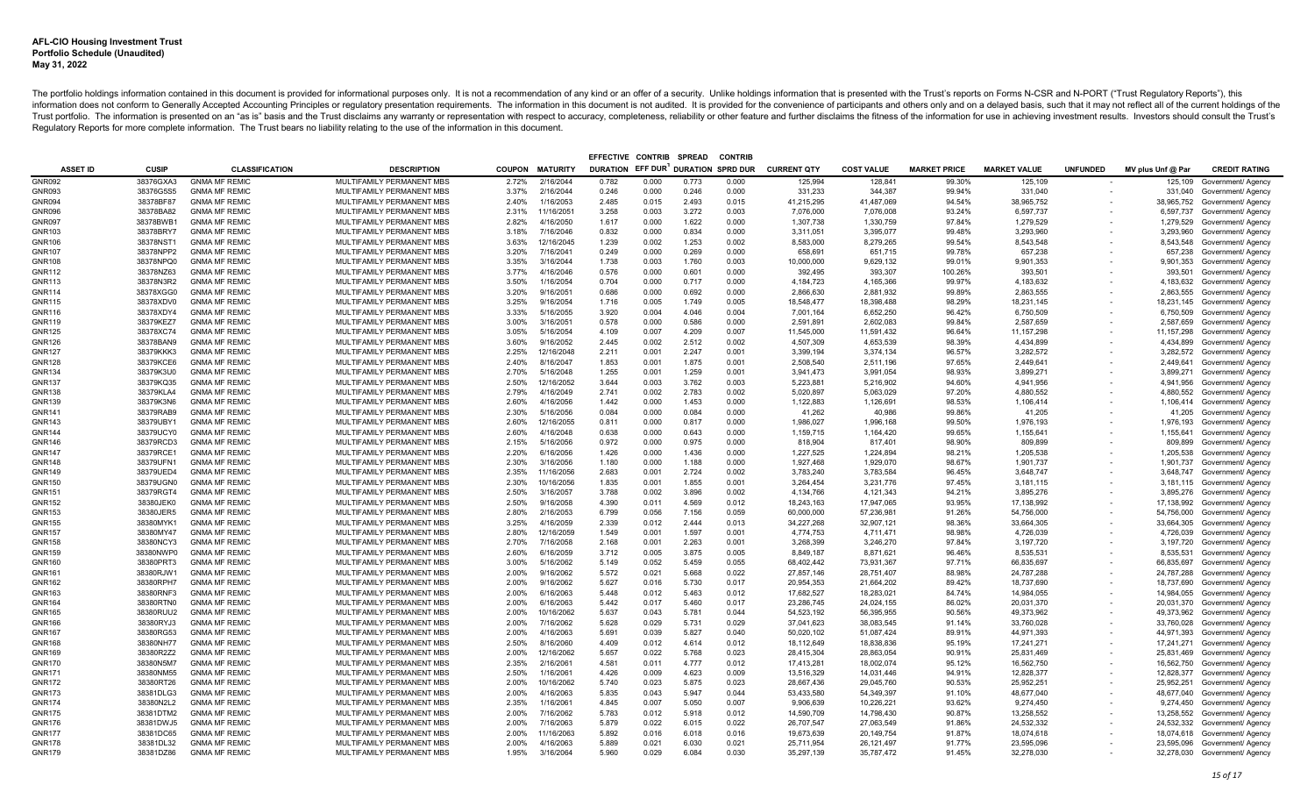| EFFECTIVE CONTRIB SPREAD<br><b>CONTRIE</b> |                        |                                              |                                                        |                |                         |                                    |                |                |                |                        |                        |                     |                        |                 |                   |                                                               |
|--------------------------------------------|------------------------|----------------------------------------------|--------------------------------------------------------|----------------|-------------------------|------------------------------------|----------------|----------------|----------------|------------------------|------------------------|---------------------|------------------------|-----------------|-------------------|---------------------------------------------------------------|
| <b>ASSET ID</b>                            | CUSIP                  | <b>CLASSIFICATION</b>                        | <b>DESCRIPTION</b>                                     | <b>COUPON</b>  | <b>MATURITY</b>         | DURATION EFF DUR DURATION SPRD DUR |                |                |                | <b>CURRENT QTY</b>     | <b>COST VALUE</b>      | <b>MARKET PRICE</b> | <b>MARKET VALUE</b>    | <b>UNFUNDED</b> | MV plus Unf @ Par | <b>CREDIT RATING</b>                                          |
| <b>GNR092</b>                              | 38376GXA3              | <b>GNMA MF REMIC</b>                         | MULTIFAMILY PERMANENT MBS                              | 2.72%          | 2/16/2044               | 0.782                              | 0.000          | 0.773          | 0.000          | 125,994                | 128,841                | 99.30%              | 125,109                |                 |                   | 125,109 Government/ Agency                                    |
| GNR093                                     | 38376G5S5              | <b>GNMA MF REMIC</b>                         | MULTIFAMILY PERMANENT MBS                              | 3.37%          | 2/16/2044               | 0.246                              | 0.000          | 0.246          | 0.000          | 331,233                | 344.387                | 99.94%              | 331,040                |                 |                   | 331,040 Government/ Agency                                    |
| <b>GNR094</b>                              | 38378BF87              | <b>GNMA MF REMIC</b>                         | MULTIFAMILY PERMANENT MBS                              | 2.40%          | 1/16/2053               | 2.485                              | 0.015          | 2.493          | 0.015          | 41,215,295             | 41,487,069             | 94.54%              | 38,965,752             |                 |                   | 38,965,752 Government/ Agency                                 |
| <b>GNR096</b>                              | 38378BA82              | <b>GNMA MF REMIC</b>                         | MULTIFAMILY PERMANENT MBS                              | 2.31%          | 11/16/2051              | 3.258                              | 0.003          | 3.272          | 0.003          | 7,076,000              | 7,076,008              | 93.24%              | 6,597,737              |                 |                   | 6,597,737 Government/ Agency                                  |
| <b>GNR097</b>                              | 38378BWB1              | <b>GNMA MF REMIC</b>                         | MULTIFAMILY PERMANENT MBS                              | 2.82%          | 4/16/2050               | 1.617                              | 0.000          | 1.622          | 0.000          | 1,307,738              | 1,330,759              | 97.84%              | 1,279,529              |                 |                   | 1,279,529 Government/ Agency                                  |
| GNR103                                     | 38378BRY7              | <b>GNMA MF REMIC</b>                         | MULTIFAMILY PERMANENT MBS                              | 3.18%          | 7/16/2046               | 0.832                              | 0.000          | 0.834          | 0.000          | 3,311,051              | 3,395,077              | 99.48%              | 3,293,960              |                 | 3,293,960         | Government/ Agency                                            |
| <b>GNR106</b>                              | 38378NST1              | <b>GNMA MF REMIC</b>                         | MULTIFAMILY PERMANENT MBS                              | 3.63%          | 12/16/2045              | 1.239                              | 0.002          | 1.253          | 0.002          | 8,583,000              | 8,279,265              | 99.54%              | 8,543,548              |                 |                   | 8,543,548 Government/ Agency                                  |
| <b>GNR107</b>                              | 38378NPP2              | <b>GNMA MF REMIC</b>                         | MULTIFAMILY PERMANENT MBS                              | 3.20%          | 7/16/2041               | 0.249                              | 0.000          | 0.269          | 0.000          | 658,691                | 651,715                | 99.78%              | 657,238                |                 |                   | 657,238 Government/ Agency                                    |
| <b>GNR108</b>                              | 38378NPQ0              | <b>GNMA MF REMIC</b>                         | MULTIFAMILY PERMANENT MBS                              | 3.35%          | 3/16/2044               | 1.738                              | 0.003          | 1.760          | 0.003          | 10,000,000             | 9,629,132              | 99.01%              | 9,901,353              |                 |                   | 9,901,353 Government/ Agency                                  |
| GNR112                                     | 38378NZ63              | <b>GNMA MF REMIC</b>                         | MULTIFAMILY PERMANENT MBS                              | 3.77%          | 4/16/2046               | 0.576                              | 0.000          | 0.601          | 0.000          | 392,495                | 393,307                | 100.26%             | 393,501                |                 | 393,501           | Government/ Agency                                            |
| <b>GNR113</b>                              | 38378N3R2              | <b>GNMA MF REMIC</b>                         | MULTIFAMILY PERMANENT MBS                              | 3.50%          | 1/16/2054               | 0.704                              | 0.000          | 0.717          | 0.000          | 4,184,723              | 4,165,366              | 99.97%              | 4,183,632              |                 |                   | 4,183,632 Government/ Agency                                  |
| GNR114                                     | 38378XGG0              | <b>GNMA MF REMIC</b>                         | MULTIFAMILY PERMANENT MBS                              | 3.20%          | 9/16/2051               | 0.686                              | 0.000          | 0.692          | 0.000          | 2,866,630              | 2,881,932              | 99.89%              | 2,863,555              |                 |                   | 2,863,555 Government/ Agency                                  |
| GNR115                                     | 38378XDV0              | <b>GNMA MF REMIC</b>                         | MULTIFAMILY PERMANENT MBS                              | 3.25%          | 9/16/2054               | 1.716                              | 0.005          | 1.749          | 0.005          | 18,548,477             | 18,398,488             | 98.29%              | 18,231,145             |                 |                   | 18,231,145 Government/ Agency                                 |
| GNR116                                     | 38378XDY4              | <b>GNMA MF REMIC</b>                         | MULTIFAMILY PERMANENT MBS                              | 3.33%          | 5/16/2055               | 3.920                              | 0.004          | 4.046          | 0.004          | 7.001.164              | 6.652.250              | 96.42%              | 6.750.509              |                 |                   | 6,750,509 Government/ Agency                                  |
| GNR119                                     | 38379KEZ7              | <b>GNMA MF REMIC</b>                         | MULTIFAMILY PERMANENT MBS                              | 3.00%          | 3/16/2051               | 0.578                              | 0.000          | 0.586          | 0.000          | 2,591,891              | 2,602,083              | 99.84%              | 2,587,659              |                 |                   | 2,587,659 Government/ Agency                                  |
| <b>GNR125</b>                              | 38378XC74              | <b>GNMA MF REMIC</b>                         | MULTIFAMILY PERMANENT MBS                              | 3.05%          | 5/16/2054               | 4.109                              | 0.007          | 4.209          | 0.007          | 11,545,000             | 11,591,432             | 96.64%              | 11, 157, 298           |                 |                   | 11,157,298 Government/ Agency                                 |
| <b>GNR126</b>                              | 38378BAN9              | <b>GNMA MF REMIC</b>                         | MULTIFAMILY PERMANENT MBS                              | 3.60%          | 9/16/2052               | 2.445                              | 0.002          | 2.512          | 0.002          | 4,507,309              | 4.653.539              | 98.39%              | 4.434.899              |                 |                   | 4,434,899 Government/ Agency                                  |
| <b>GNR127</b>                              | 38379KKK3              | <b>GNMA MF REMIC</b>                         | MULTIFAMILY PERMANENT MBS                              | 2.25%          | 12/16/2048              | 2.211                              | 0.001          | 2.247          | 0.001          | 3,399,194              | 3,374,134              | 96.57%              | 3,282,572              |                 |                   | 3,282,572 Government/ Agency                                  |
| <b>GNR128</b>                              | 38379KCE6              | <b>GNMA MF REMIC</b>                         | MULTIFAMILY PERMANENT MBS                              | 2.40%          | 8/16/2047               | 1.853                              | 0.001          | 1.875          | 0.001          | 2,508,540              | 2,511,196              | 97.65%              | 2,449,641              |                 |                   | 2,449,641 Government/ Agency                                  |
| <b>GNR134</b>                              | 38379K3U0              | <b>GNMA MF REMIC</b>                         | MULTIFAMILY PERMANENT MBS                              | 2.70%          | 5/16/2048               | 1.255                              | 0.001          | 1.259          | 0.001          | 3,941,473              | 3,991,054              | 98.93%              | 3,899,271              |                 |                   | 3,899,271 Government/ Agency                                  |
| <b>GNR137</b>                              | 38379KQ35              | <b>GNMA MF REMIC</b>                         | MULTIFAMILY PERMANENT MBS                              | 2.50%          | 12/16/2052              | 3.644                              | 0.003          | 3.762          | 0.003          | 5,223,881              | 5,216,902              | 94.60%              | 4,941,956              |                 |                   | 4,941,956 Government/ Agency                                  |
| <b>GNR138</b>                              | 38379KLA4              | <b>GNMA MF REMIC</b>                         | MULTIFAMILY PERMANENT MBS                              | 2.79%          | 4/16/2049               | 2.741                              | 0.002          | 2.783          | 0.002          | 5,020,897              | 5,063,029              | 97.20%              | 4,880,552              |                 |                   | 4,880,552 Government/ Agency                                  |
| <b>GNR139</b>                              | 38379K3N6              | <b>GNMA MF REMIC</b>                         | MULTIFAMILY PERMANENT MBS                              | 2.60%          | 4/16/2056               | 1.442                              | 0.000          | 1.453          | 0.000          | 1,122,883              | 1,126,691              | 98.53%              | 1,106,414              |                 |                   | 1,106,414 Government/ Agency                                  |
| <b>GNR141</b>                              | 38379RAB9              | <b>GNMA MF REMIC</b>                         | MULTIFAMILY PERMANENT MBS                              | 2.30%          | 5/16/2056               | 0.084                              | 0.000          | 0.084          | 0.000          | 41,262                 | 40,986                 | 99.86%              | 41,205                 |                 |                   | 41,205 Government/ Agency                                     |
| <b>GNR143</b>                              | 38379UBY1              | <b>GNMA MF REMIC</b>                         | MULTIFAMILY PERMANENT MBS                              | 2.60%          | 12/16/2055              | 0.811                              | 0.000          | 0.817          | 0.000          | 1,986,027              | 1,996,168              | 99.50%              | 1,976,193              |                 | 1,976,193         | Government/ Agency                                            |
| <b>GNR144</b>                              | 38379UCY0              | <b>GNMA MF REMIC</b>                         | MULTIFAMILY PERMANENT MBS                              | 2.60%          | 4/16/2048               | 0.638                              | 0.000          | 0.643          | 0.000          | 1,159,715              | 1,164,420              | 99.65%              | 1,155,641              |                 |                   | 1,155,641 Government/ Agency                                  |
| <b>GNR146</b>                              | 38379RCD3              | <b>GNMA MF REMIC</b>                         | MULTIFAMILY PERMANENT MBS                              | 2.15%          | 5/16/2056               | 0.972                              | 0.000          | 0.975          | 0.000          | 818,904                | 817,401                | 98.90%              | 809,899                |                 | 809,899           | Government/ Agency                                            |
| <b>GNR147</b>                              | 38379RCE1              | <b>GNMA MF REMIC</b>                         | MULTIFAMILY PERMANENT MBS                              | 2.20%          | 6/16/2056               | 1.426                              | 0.000          | 1.436          | 0.000          | 1,227,525              | 1,224,894              | 98.21%              | 1,205,538              |                 | 1,205,538         | Government/ Agency                                            |
| <b>GNR148</b>                              | 38379UFN1              | <b>GNMA MF REMIC</b>                         | MULTIFAMILY PERMANENT MBS                              | 2.30%          | 3/16/2056               | 1.180                              | 0.000          | 1.188          | 0.000          | 1,927,468              | 1,929,070              | 98.67%<br>96.45%    | 1,901,737              |                 | 1,901,737         | Government/ Agency                                            |
| <b>GNR149</b>                              | 38379UED4              | <b>GNMA MF REMIC</b>                         | MULTIFAMILY PERMANENT MBS                              | 2.35%          | 11/16/2056              | 2.683                              | 0.001          | 2.724          | 0.002          | 3,783,240              | 3,783,584              |                     | 3,648,747              |                 |                   | 3,648,747 Government/ Agency                                  |
| GNR150                                     | 38379UGN0<br>38379RGT4 | <b>GNMA MF REMIC</b><br><b>GNMA MF REMIC</b> | MULTIFAMILY PERMANENT MBS<br>MULTIFAMILY PERMANENT MBS | 2.30%<br>2.50% | 10/16/2056<br>3/16/2057 | 1.835<br>3.788                     | 0.001<br>0.002 | 1.855<br>3.896 | 0.001<br>0.002 | 3,264,454<br>4,134,766 | 3,231,776<br>4,121,343 | 97.45%<br>94.21%    | 3,181,115<br>3,895,276 |                 |                   | 3,181,115 Government/ Agency                                  |
| <b>GNR151</b><br>GNR152                    | 38380JEK0              | <b>GNMA MF REMIC</b>                         | MULTIFAMILY PERMANENT MBS                              | 2.50%          | 9/16/2058               | 4.390                              | 0.011          | 4.569          | 0.012          | 18,243,163             | 17,947,065             | 93.95%              | 17,138,992             |                 |                   | 3,895,276 Government/ Agency<br>17,138,992 Government/ Agency |
| <b>GNR153</b>                              | 38380JER5              | <b>GNMA MF REMIC</b>                         | MULTIFAMILY PERMANENT MBS                              | 2.80%          | 2/16/2053               | 6.799                              | 0.056          | 7.156          | 0.059          | 60,000,000             | 57,236,981             | 91.26%              | 54,756,000             |                 |                   | 54,756,000 Government/ Agency                                 |
| GNR155                                     | 38380MYK1              | <b>GNMA MF REMIC</b>                         | MULTIFAMILY PERMANENT MBS                              | 3.25%          | 4/16/2059               | 2.339                              | 0.012          | 2.444          | 0.013          | 34,227,268             | 32,907,121             | 98.36%              | 33,664,305             |                 |                   | 33,664,305 Government/ Agency                                 |
| <b>GNR157</b>                              | 38380MY47              | <b>GNMA MF REMIC</b>                         | MULTIFAMILY PERMANENT MBS                              | 2.80%          | 12/16/2059              | 1.549                              | 0.001          | 1.597          | 0.001          | 4,774,753              | 4,711,471              | 98.98%              | 4,726,039              |                 |                   | 4,726,039 Government/ Agency                                  |
| <b>GNR158</b>                              | 38380NCY3              | <b>GNMA MF REMIC</b>                         | MULTIFAMILY PERMANENT MBS                              | 2.70%          | 7/16/2058               | 2.168                              | 0.001          | 2.263          | 0.001          | 3.268.399              | 3.246.270              | 97.84%              | 3.197.720              |                 |                   | 3,197,720 Government/ Agency                                  |
| GNR159                                     | 38380NWP0              | <b>GNMA MF REMIC</b>                         | MULTIFAMILY PERMANENT MBS                              | 2.60%          | 6/16/2059               | 3.712                              | 0.005          | 3.875          | 0.005          | 8.849.187              | 8,871,621              | 96.46%              | 8,535,531              |                 |                   | 8,535,531 Government/ Agency                                  |
| GNR160                                     | 38380PRT3              | <b>GNMA MF REMIC</b>                         | MULTIFAMILY PERMANENT MBS                              | 3.00%          | 5/16/2062               | 5.149                              | 0.052          | 5.459          | 0.055          | 68,402,442             | 73.931.367             | 97.71%              | 66.835.697             |                 |                   | 66,835,697 Government/ Agency                                 |
| <b>GNR161</b>                              | 38380RJW1              | <b>GNMA MF REMIC</b>                         | MULTIFAMILY PERMANENT MBS                              | 2.00%          | 9/16/2062               | 5.572                              | 0.021          | 5.668          | 0.022          | 27,857,146             | 28.751.407             | 88.98%              | 24.787.288             |                 | 24,787,288        | Government/ Agency                                            |
| <b>GNR162</b>                              | 38380RPH7              | <b>GNMA MF REMIC</b>                         | MULTIFAMILY PERMANENT MBS                              | 2.00%          | 9/16/2062               | 5.627                              | 0.016          | 5.730          | 0.017          | 20,954,353             | 21,664,202             | 89.42%              | 18,737,690             |                 |                   | 18,737,690 Government/ Agency                                 |
| <b>GNR163</b>                              | 38380RNF3              | <b>GNMA MF REMIC</b>                         | MULTIFAMILY PERMANENT MBS                              | 2.00%          | 6/16/2063               | 5.448                              | 0.012          | 5.463          | 0.012          | 17,682,527             | 18,283,021             | 84.74%              | 14,984,055             |                 |                   | 14,984,055 Government/ Agency                                 |
| <b>GNR164</b>                              | 38380RTN0              | <b>GNMA MF REMIC</b>                         | MULTIFAMILY PERMANENT MBS                              | 2.00%          | 6/16/2063               | 5.442                              | 0.017          | 5.460          | 0.017          | 23,286,745             | 24.024.155             | 86.02%              | 20,031,370             |                 |                   | 20,031,370 Government/ Agency                                 |
| GNR165                                     | 38380RUU2              | <b>GNMA MF REMIC</b>                         | MULTIFAMILY PERMANENT MBS                              | 2.00%          | 10/16/2062              | 5.637                              | 0.043          | 5.781          | 0.044          | 54,523,192             | 56,395,955             | 90.56%              | 49,373,962             |                 |                   | 49,373,962 Government/ Agency                                 |
| <b>GNR166</b>                              | 38380RYJ3              | <b>GNMA MF REMIC</b>                         | MULTIFAMILY PERMANENT MBS                              | 2.00%          | 7/16/2062               | 5.628                              | 0.029          | 5.731          | 0.029          | 37,041,623             | 38,083,545             | 91.14%              | 33,760,028             |                 |                   | 33,760,028 Government/ Agency                                 |
| <b>GNR167</b>                              | 38380RG53              | <b>GNMA MF REMIC</b>                         | MULTIFAMILY PERMANENT MBS                              | 2.00%          | 4/16/2063               | 5.691                              | 0.039          | 5.827          | 0.040          | 50,020,102             | 51.087.424             | 89.91%              | 44,971,393             |                 |                   | 44,971,393 Government/ Agency                                 |
| <b>GNR168</b>                              | 38380NH77              | <b>GNMA MF REMIC</b>                         | MULTIFAMILY PERMANENT MBS                              | 2.50%          | 8/16/2060               | 4.409                              | 0.012          | 4.614          | 0.012          | 18,112,649             | 18,838,836             | 95.19%              | 17,241,271             |                 |                   | 17,241,271 Government/ Agency                                 |
| GNR169                                     | 38380R2Z2              | <b>GNMA MF REMIC</b>                         | MULTIFAMILY PERMANENT MBS                              | 2.00%          | 12/16/2062              | 5.657                              | 0.022          | 5.768          | 0.023          | 28,415,304             | 28,863,054             | 90.91%              | 25,831,469             |                 |                   | 25,831,469 Government/ Agency                                 |
| <b>GNR170</b>                              | 38380N5M7              | <b>GNMA MF REMIC</b>                         | MULTIFAMILY PERMANENT MBS                              | 2.35%          | 2/16/2061               | 4.581                              | 0.011          | 4.777          | 0.012          | 17,413,281             | 18,002,074             | 95.12%              | 16,562,750             |                 |                   | 16,562,750 Government/ Agency                                 |
| <b>GNR171</b>                              | 38380NM55              | <b>GNMA MF REMIC</b>                         | MULTIFAMILY PERMANENT MBS                              | 2.50%          | 1/16/2061               | 4.426                              | 0.009          | 4.623          | 0.009          | 13,516,329             | 14,031,446             | 94.91%              | 12,828,377             |                 |                   | 12,828,377 Government/ Agency                                 |
| <b>GNR172</b>                              | 38380RT26              | <b>GNMA MF REMIC</b>                         | MULTIFAMILY PERMANENT MBS                              | 2.00%          | 10/16/2062              | 5.740                              | 0.023          | 5.875          | 0.023          | 28,667,436             | 29,045,760             | 90.53%              | 25,952,251             |                 |                   | 25,952,251 Government/ Agency                                 |
| <b>GNR173</b>                              | 38381DLG3              | <b>GNMA MF REMIC</b>                         | MULTIFAMILY PERMANENT MBS                              | 2.00%          | 4/16/2063               | 5.835                              | 0.043          | 5.947          | 0.044          | 53,433,580             | 54,349,397             | 91.10%              | 48,677,040             |                 |                   | 48,677,040 Government/ Agency                                 |
| <b>GNR174</b>                              | 38380N2L2              | <b>GNMA MF REMIC</b>                         | MULTIFAMILY PERMANENT MBS                              | 2.35%          | 1/16/2061               | 4.845                              | 0.007          | 5.050          | 0.007          | 9,906,639              | 10,226,221             | 93.62%              | 9,274,450              |                 |                   | 9,274,450 Government/ Agency                                  |
| <b>GNR175</b>                              | 38381DTM2              | <b>GNMA MF REMIC</b>                         | MULTIFAMILY PERMANENT MBS                              | 2.00%          | 7/16/2062               | 5.783                              | 0.012          | 5.918          | 0.012          | 14,590,709             | 14,798,430             | 90.87%              | 13,258,552             |                 |                   | 13,258,552 Government/ Agency                                 |
| <b>GNR176</b>                              | 38381DWJ5              | <b>GNMA MF REMIC</b>                         | MULTIFAMILY PERMANENT MBS                              | 2.00%          | 7/16/2063               | 5.879                              | 0.022          | 6.015          | 0.022          | 26,707,547             | 27,063,549             | 91.86%              | 24,532,332             |                 |                   | 24,532,332 Government/ Agency                                 |
| <b>GNR177</b>                              | 38381DC65              | <b>GNMA MF REMIC</b>                         | MULTIFAMILY PERMANENT MBS                              | 2.00%          | 11/16/2063              | 5.892                              | 0.016          | 6.018          | 0.016          | 19,673,639             | 20,149,754             | 91.87%              | 18,074,618             |                 |                   | 18,074,618 Government/ Agency                                 |
| <b>GNR178</b>                              | 38381DL32              | <b>GNMA MF REMIC</b>                         | MULTIFAMILY PERMANENT MBS                              | 2.00%          | 4/16/2063               | 5.889                              | 0.021          | 6.030          | 0.021          | 25,711,954             | 26,121,497             | 91.77%              | 23,595,096             |                 |                   | 23,595,096 Government/ Agency                                 |
| <b>GNR179</b>                              | 38381DZ86              | <b>GNMA MF REMIC</b>                         | MULTIFAMILY PERMANENT MBS                              | 1.95%          | 3/16/2064               | 5.960                              | 0.029          | 6.084          | 0.030          | 35.297.139             | 35.787.472             | 91.45%              | 32.278.030             |                 |                   | 32.278.030 Government/ Agency                                 |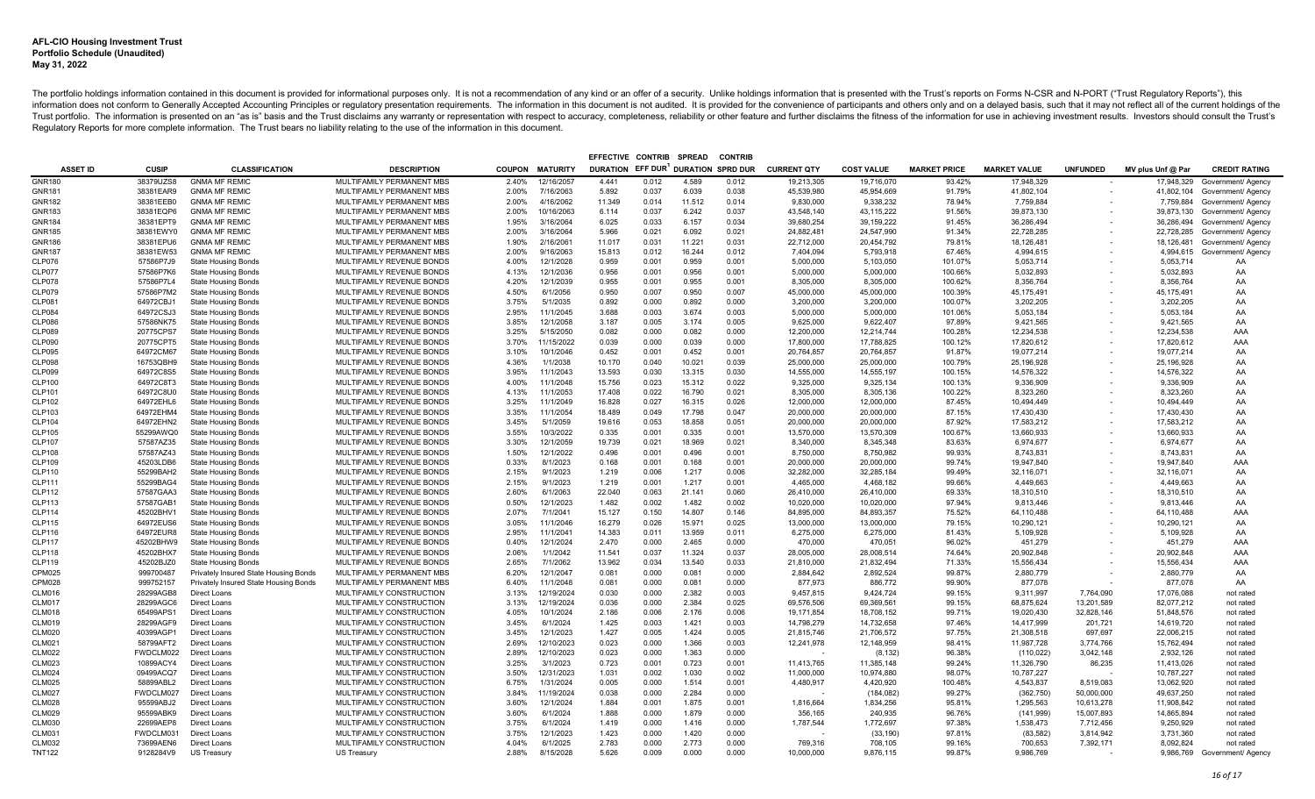| <b>SPREAD</b><br><b>CONTRIB</b><br>EFFECTIVE CONTRIB |                        |                                                          |                                                        |                |                        |                 |                |                          |                |                         |                         |                     |                         |                 |                         |                               |
|------------------------------------------------------|------------------------|----------------------------------------------------------|--------------------------------------------------------|----------------|------------------------|-----------------|----------------|--------------------------|----------------|-------------------------|-------------------------|---------------------|-------------------------|-----------------|-------------------------|-------------------------------|
| <b>ASSET ID</b>                                      | <b>CUSIP</b>           | <b>CLASSIFICATION</b>                                    | <b>DESCRIPTION</b>                                     |                | <b>COUPON MATURITY</b> | <b>DURATION</b> | EFF DUR        | <b>DURATION SPRD DUR</b> |                | <b>CURRENT QTY</b>      | <b>COST VALUE</b>       | <b>MARKET PRICE</b> | <b>MARKET VALUE</b>     | <b>UNFUNDED</b> | MV plus Unf @ Par       | <b>CREDIT RATING</b>          |
| <b>GNR180</b>                                        | 38379UZS8              | <b>GNMA MF REMIC</b>                                     | MULTIFAMILY PERMANENT MBS                              | 2.40%          | 12/16/2057             | 4.441           | 0.012          | 4.589                    | 0.012          | 19,213,305              | 19,716,070              | 93.42%              | 17,948,329              |                 | 17,948,329              | Government/ Agency            |
| GNR181                                               | 38381EAR9              | <b>GNMA MF REMIC</b>                                     | MULTIFAMILY PERMANENT MBS                              | 2.00%          | 7/16/2063              | 5.892           | 0.037          | 6.039                    | 0.038          | 45.539.980              | 45.954.669              | 91.79%              | 41.802.104              |                 |                         | 41,802,104 Government/ Agency |
| GNR182                                               | 38381EEB0              | <b>GNMA MF REMIC</b>                                     | MULTIFAMILY PERMANENT MBS                              | 2.00%          | 4/16/2062              | 11.349          | 0.014          | 11.512                   | 0.014          | 9,830,000               | 9,338,232               | 78.94%              | 7,759,884               |                 | 7,759,884               | Government/ Agency            |
| <b>GNR183</b>                                        | 38381EQP6              | <b>GNMA MF REMIC</b>                                     | MULTIFAMILY PERMANENT MBS                              | 2.00%          | 10/16/2063             | 6.114           | 0.037          | 6.242                    | 0.037          | 43,548,140              | 43,115,222              | 91.56%              | 39,873,130              |                 | 39,873,130              | Government/ Agency            |
| GNR184                                               | 38381EPT9              | <b>GNMA MF REMIC</b>                                     | MULTIFAMILY PERMANENT MBS                              | 1.95%          | 3/16/2064              | 6.025           | 0.033          | 6.157                    | 0.034          | 39,680,254              | 39, 159, 222            | 91.45%              | 36,286,494              |                 | 36,286,494              | Government/ Agency            |
| GNR185                                               | 38381EWY0              | <b>GNMA MF REMIC</b>                                     | MULTIFAMILY PERMANENT MBS                              | 2.00%          | 3/16/2064              | 5.966           | 0.021          | 6.092                    | 0.021          | 24,882,481              | 24,547,990              | 91.34%              | 22,728,285              |                 | 22,728,285              | Government/ Agency            |
| <b>GNR186</b>                                        | 38381EPU6              | <b>GNMA MF REMIC</b>                                     | MULTIFAMILY PERMANENT MBS                              | 1.90%          | 2/16/2061              | 11.017          | 0.031          | 11.221                   | 0.031          | 22,712,000              | 20,454,792              | 79.81%              | 18,126,481              |                 | 18,126,481              | Government/ Agency            |
| GNR187                                               | 38381EW53              | <b>GNMA MF REMIC</b>                                     | MULTIFAMILY PERMANENT MBS                              | 2.00%          | 9/16/2063              | 15,813          | 0.012          | 16.244                   | 0.012          | 7.404.094               | 5.793.918               | 67.46%              | 4.994.615               |                 | 4.994.615               | Government/ Agency            |
| CLP076                                               | 57586P7J9              | <b>State Housing Bonds</b>                               | MULTIFAMILY REVENUE BONDS                              | 4.00%          | 12/1/2028              | 0.959           | 0.001          | 0.959                    | 0.001          | 5,000,000               | 5,103,050               | 101.07%             | 5,053,714               |                 | 5,053,714               | AA                            |
| <b>CLP077</b>                                        | 57586P7K6              | <b>State Housing Bonds</b>                               | MULTIFAMILY REVENUE BONDS                              | 4.13%          | 12/1/2036              | 0.956           | 0.001          | 0.956                    | 0.001          | 5,000,000               | 5,000,000               | 100.66%             | 5,032,893               |                 | 5,032,893               | AA                            |
| <b>CLP078</b>                                        | 57586P7L4              | State Housing Bonds                                      | MULTIFAMILY REVENUE BONDS                              | 4.20%          | 12/1/2039              | 0.955           | 0.001          | 0.955                    | 0.001          | 8,305,000               | 8.305.000               | 100.62%             | 8,356,764               |                 | 8,356,764               | AA                            |
| <b>CLP079</b>                                        | 57586P7M2              | <b>State Housing Bonds</b>                               | MULTIFAMILY REVENUE BONDS                              | 4.50%          | 6/1/2056               | 0.950           | 0.007          | 0.950                    | 0.007          | 45.000.000              | 45.000.000              | 100.39%             | 45,175,491              |                 | 45.175.491              | AA                            |
| CLP081                                               | 64972CBJ1              | <b>State Housing Bonds</b>                               | MULTIFAMILY REVENUE BONDS                              | 3.75%          | 5/1/2035               | 0.892           | 0.000          | 0.892                    | 0.000          | 3,200,000               | 3,200,000               | 100.07%             | 3,202,205               |                 | 3,202,205               | AA                            |
| CLP084                                               | 64972CSJ3              | <b>State Housing Bonds</b>                               | MULTIFAMILY REVENUE BONDS                              | 2.95%          | 11/1/2045              | 3.688           | 0.003          | 3.674                    | 0.003          | 5,000,000               | 5.000.000               | 101.06%             | 5,053,184               |                 | 5.053.184               | AA                            |
| CLP086                                               | 57586NK75              | <b>State Housing Bonds</b>                               | MULTIFAMILY REVENUE BONDS                              | 3.85%          | 12/1/2058              | 3.187           | 0.005          | 3.174                    | 0.005          | 9.625.000               | 9.622.407               | 97.89%              | 9,421,565               |                 | 9,421,565               | AA                            |
| <b>CLP089</b>                                        | 20775CPS7              | <b>State Housing Bonds</b>                               | MULTIFAMILY REVENUE BONDS                              | 3.25%          | 5/15/2050              | 0.082           | 0.000          | 0.082                    | 0.000          | 12,200,000              | 12,214,744              | 100.28%             | 12,234,538              |                 | 12,234,538              | AAA                           |
| CLP090                                               | 20775CPT5              | <b>State Housing Bonds</b>                               | MULTIFAMILY REVENUE BONDS                              | 3.70%          | 11/15/2022             | 0.039           | 0.000          | 0.039                    | 0.000          | 17,800,000              | 17,788,825              | 100.12%             | 17,820,612              |                 | 17,820,612              | AAA                           |
| <b>CLP095</b>                                        | 64972CM67              | <b>State Housing Bonds</b>                               | MULTIFAMILY REVENUE BONDS                              | 3.10%          | 10/1/2046              | 0.452           | 0.001          | 0.452                    | 0.001          | 20,764,857              | 20.764.857              | 91.87%              | 19,077,214              |                 | 19,077,214              | AA                            |
| <b>CLP098</b>                                        | 16753QBH9              | <b>State Housing Bonds</b>                               | MULTIFAMILY REVENUE BONDS                              | 4.36%          | 1/1/2038               | 10.170          | 0.040          | 10.021                   | 0.039          | 25,000,000              | 25,000,000              | 100.79%             | 25,196,928              |                 | 25,196,928              | AA                            |
| <b>CLP099</b>                                        | 64972C8S5              | <b>State Housing Bonds</b>                               | MULTIFAMILY REVENUE BONDS                              | 3.95%          | 11/1/2043              | 13.593          | 0.030          | 13.315                   | 0.030          | 14,555,000              | 14,555,197              | 100.15%             | 14,576,322              |                 | 14,576,322              | AA                            |
| <b>CLP100</b>                                        | 64972C8T3              | <b>State Housing Bonds</b>                               | MULTIFAMILY REVENUE BONDS                              | 4.00%          | 11/1/2048              | 15.756          | 0.023          | 15.312                   | 0.022          | 9,325,000               | 9.325.134               | 100.13%             | 9.336.909               |                 | 9.336.909               | AA                            |
| CLP101                                               | 64972C8U0              | <b>State Housing Bonds</b>                               | MULTIFAMILY REVENUE BONDS                              | 4.13%          | 11/1/2053              | 17.408          | 0.022          | 16.790                   | 0.021          | 8,305,000               | 8,305,136               | 100.22%             | 8,323,260               |                 | 8,323,260               | AA                            |
| <b>CLP102</b>                                        | 64972EHL6              | <b>State Housing Bonds</b>                               | MULTIFAMILY REVENUE BONDS                              | 3.25%          | 11/1/2049              | 16.828          | 0.027          | 16.315                   | 0.026          | 12,000,000              | 12,000,000              | 87.45%              | 10,494,449              |                 | 10,494,449              | AA                            |
| CLP103                                               | 64972EHM4              | <b>State Housing Bonds</b>                               | MULTIFAMILY REVENUE BONDS                              | 3.35%          | 11/1/2054              | 18.489          | 0.049          | 17.798                   | 0.047          | 20,000,000              | 20,000,000              | 87.15%              | 17,430,430              |                 | 17,430,430              | AA                            |
| <b>CLP104</b>                                        | 64972EHN2              | <b>State Housing Bonds</b>                               | MULTIFAMILY REVENUE BONDS                              | 3.45%          | 5/1/2059               | 19.616          | 0.053          | 18.858                   | 0.051          | 20,000,000              | 20,000,000              | 87.92%              | 17,583,212              |                 | 17,583,212              | AA                            |
| CLP105                                               | 55299AWQ0              | <b>State Housing Bonds</b>                               | MULTIFAMILY REVENUE BONDS                              | 3.55%          | 10/3/2022              | 0.335           | 0.001          | 0.335                    | 0.001          | 13,570,000              | 13,570,309              | 100.67%             | 13,660,933              |                 | 13,660,933              | AA                            |
| <b>CLP107</b>                                        | 57587AZ35              | <b>State Housing Bonds</b>                               | MULTIFAMILY REVENUE BONDS                              | 3.30%          | 12/1/2059              | 19.739          | 0.021          | 18.969                   | 0.021          | 8,340,000               | 8,345,348               | 83.63%              | 6.974.677               |                 | 6.974.677               | AA                            |
| <b>CLP108</b>                                        | 57587AZ43              | <b>State Housing Bonds</b>                               | MULTIFAMILY REVENUE BONDS                              | 1.50%          | 12/1/2022              | 0.496           | 0.001          | 0.496                    | 0.001          | 8,750,000               | 8,750,982               | 99.93%              | 8,743,831               |                 | 8,743,831               | AA                            |
| <b>CLP109</b>                                        | 45203LDB6              | <b>State Housing Bonds</b>                               | MULTIFAMILY REVENUE BONDS                              | 0.33%<br>2.15% | 8/1/2023<br>9/1/2023   | 0.168           | 0.001<br>0.006 | 0.168<br>1.217           | 0.001<br>0.006 | 20,000,000              | 20,000,000              | 99.74%<br>99.49%    | 19,947,840              |                 | 19,947,840              | AAA                           |
| <b>CLP110</b>                                        | 55299BAH2              | <b>State Housing Bonds</b>                               | MULTIFAMILY REVENUE BONDS                              | 2.15%          | 9/1/2023               | 1.219           | 0.001          | 1.217                    | 0.001          | 32,282,000              | 32,285,184<br>4.468.182 | 99.66%              | 32,116,071              |                 | 32,116,071              | AA                            |
| <b>CLP111</b><br><b>CLP112</b>                       | 55299BAG4<br>57587GAA3 | <b>State Housing Bonds</b><br><b>State Housing Bonds</b> | MULTIFAMILY REVENUE BONDS<br>MULTIFAMILY REVENUE BONDS | 2.60%          | 6/1/2063               | 1.219<br>22.040 | 0.063          | 21.141                   | 0.060          | 4,465,000<br>26,410,000 | 26,410,000              | 69.33%              | 4,449,663<br>18,310,510 |                 | 4,449,663<br>18,310,510 | AA<br>AA                      |
| <b>CLP113</b>                                        | 57587GAB1              | <b>State Housing Bonds</b>                               | MULTIFAMILY REVENUE BONDS                              | 0.50%          | 12/1/2023              | 1.482           | 0.002          | 1.482                    | 0.002          | 10.020.000              | 10.020.000              | 97.94%              | 9.813.446               |                 | 9.813.446               | AA                            |
| <b>CLP114</b>                                        | 45202BHV1              | <b>State Housing Bonds</b>                               | MULTIFAMILY REVENUE BONDS                              | 2.07%          | 7/1/2041               | 15.127          | 0.150          | 14.807                   | 0.146          | 84,895,000              | 84,893,357              | 75.52%              | 64,110,488              |                 | 64,110,488              | AAA                           |
| <b>CLP115</b>                                        | 64972EUS6              | <b>State Housing Bonds</b>                               | MULTIFAMILY REVENUE BONDS                              | 3.05%          | 11/1/2046              | 16.279          | 0.026          | 15.971                   | 0.025          | 13.000.000              | 13.000.000              | 79.15%              | 10,290,121              |                 | 10,290,121              | AA                            |
| <b>CLP116</b>                                        | 64972EUR8              | <b>State Housing Bonds</b>                               | MULTIFAMILY REVENUE BONDS                              | 2.95%          | 11/1/2041              | 14.383          | 0.011          | 13.959                   | 0.011          | 6,275,000               | 6,275,000               | 81.43%              | 5,109,928               |                 | 5,109,928               | AA                            |
| <b>CLP117</b>                                        | 45202BHW9              | State Housing Bonds                                      | MULTIFAMILY REVENUE BONDS                              | 0.40%          | 12/1/2024              | 2.470           | 0.000          | 2.465                    | 0.000          | 470.000                 | 470.051                 | 96.02%              | 451,279                 |                 | 451.279                 | AAA                           |
| <b>CLP118</b>                                        | 45202BHX7              | <b>State Housing Bonds</b>                               | MULTIFAMILY REVENUE BONDS                              | 2.06%          | 1/1/2042               | 11.541          | 0.037          | 11.324                   | 0.037          | 28,005,000              | 28,008,514              | 74.64%              | 20,902,848              |                 | 20,902,848              | AAA                           |
| CLP119                                               | 45202BJZ0              | State Housing Bonds                                      | MULTIFAMILY REVENUE BONDS                              | 2.65%          | 7/1/2062               | 13.962          | 0.034          | 13.540                   | 0.033          | 21.810.000              | 21.832.494              | 71.33%              | 15.556.434              |                 | 15.556.434              | AAA                           |
| CPM025                                               | 999700487              | Privately Insured State Housing Bonds                    | MULTIFAMILY PERMANENT MBS                              | 6.20%          | 12/1/2047              | 0.081           | 0.000          | 0.081                    | 0.000          | 2,884,642               | 2,892,524               | 99.87%              | 2,880,779               |                 | 2,880,779               | AA                            |
| CPM028                                               | 999752157              | Privately Insured State Housing Bonds                    | MULTIFAMILY PERMANENT MBS                              | 6.40%          | 11/1/2048              | 0.081           | 0.000          | 0.081                    | 0.000          | 877,973                 | 886,772                 | 99.90%              | 877,078                 |                 | 877,078                 | AA                            |
| CLM016                                               | 28299AGB8              | <b>Direct Loans</b>                                      | MULTIFAMILY CONSTRUCTION                               | 3.13%          | 12/19/2024             | 0.030           | 0.000          | 2.382                    | 0.003          | 9.457.815               | 9.424.724               | 99.15%              | 9.311.997               | 7.764.090       | 17.076.088              | not rated                     |
| <b>CLM017</b>                                        | 28299AGC6              | Direct Loans                                             | MULTIFAMILY CONSTRUCTION                               | 3.13%          | 12/19/2024             | 0.036           | 0.000          | 2.384                    | 0.025          | 69,576,506              | 69,369,561              | 99.15%              | 68,875,624              | 13,201,589      | 82,077,212              | not rated                     |
| <b>CLM018</b>                                        | 65499APS1              | Direct Loans                                             | MULTIFAMILY CONSTRUCTION                               | 4.05%          | 10/1/2024              | 2.186           | 0.006          | 2.176                    | 0.006          | 19,171,854              | 18,708,152              | 99.71%              | 19,020,430              | 32,828,146      | 51,848,576              | not rated                     |
| CLM019                                               | 28299AGF9              | <b>Direct Loans</b>                                      | MULTIFAMILY CONSTRUCTION                               | 3.45%          | 6/1/2024               | 1.425           | 0.003          | 1.421                    | 0.003          | 14,798,279              | 14,732,658              | 97.46%              | 14,417,999              | 201,721         | 14,619,720              | not rated                     |
| <b>CLM020</b>                                        | 40399AGP1              | Direct Loans                                             | MULTIFAMILY CONSTRUCTION                               | 3.45%          | 12/1/2023              | 1.427           | 0.005          | 1.424                    | 0.005          | 21,815,746              | 21,706,572              | 97.75%              | 21,308,518              | 697.697         | 22,006,215              | not rated                     |
| <b>CLM021</b>                                        | 58799AFT2              | Direct Loans                                             | MULTIFAMILY CONSTRUCTION                               | 2.69%          | 12/10/2023             | 0.023           | 0.000          | 1.366                    | 0.003          | 12,241,978              | 12,148,959              | 98.41%              | 11,987,728              | 3,774,766       | 15,762,494              | not rated                     |
| <b>CLM022</b>                                        | FWDCLM022              | Direct Loans                                             | MULTIFAMILY CONSTRUCTION                               | 2.89%          | 12/10/2023             | 0.023           | 0.000          | 1.363                    | 0.000          |                         | (8, 132)                | 96.38%              | (110, 022)              | 3,042,148       | 2,932,126               | not rated                     |
| <b>CLM023</b>                                        | 10899ACY4              | Direct Loans                                             | MULTIFAMILY CONSTRUCTION                               | 3.25%          | 3/1/2023               | 0.723           | 0.001          | 0.723                    | 0.001          | 11,413,765              | 11,385,148              | 99.24%              | 11,326,790              | 86,235          | 11,413,026              | not rated                     |
| <b>CLM024</b>                                        | 09499ACQ7              | Direct Loans                                             | MULTIFAMILY CONSTRUCTION                               | 3.50%          | 12/31/2023             | 1.031           | 0.002          | 1.030                    | 0.002          | 11,000,000              | 10.974.880              | 98.07%              | 10,787,227              |                 | 10,787,227              | not rated                     |
| <b>CLM025</b>                                        | 58899ABL2              | <b>Direct Loans</b>                                      | MULTIFAMILY CONSTRUCTION                               | 6.75%          | 1/31/2024              | 0.005           | 0.000          | 1.514                    | 0.001          | 4,480,917               | 4,420,920               | 100.48%             | 4,543,837               | 8,519,083       | 13,062,920              | not rated                     |
| <b>CLM027</b>                                        | FWDCLM027              | <b>Direct Loans</b>                                      | MULTIFAMILY CONSTRUCTION                               | 3.84%          | 11/19/2024             | 0.038           | 0.000          | 2.284                    | 0.000          |                         | (184, 082)              | 99.27%              | (362, 750)              | 50.000.000      | 49.637.250              | not rated                     |
| <b>CLM028</b>                                        | 95599ABJ2              | <b>Direct Loans</b>                                      | MULTIFAMILY CONSTRUCTION                               | 3.60%          | 12/1/2024              | 1.884           | 0.001          | 1.875                    | 0.001          | 1,816,664               | 1,834,256               | 95.81%              | 1,295,563               | 10,613,278      | 11,908,842              | not rated                     |
| <b>CLM029</b>                                        | 95599ABK9              | Direct Loans                                             | MULTIFAMILY CONSTRUCTION                               | 3.60%          | 6/1/2024               | 1.888           | 0.000          | 1.879                    | 0.000          | 356,165                 | 240,935                 | 96.76%              | (141, 999)              | 15,007,893      | 14.865.894              | not rated                     |
| <b>CLM030</b>                                        | 22699AEP8              | <b>Direct Loans</b>                                      | MULTIFAMILY CONSTRUCTION                               | 3.75%          | 6/1/2024               | 1.419           | 0.000          | 1.416                    | 0.000          | 1,787,544               | 1,772,697               | 97.38%              | 1,538,473               | 7,712,456       | 9,250,929               | not rated                     |
| <b>CLM031</b>                                        | FWDCLM031              | <b>Direct Loans</b>                                      | MULTIFAMILY CONSTRUCTION                               | 3.75%          | 12/1/2023              | 1.423           | 0.000          | 1.420                    | 0.000          |                         | (33, 190)               | 97.81%              | (83, 582)               | 3.814.942       | 3.731.360               | not rated                     |
| <b>CLM032</b>                                        | 73699AEN6              | Direct Loans                                             | MULTIFAMILY CONSTRUCTION                               | 4.04%          | 6/1/2025               | 2.783           | 0.000          | 2.773                    | 0.000          | 769,316                 | 708,105                 | 99.16%              | 700,653                 | 7,392,171       | 8,092,824               | not rated                     |
| <b>TNT122</b>                                        | 9128284V9              | US Treasury                                              | <b>US Treasury</b>                                     | 2.88%          | 8/15/2028              | 5.626           | 0.009          | 0.000                    | 0.000          | 10.000.000              | 9.876.115               | 99.87%              | 9.986.769               |                 |                         | 9.986.769 Government/ Agency  |